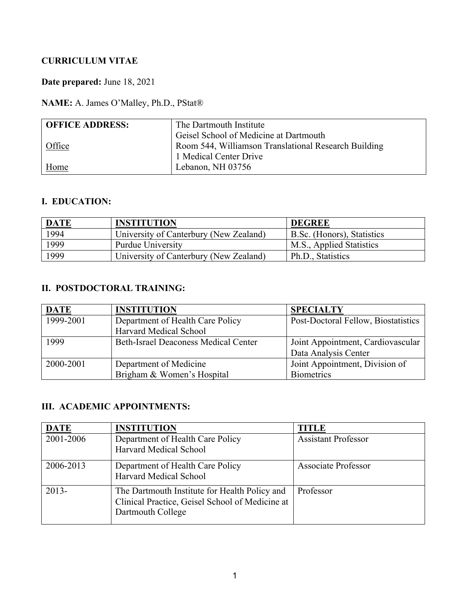# **CURRICULUM VITAE**

### **Date prepared:** June 18, 2021

# **NAME:** A. James O'Malley, Ph.D., PStat®

| <b>OFFICE ADDRESS:</b> | The Dartmouth Institute                              |
|------------------------|------------------------------------------------------|
|                        | Geisel School of Medicine at Dartmouth               |
| <b>Office</b>          | Room 544, Williamson Translational Research Building |
|                        | 1 Medical Center Drive                               |
| Home                   | Lebanon, NH 03756                                    |

#### **I. EDUCATION:**

| <b>DATE</b> | <b>INSTITUTION</b>                     | <b>DEGREE</b>              |
|-------------|----------------------------------------|----------------------------|
| 1994        | University of Canterbury (New Zealand) | B.Sc. (Honors), Statistics |
| 1999        | <b>Purdue University</b>               | M.S., Applied Statistics   |
| 1999        | University of Canterbury (New Zealand) | Ph.D., Statistics          |

### **II. POSTDOCTORAL TRAINING:**

| <b>DATE</b> | <b>INSTITUTION</b>                                         | <b>SPECIALTY</b>                                          |
|-------------|------------------------------------------------------------|-----------------------------------------------------------|
| 1999-2001   | Department of Health Care Policy<br>Harvard Medical School | Post-Doctoral Fellow, Biostatistics                       |
| 1999        | <b>Beth-Israel Deaconess Medical Center</b>                | Joint Appointment, Cardiovascular<br>Data Analysis Center |
| 2000-2001   | Department of Medicine<br>Brigham & Women's Hospital       | Joint Appointment, Division of<br><b>Biometrics</b>       |

#### **III. ACADEMIC APPOINTMENTS:**

| <b>DATE</b> | <b>INSTITUTION</b>                                                                                                    | <b>TITLE</b>               |
|-------------|-----------------------------------------------------------------------------------------------------------------------|----------------------------|
| 2001-2006   | Department of Health Care Policy<br>Harvard Medical School                                                            | <b>Assistant Professor</b> |
| 2006-2013   | Department of Health Care Policy<br>Harvard Medical School                                                            | <b>Associate Professor</b> |
| $2013-$     | The Dartmouth Institute for Health Policy and<br>Clinical Practice, Geisel School of Medicine at<br>Dartmouth College | Professor                  |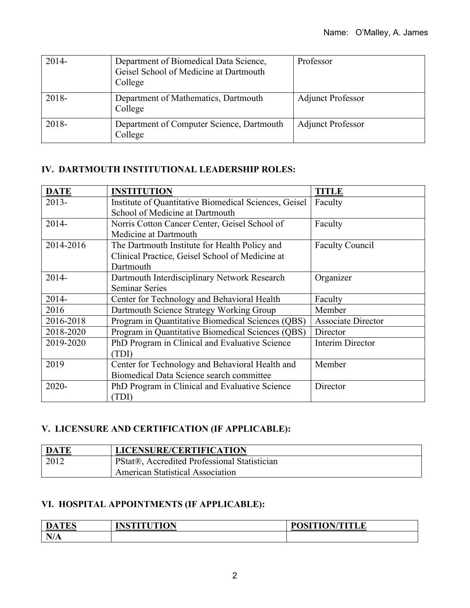| $2014 -$ | Department of Biomedical Data Science,<br>Geisel School of Medicine at Dartmouth<br>College | Professor                |
|----------|---------------------------------------------------------------------------------------------|--------------------------|
| 2018-    | Department of Mathematics, Dartmouth<br>College                                             | <b>Adjunct Professor</b> |
| 2018-    | Department of Computer Science, Dartmouth<br>College                                        | <b>Adjunct Professor</b> |

### **IV. DARTMOUTH INSTITUTIONAL LEADERSHIP ROLES:**

| <b>DATE</b> | <b>INSTITUTION</b>                                    | <b>TITLE</b>            |
|-------------|-------------------------------------------------------|-------------------------|
| $2013 -$    | Institute of Quantitative Biomedical Sciences, Geisel | Faculty                 |
|             | School of Medicine at Dartmouth                       |                         |
| $2014 -$    | Norris Cotton Cancer Center, Geisel School of         | Faculty                 |
|             | Medicine at Dartmouth                                 |                         |
| 2014-2016   | The Dartmouth Institute for Health Policy and         | <b>Faculty Council</b>  |
|             | Clinical Practice, Geisel School of Medicine at       |                         |
|             | Dartmouth                                             |                         |
| $2014 -$    | Dartmouth Interdisciplinary Network Research          | Organizer               |
|             | <b>Seminar Series</b>                                 |                         |
| 2014-       | Center for Technology and Behavioral Health           | Faculty                 |
| 2016        | Dartmouth Science Strategy Working Group              | Member                  |
| 2016-2018   | Program in Quantitative Biomedical Sciences (QBS)     | Associate Director      |
| 2018-2020   | Program in Quantitative Biomedical Sciences (QBS)     | Director                |
| 2019-2020   | PhD Program in Clinical and Evaluative Science        | <b>Interim Director</b> |
|             | (TDI)                                                 |                         |
| 2019        | Center for Technology and Behavioral Health and       | Member                  |
|             | Biomedical Data Science search committee              |                         |
| 2020-       | PhD Program in Clinical and Evaluative Science        | Director                |
|             | (TDI)                                                 |                         |

### **V. LICENSURE AND CERTIFICATION (IF APPLICABLE):**

| <b>DATE</b> | LICENSURE/CERTIFICATION                      |
|-------------|----------------------------------------------|
| 2012        | PStat®, Accredited Professional Statistician |
|             | <b>American Statistical Association</b>      |

# **VI. HOSPITAL APPOINTMENTS (IF APPLICABLE):**

| <b>TIRC</b><br>L.S | NCTITITION | <b>DOSITION/TITI F</b> |  |  |
|--------------------|------------|------------------------|--|--|
| N/A                |            |                        |  |  |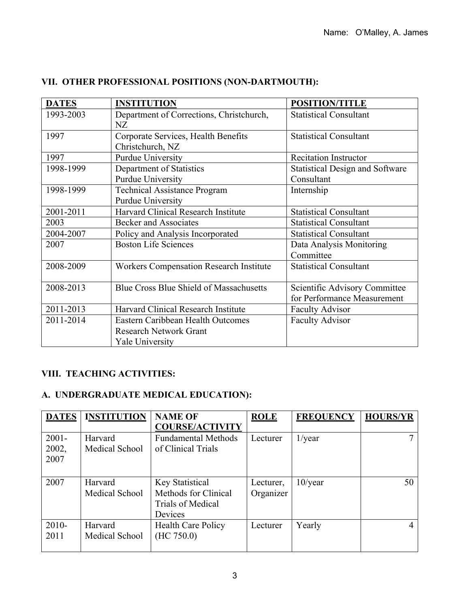| <b>DATES</b> | <b>INSTITUTION</b>                                       | <b>POSITION/TITLE</b>                                        |
|--------------|----------------------------------------------------------|--------------------------------------------------------------|
| 1993-2003    | Department of Corrections, Christchurch,<br>NZ           | <b>Statistical Consultant</b>                                |
| 1997         | Corporate Services, Health Benefits<br>Christchurch, NZ  | <b>Statistical Consultant</b>                                |
| 1997         | Purdue University                                        | <b>Recitation Instructor</b>                                 |
| 1998-1999    | Department of Statistics<br>Purdue University            | <b>Statistical Design and Software</b><br>Consultant         |
| 1998-1999    | <b>Technical Assistance Program</b><br>Purdue University | Internship                                                   |
| 2001-2011    | Harvard Clinical Research Institute                      | <b>Statistical Consultant</b>                                |
| 2003         | Becker and Associates                                    | <b>Statistical Consultant</b>                                |
| 2004-2007    | Policy and Analysis Incorporated                         | <b>Statistical Consultant</b>                                |
| 2007         | <b>Boston Life Sciences</b>                              | Data Analysis Monitoring<br>Committee                        |
| 2008-2009    | <b>Workers Compensation Research Institute</b>           | <b>Statistical Consultant</b>                                |
| 2008-2013    | <b>Blue Cross Blue Shield of Massachusetts</b>           | Scientific Advisory Committee<br>for Performance Measurement |
| 2011-2013    | Harvard Clinical Research Institute                      | <b>Faculty Advisor</b>                                       |
| 2011-2014    | Eastern Caribbean Health Outcomes                        | <b>Faculty Advisor</b>                                       |
|              | <b>Research Network Grant</b>                            |                                                              |
|              | <b>Yale University</b>                                   |                                                              |

# **VII. OTHER PROFESSIONAL POSITIONS (NON-DARTMOUTH):**

# **VIII. TEACHING ACTIVITIES:**

### **A. UNDERGRADUATE MEDICAL EDUCATION):**

| <b>DATES</b>              | <b>INSTITUTION</b>        | <b>NAME OF</b><br><b>COURSE/ACTIVITY</b>                                | <b>ROLE</b>            | <b>FREQUENCY</b> | <b>HOURS/YR</b> |
|---------------------------|---------------------------|-------------------------------------------------------------------------|------------------------|------------------|-----------------|
| $2001 -$<br>2002,<br>2007 | Harvard<br>Medical School | <b>Fundamental Methods</b><br>of Clinical Trials                        | Lecturer               | $1$ /year        |                 |
| 2007                      | Harvard<br>Medical School | Key Statistical<br>Methods for Clinical<br>Trials of Medical<br>Devices | Lecturer,<br>Organizer | $10$ /year       | 50              |
| $2010 -$<br>2011          | Harvard<br>Medical School | <b>Health Care Policy</b><br>(HC 750.0)                                 | Lecturer               | Yearly           |                 |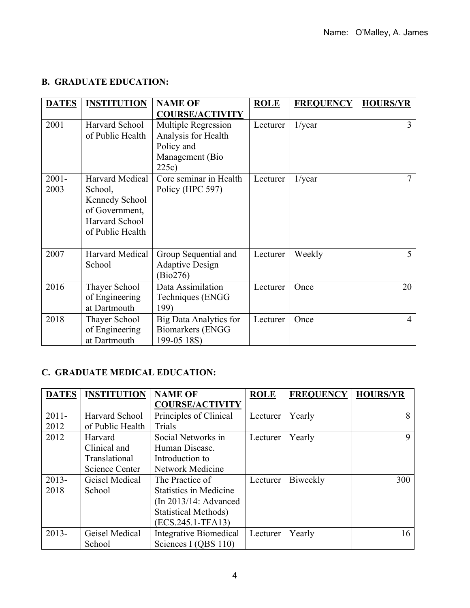# **B. GRADUATE EDUCATION:**

| <b>DATES</b>     | <b>INSTITUTION</b>                                                                                   | <b>NAME OF</b><br><b>COURSE/ACTIVITY</b>                                             | <b>ROLE</b> | <b>FREQUENCY</b> | <b>HOURS/YR</b> |
|------------------|------------------------------------------------------------------------------------------------------|--------------------------------------------------------------------------------------|-------------|------------------|-----------------|
| 2001             | Harvard School<br>of Public Health                                                                   | Multiple Regression<br>Analysis for Health<br>Policy and<br>Management (Bio<br>225c) | Lecturer    | $1$ /year        | 3               |
| $2001 -$<br>2003 | Harvard Medical<br>School,<br>Kennedy School<br>of Government,<br>Harvard School<br>of Public Health | Core seminar in Health<br>Policy (HPC 597)                                           | Lecturer    | $1$ /year        | 7               |
| 2007             | Harvard Medical<br>School                                                                            | Group Sequential and<br><b>Adaptive Design</b><br>(Bio276)                           | Lecturer    | Weekly           | 5               |
| 2016             | Thayer School<br>of Engineering<br>at Dartmouth                                                      | Data Assimilation<br>Techniques (ENGG<br>199)                                        | Lecturer    | Once             | 20              |
| 2018             | Thayer School<br>of Engineering<br>at Dartmouth                                                      | Big Data Analytics for<br>Biomarkers (ENGG<br>199-05 18S)                            | Lecturer    | Once             | 4               |

### **C. GRADUATE MEDICAL EDUCATION:**

| <b>DATES</b> | <b>INSTITUTION</b> | <b>NAME OF</b>                | <b>ROLE</b> | <b>FREQUENCY</b> | <b>HOURS/YR</b> |
|--------------|--------------------|-------------------------------|-------------|------------------|-----------------|
|              |                    | <b>COURSE/ACTIVITY</b>        |             |                  |                 |
| $2011 -$     | Harvard School     | Principles of Clinical        | Lecturer    | Yearly           | 8               |
| 2012         | of Public Health   | Trials                        |             |                  |                 |
| 2012         | Harvard            | Social Networks in            | Lecturer    | Yearly           | 9               |
|              | Clinical and       | Human Disease.                |             |                  |                 |
|              | Translational      | Introduction to               |             |                  |                 |
|              | Science Center     | Network Medicine              |             |                  |                 |
| $2013-$      | Geisel Medical     | The Practice of               | Lecturer    | Biweekly         | 300             |
| 2018         | School             | <b>Statistics in Medicine</b> |             |                  |                 |
|              |                    | (In 2013/14: Advanced)        |             |                  |                 |
|              |                    | <b>Statistical Methods</b> )  |             |                  |                 |
|              |                    | (ECS.245.1-TFA13)             |             |                  |                 |
| $2013-$      | Geisel Medical     | Integrative Biomedical        | Lecturer    | Yearly           | 16              |
|              | School             | Sciences I (QBS 110)          |             |                  |                 |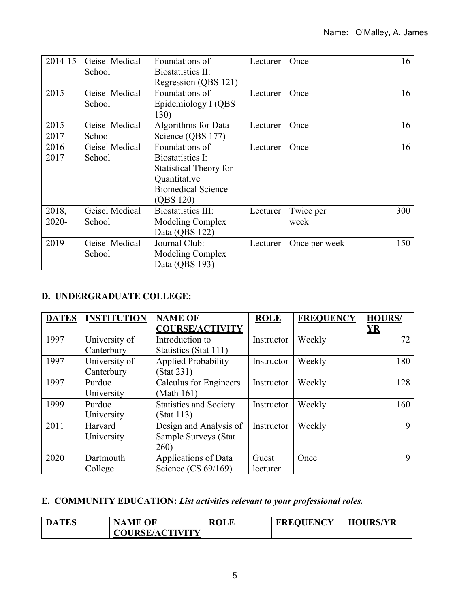| 2014-15  | Geisel Medical<br>School | Foundations of<br><b>Biostatistics II:</b> | Lecturer | Once          | 16  |
|----------|--------------------------|--------------------------------------------|----------|---------------|-----|
|          |                          | Regression (QBS 121)                       |          |               |     |
| 2015     | Geisel Medical           | Foundations of                             | Lecturer | Once          | 16  |
|          | School                   | Epidemiology I (QBS<br>130)                |          |               |     |
| $2015 -$ | Geisel Medical           | Algorithms for Data                        | Lecturer | Once          | 16  |
| 2017     | School                   | Science (QBS 177)                          |          |               |     |
| 2016-    | Geisel Medical           | Foundations of                             | Lecturer | Once          | 16  |
| 2017     | School                   | <b>Biostatistics I:</b>                    |          |               |     |
|          |                          | <b>Statistical Theory for</b>              |          |               |     |
|          |                          | Quantitative                               |          |               |     |
|          |                          | <b>Biomedical Science</b>                  |          |               |     |
|          |                          | (QBS 120)                                  |          |               |     |
| 2018,    | Geisel Medical           | <b>Biostatistics III:</b>                  | Lecturer | Twice per     | 300 |
| $2020 -$ | School                   | Modeling Complex                           |          | week          |     |
|          |                          | Data (QBS 122)                             |          |               |     |
| 2019     | Geisel Medical           | Journal Club:                              | Lecturer | Once per week | 150 |
|          | School                   | Modeling Complex                           |          |               |     |
|          |                          | Data (QBS 193)                             |          |               |     |

# **D. UNDERGRADUATE COLLEGE:**

| <b>DATES</b> | <b>INSTITUTION</b> | <b>NAME OF</b>                | <b>ROLE</b> | <b>FREQUENCY</b> | <b>HOURS/</b> |
|--------------|--------------------|-------------------------------|-------------|------------------|---------------|
|              |                    | <b>COURSE/ACTIVITY</b>        |             |                  | <b>YR</b>     |
| 1997         | University of      | Introduction to               | Instructor  | Weekly           | 72            |
|              | Canterbury         | Statistics (Stat 111)         |             |                  |               |
| 1997         | University of      | <b>Applied Probability</b>    | Instructor  | Weekly           | 180           |
|              | Canterbury         | (Stat 231)                    |             |                  |               |
| 1997         | Purdue             | Calculus for Engineers        | Instructor  | Weekly           | 128           |
|              | University         | (Math $161$ )                 |             |                  |               |
| 1999         | Purdue             | <b>Statistics and Society</b> | Instructor  | Weekly           | 160           |
|              | University         | (Stat 113)                    |             |                  |               |
| 2011         | Harvard            | Design and Analysis of        | Instructor  | Weekly           | 9             |
|              | University         | Sample Surveys (Stat          |             |                  |               |
|              |                    | 260)                          |             |                  |               |
| 2020         | Dartmouth          | Applications of Data          | Guest       | Once             | $\mathbf Q$   |
|              | College            | Science (CS $69/169$ )        | lecturer    |                  |               |

# **E. COMMUNITY EDUCATION:** *List activities relevant to your professional roles.*

| <b>DATES</b> | OF<br>NAME             | <b>ROLE</b> | <b>FREQUENCY</b> | <b>HOURS/YR</b> |
|--------------|------------------------|-------------|------------------|-----------------|
|              | <b>'OURSE/ACTIVITY</b> |             |                  |                 |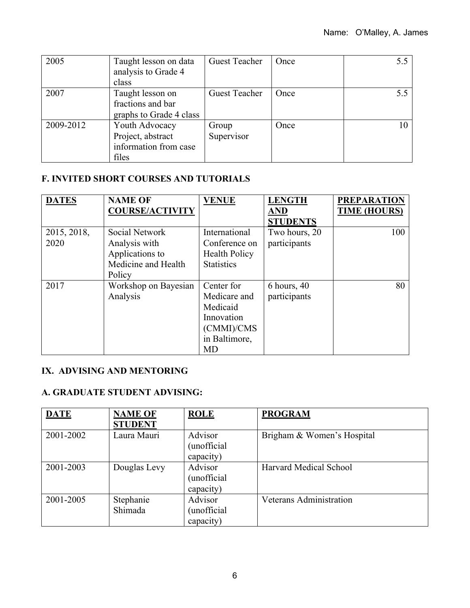| 2005      | Taught lesson on data   | <b>Guest Teacher</b> | Once | 5.5 |
|-----------|-------------------------|----------------------|------|-----|
|           | analysis to Grade 4     |                      |      |     |
|           | class                   |                      |      |     |
| 2007      | Taught lesson on        | <b>Guest Teacher</b> | Once | 5.5 |
|           | fractions and bar       |                      |      |     |
|           | graphs to Grade 4 class |                      |      |     |
| 2009-2012 | Youth Advocacy          | Group                | Once | 10  |
|           | Project, abstract       | Supervisor           |      |     |
|           | information from case   |                      |      |     |
|           | files                   |                      |      |     |

# **F. INVITED SHORT COURSES AND TUTORIALS**

| <b>DATES</b>        | <b>NAME OF</b><br><b>COURSE/ACTIVITY</b>                                            | <b>VENUE</b>                                                                              | <b>LENGTH</b><br><b>AND</b><br><b>STUDENTS</b> | <b>PREPARATION</b><br><b>TIME (HOURS)</b> |
|---------------------|-------------------------------------------------------------------------------------|-------------------------------------------------------------------------------------------|------------------------------------------------|-------------------------------------------|
| 2015, 2018,<br>2020 | Social Network<br>Analysis with<br>Applications to<br>Medicine and Health<br>Policy | International<br>Conference on<br><b>Health Policy</b><br><b>Statistics</b>               | Two hours, 20<br>participants                  | 100                                       |
| 2017                | Workshop on Bayesian<br>Analysis                                                    | Center for<br>Medicare and<br>Medicaid<br>Innovation<br>(CMMI)/CMS<br>in Baltimore,<br>MD | $6$ hours, $40$<br>participants                | 80                                        |

# **IX. ADVISING AND MENTORING**

## **A. GRADUATE STUDENT ADVISING:**

| <b>DATE</b> | <b>NAME OF</b><br><b>STUDENT</b> | <b>ROLE</b>                         | <b>PROGRAM</b>             |
|-------------|----------------------------------|-------------------------------------|----------------------------|
| 2001-2002   | Laura Mauri                      | Advisor<br>(unofficial<br>capacity) | Brigham & Women's Hospital |
| 2001-2003   | Douglas Levy                     | Advisor<br>(unofficial<br>capacity) | Harvard Medical School     |
| 2001-2005   | Stephanie<br>Shimada             | Advisor<br>(unofficial<br>capacity) | Veterans Administration    |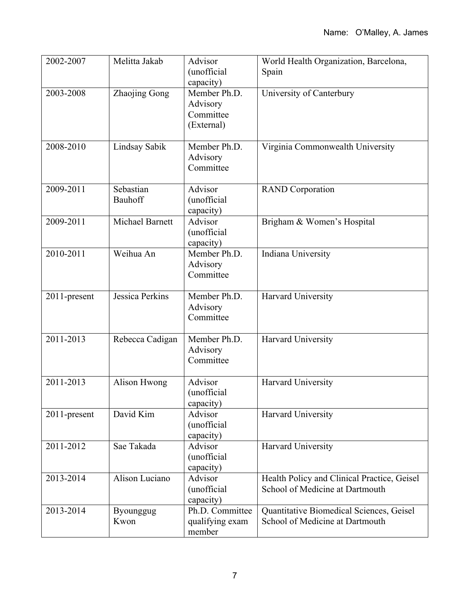| 2002-2007    | Melitta Jakab            | Advisor<br>(unofficial                                           | World Health Organization, Barcelona,<br>Spain                                 |  |
|--------------|--------------------------|------------------------------------------------------------------|--------------------------------------------------------------------------------|--|
| 2003-2008    | Zhaojing Gong            | capacity)<br>Member Ph.D.<br>Advisory<br>Committee<br>(External) | University of Canterbury                                                       |  |
| 2008-2010    | Lindsay Sabik            | Member Ph.D.<br>Advisory<br>Committee                            | Virginia Commonwealth University                                               |  |
| 2009-2011    | Sebastian<br>Bauhoff     | Advisor<br>(unofficial<br>capacity)                              | <b>RAND</b> Corporation                                                        |  |
| 2009-2011    | <b>Michael Barnett</b>   | Advisor<br>(unofficial<br>capacity)                              | Brigham & Women's Hospital                                                     |  |
| 2010-2011    | Weihua An                | Member Ph.D.<br>Advisory<br>Committee                            | Indiana University                                                             |  |
| 2011-present | Jessica Perkins          | Member Ph.D.<br>Advisory<br>Committee                            | Harvard University                                                             |  |
| 2011-2013    | Rebecca Cadigan          | Member Ph.D.<br>Advisory<br>Committee                            | Harvard University                                                             |  |
| 2011-2013    | Alison Hwong             | Advisor<br>(unofficial<br>capacity)                              | Harvard University                                                             |  |
| 2011-present | David Kim                | Advisor<br>(unofficial<br>capacity)                              | Harvard University                                                             |  |
| 2011-2012    | Sae Takada               | Advisor<br>(unofficial<br>capacity)                              | Harvard University                                                             |  |
| 2013-2014    | Alison Luciano           | Advisor<br>(unofficial<br>capacity)                              | Health Policy and Clinical Practice, Geisel<br>School of Medicine at Dartmouth |  |
| 2013-2014    | <b>Byounggug</b><br>Kwon | Ph.D. Committee<br>qualifying exam<br>member                     | Quantitative Biomedical Sciences, Geisel<br>School of Medicine at Dartmouth    |  |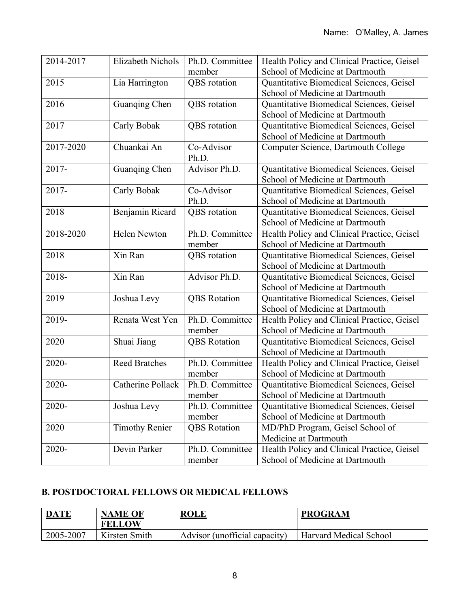| 2014-2017 | Elizabeth Nichols     | Ph.D. Committee     | Health Policy and Clinical Practice, Geisel |  |
|-----------|-----------------------|---------------------|---------------------------------------------|--|
|           |                       | member              | School of Medicine at Dartmouth             |  |
| 2015      | Lia Harrington        | QBS rotation        | Quantitative Biomedical Sciences, Geisel    |  |
|           |                       |                     | School of Medicine at Dartmouth             |  |
| 2016      | Guanqing Chen         | <b>QBS</b> rotation | Quantitative Biomedical Sciences, Geisel    |  |
|           |                       |                     | School of Medicine at Dartmouth             |  |
| 2017      | Carly Bobak           | <b>QBS</b> rotation | Quantitative Biomedical Sciences, Geisel    |  |
|           |                       |                     | School of Medicine at Dartmouth             |  |
| 2017-2020 | Chuankai An           | Co-Advisor          | Computer Science, Dartmouth College         |  |
|           |                       | Ph.D.               |                                             |  |
| 2017-     | Guanqing Chen         | Advisor Ph.D.       | Quantitative Biomedical Sciences, Geisel    |  |
|           |                       |                     | School of Medicine at Dartmouth             |  |
| 2017-     | Carly Bobak           | Co-Advisor          | Quantitative Biomedical Sciences, Geisel    |  |
|           |                       | Ph.D.               | School of Medicine at Dartmouth             |  |
| 2018      | Benjamin Ricard       | <b>QBS</b> rotation | Quantitative Biomedical Sciences, Geisel    |  |
|           |                       |                     | School of Medicine at Dartmouth             |  |
| 2018-2020 | Helen Newton          | Ph.D. Committee     | Health Policy and Clinical Practice, Geisel |  |
|           |                       | member              | School of Medicine at Dartmouth             |  |
| 2018      | Xin Ran               | QBS rotation        | Quantitative Biomedical Sciences, Geisel    |  |
|           |                       |                     | School of Medicine at Dartmouth             |  |
| 2018-     | Xin Ran               | Advisor Ph.D.       | Quantitative Biomedical Sciences, Geisel    |  |
|           |                       |                     | School of Medicine at Dartmouth             |  |
| 2019      | Joshua Levy           | <b>QBS</b> Rotation | Quantitative Biomedical Sciences, Geisel    |  |
|           |                       |                     | School of Medicine at Dartmouth             |  |
| 2019-     | Renata West Yen       | Ph.D. Committee     | Health Policy and Clinical Practice, Geisel |  |
|           |                       | member              | School of Medicine at Dartmouth             |  |
| 2020      | Shuai Jiang           | <b>QBS</b> Rotation | Quantitative Biomedical Sciences, Geisel    |  |
|           |                       |                     | School of Medicine at Dartmouth             |  |
| 2020-     | <b>Reed Bratches</b>  | Ph.D. Committee     | Health Policy and Clinical Practice, Geisel |  |
|           |                       | member              | School of Medicine at Dartmouth             |  |
| 2020-     | Catherine Pollack     | Ph.D. Committee     | Quantitative Biomedical Sciences, Geisel    |  |
|           |                       | member              | School of Medicine at Dartmouth             |  |
| 2020-     | Joshua Levy           | Ph.D. Committee     | Quantitative Biomedical Sciences, Geisel    |  |
|           |                       | member              | School of Medicine at Dartmouth             |  |
| 2020      | <b>Timothy Renier</b> | <b>QBS</b> Rotation | MD/PhD Program, Geisel School of            |  |
|           |                       |                     | Medicine at Dartmouth                       |  |
| 2020-     | Devin Parker          | Ph.D. Committee     | Health Policy and Clinical Practice, Geisel |  |
|           |                       | member              | School of Medicine at Dartmouth             |  |

# **B. POSTDOCTORAL FELLOWS OR MEDICAL FELLOWS**

| <b>DATE</b> | <b>NAME OF</b><br><b>FELLOW</b> | <b>ROLE</b>                   | <b>PROGRAM</b>                |
|-------------|---------------------------------|-------------------------------|-------------------------------|
| 2005-2007   | Kirsten Smith                   | Advisor (unofficial capacity) | <b>Harvard Medical School</b> |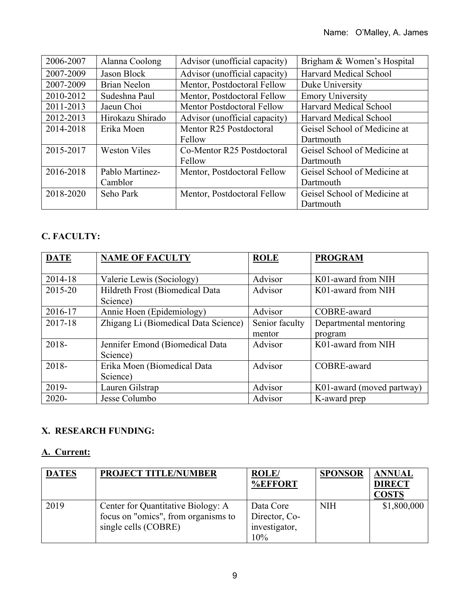| 2006-2007 | Alanna Coolong      | Advisor (unofficial capacity)     | Brigham & Women's Hospital    |
|-----------|---------------------|-----------------------------------|-------------------------------|
| 2007-2009 | Jason Block         | Advisor (unofficial capacity)     | Harvard Medical School        |
| 2007-2009 | <b>Brian Neelon</b> | Mentor, Postdoctoral Fellow       | Duke University               |
| 2010-2012 | Sudeshna Paul       | Mentor, Postdoctoral Fellow       | <b>Emory University</b>       |
| 2011-2013 | Jaeun Choi          | <b>Mentor Postdoctoral Fellow</b> | <b>Harvard Medical School</b> |
| 2012-2013 | Hirokazu Shirado    | Advisor (unofficial capacity)     | Harvard Medical School        |
| 2014-2018 | Erika Moen          | Mentor R25 Postdoctoral           | Geisel School of Medicine at  |
|           |                     | Fellow                            | Dartmouth                     |
| 2015-2017 | <b>Weston Viles</b> | Co-Mentor R25 Postdoctoral        | Geisel School of Medicine at  |
|           |                     | Fellow                            | Dartmouth                     |
| 2016-2018 | Pablo Martinez-     | Mentor, Postdoctoral Fellow       | Geisel School of Medicine at  |
|           | Camblor             |                                   | Dartmouth                     |
| 2018-2020 | Seho Park           | Mentor, Postdoctoral Fellow       | Geisel School of Medicine at  |
|           |                     |                                   | Dartmouth                     |

# **C. FACULTY:**

| <b>DATE</b> | <b>NAME OF FACULTY</b>               | <b>ROLE</b>    | <b>PROGRAM</b>            |
|-------------|--------------------------------------|----------------|---------------------------|
|             |                                      |                |                           |
| 2014-18     | Valerie Lewis (Sociology)            | Advisor        | K01-award from NIH        |
| 2015-20     | Hildreth Frost (Biomedical Data      | Advisor        | K01-award from NIH        |
|             | Science)                             |                |                           |
| 2016-17     | Annie Hoen (Epidemiology)            | Advisor        | COBRE-award               |
| 2017-18     | Zhigang Li (Biomedical Data Science) | Senior faculty | Departmental mentoring    |
|             |                                      | mentor         | program                   |
| $2018 -$    | Jennifer Emond (Biomedical Data      | Advisor        | K01-award from NIH        |
|             | Science)                             |                |                           |
| 2018-       | Erika Moen (Biomedical Data          | Advisor        | COBRE-award               |
|             | Science)                             |                |                           |
| 2019-       | Lauren Gilstrap                      | Advisor        | K01-award (moved partway) |
| $2020 -$    | Jesse Columbo                        | Advisor        | K-award prep              |

## **X. RESEARCH FUNDING:**

# **A. Current:**

| <b>DATES</b> | <b>PROJECT TITLE/NUMBER</b>                                                                       | <b>ROLE/</b><br><b>%EFFORT</b>                     | <b>SPONSOR</b> | <b>ANNUAL</b><br><b>DIRECT</b><br><b>COSTS</b> |
|--------------|---------------------------------------------------------------------------------------------------|----------------------------------------------------|----------------|------------------------------------------------|
| 2019         | Center for Quantitative Biology: A<br>focus on "omics", from organisms to<br>single cells (COBRE) | Data Core<br>Director, Co-<br>investigator,<br>10% | <b>NIH</b>     | \$1,800,000                                    |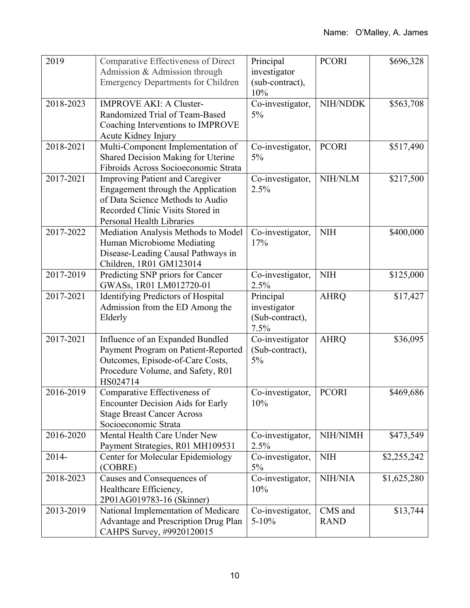| 2019      | Comparative Effectiveness of Direct<br>Admission & Admission through          | Principal<br>investigator      | <b>PCORI</b>           | \$696,328   |
|-----------|-------------------------------------------------------------------------------|--------------------------------|------------------------|-------------|
|           | <b>Emergency Departments for Children</b>                                     | (sub-contract),<br>10%         |                        |             |
| 2018-2023 | <b>IMPROVE AKI: A Cluster-</b>                                                | Co-investigator,               | NIH/NDDK               | \$563,708   |
|           | Randomized Trial of Team-Based                                                | 5%                             |                        |             |
|           | Coaching Interventions to IMPROVE                                             |                                |                        |             |
| 2018-2021 | Acute Kidney Injury<br>Multi-Component Implementation of                      | Co-investigator,               | <b>PCORI</b>           | \$517,490   |
|           | Shared Decision Making for Uterine                                            | $5\%$                          |                        |             |
|           | Fibroids Across Socioeconomic Strata                                          |                                |                        |             |
| 2017-2021 | <b>Improving Patient and Caregiver</b>                                        | Co-investigator,               | NIH/NLM                | \$217,500   |
|           | Engagement through the Application                                            | 2.5%                           |                        |             |
|           | of Data Science Methods to Audio                                              |                                |                        |             |
|           | Recorded Clinic Visits Stored in                                              |                                |                        |             |
| 2017-2022 | <b>Personal Health Libraries</b>                                              |                                | <b>NIH</b>             | \$400,000   |
|           | Mediation Analysis Methods to Model<br>Human Microbiome Mediating             | Co-investigator,<br>17%        |                        |             |
|           | Disease-Leading Causal Pathways in                                            |                                |                        |             |
|           | Children, 1R01 GM123014                                                       |                                |                        |             |
| 2017-2019 | Predicting SNP priors for Cancer                                              | Co-investigator,               | <b>NIH</b>             | \$125,000   |
|           | GWASs, 1R01 LM012720-01                                                       | 2.5%                           |                        |             |
| 2017-2021 | Identifying Predictors of Hospital                                            | Principal                      | <b>AHRQ</b>            | \$17,427    |
|           | Admission from the ED Among the                                               | investigator                   |                        |             |
|           | Elderly                                                                       | (Sub-contract),<br>7.5%        |                        |             |
| 2017-2021 | Influence of an Expanded Bundled                                              | Co-investigator                | <b>AHRQ</b>            | \$36,095    |
|           | Payment Program on Patient-Reported                                           | (Sub-contract),                |                        |             |
|           | Outcomes, Episode-of-Care Costs,                                              | 5%                             |                        |             |
|           | Procedure Volume, and Safety, R01                                             |                                |                        |             |
|           | HS024714                                                                      |                                |                        |             |
| 2016-2019 | Comparative Effectiveness of                                                  | Co-investigator,               | <b>PCORI</b>           | \$469,686   |
|           | <b>Encounter Decision Aids for Early</b><br><b>Stage Breast Cancer Across</b> | 10%                            |                        |             |
|           | Socioeconomic Strata                                                          |                                |                        |             |
| 2016-2020 | Mental Health Care Under New                                                  | Co-investigator,               | NIH/NIMH               | \$473,549   |
|           | Payment Strategies, R01 MH109531                                              | 2.5%                           |                        |             |
| 2014-     | Center for Molecular Epidemiology                                             | Co-investigator,               | <b>NIH</b>             | \$2,255,242 |
|           | (COBRE)                                                                       | $5\%$                          |                        |             |
| 2018-2023 | Causes and Consequences of                                                    | Co-investigator,               | NIH/NIA                | \$1,625,280 |
|           | Healthcare Efficiency,                                                        | 10%                            |                        |             |
|           | 2P01AG019783-16 (Skinner)                                                     |                                |                        |             |
| 2013-2019 | National Implementation of Medicare<br>Advantage and Prescription Drug Plan   | Co-investigator,<br>$5 - 10\%$ | CMS and<br><b>RAND</b> | \$13,744    |
|           | CAHPS Survey, #9920120015                                                     |                                |                        |             |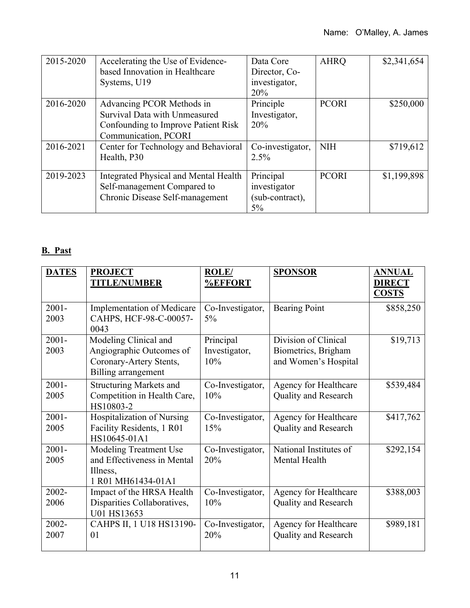| 2015-2020 | Accelerating the Use of Evidence-<br>based Innovation in Healthcare<br>Systems, U19                                       | Data Core<br>Director, Co-<br>investigator,<br><b>20%</b> | <b>AHRQ</b>  | \$2,341,654 |
|-----------|---------------------------------------------------------------------------------------------------------------------------|-----------------------------------------------------------|--------------|-------------|
| 2016-2020 | Advancing PCOR Methods in<br>Survival Data with Unmeasured<br>Confounding to Improve Patient Risk<br>Communication, PCORI | Principle<br>Investigator,<br>20%                         | <b>PCORI</b> | \$250,000   |
| 2016-2021 | Center for Technology and Behavioral<br>Health, P30                                                                       | Co-investigator,<br>2.5%                                  | <b>NIH</b>   | \$719,612   |
| 2019-2023 | Integrated Physical and Mental Health<br>Self-management Compared to<br>Chronic Disease Self-management                   | Principal<br>investigator<br>(sub-contract),<br>$5\%$     | <b>PCORI</b> | \$1,199,898 |

# **B. Past**

| <b>DATES</b>     | <b>PROJECT</b><br><b>TITLE/NUMBER</b>                                                               | <b>ROLE</b><br><b>%EFFORT</b>     | <b>SPONSOR</b>                                                      | <b>ANNUAL</b><br><b>DIRECT</b><br><b>COSTS</b> |
|------------------|-----------------------------------------------------------------------------------------------------|-----------------------------------|---------------------------------------------------------------------|------------------------------------------------|
| $2001 -$<br>2003 | <b>Implementation of Medicare</b><br>CAHPS, HCF-98-C-00057-<br>0043                                 | Co-Investigator,<br>$5\%$         | <b>Bearing Point</b>                                                | \$858,250                                      |
| $2001 -$<br>2003 | Modeling Clinical and<br>Angiographic Outcomes of<br>Coronary-Artery Stents,<br>Billing arrangement | Principal<br>Investigator,<br>10% | Division of Clinical<br>Biometrics, Brigham<br>and Women's Hospital | \$19,713                                       |
| $2001 -$<br>2005 | <b>Structuring Markets and</b><br>Competition in Health Care,<br>HS10803-2                          | Co-Investigator,<br>10%           | Agency for Healthcare<br>Quality and Research                       | \$539,484                                      |
| $2001 -$<br>2005 | <b>Hospitalization of Nursing</b><br>Facility Residents, 1 R01<br>HS10645-01A1                      | Co-Investigator,<br>15%           | Agency for Healthcare<br>Quality and Research                       | \$417,762                                      |
| $2001 -$<br>2005 | Modeling Treatment Use<br>and Effectiveness in Mental<br>Illness,<br>1 R01 MH61434-01A1             | Co-Investigator,<br>20%           | National Institutes of<br>Mental Health                             | \$292,154                                      |
| 2002-<br>2006    | Impact of the HRSA Health<br>Disparities Collaboratives,<br>U01 HS13653                             | Co-Investigator,<br>10%           | Agency for Healthcare<br>Quality and Research                       | \$388,003                                      |
| 2002-<br>2007    | CAHPS II, 1 U18 HS13190-<br>01                                                                      | Co-Investigator,<br>20%           | Agency for Healthcare<br>Quality and Research                       | \$989,181                                      |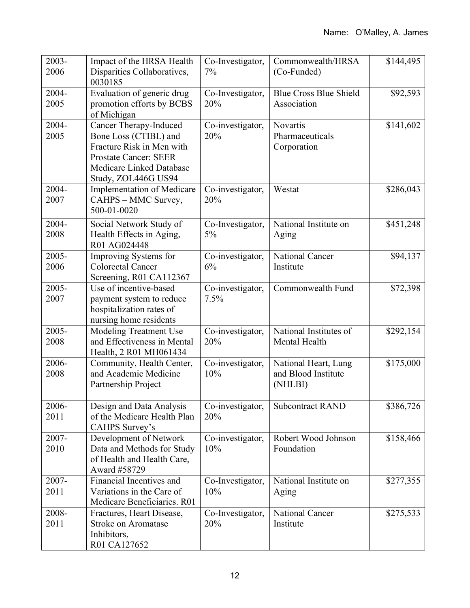| 2003-<br>2006    | Impact of the HRSA Health<br>Disparities Collaboratives,<br>0030185                                                                                             | Co-Investigator,<br>7%   | Commonwealth/HRSA<br>(Co-Funded)                       | \$144,495 |
|------------------|-----------------------------------------------------------------------------------------------------------------------------------------------------------------|--------------------------|--------------------------------------------------------|-----------|
| 2004-<br>2005    | Evaluation of generic drug<br>promotion efforts by BCBS<br>of Michigan                                                                                          | Co-Investigator,<br>20%  | <b>Blue Cross Blue Shield</b><br>Association           | \$92,593  |
| 2004-<br>2005    | Cancer Therapy-Induced<br>Bone Loss (CTIBL) and<br>Fracture Risk in Men with<br><b>Prostate Cancer: SEER</b><br>Medicare Linked Database<br>Study, ZOL446G US94 | Co-investigator,<br>20%  | Novartis<br>Pharmaceuticals<br>Corporation             | \$141,602 |
| 2004-<br>2007    | <b>Implementation of Medicare</b><br>CAHPS - MMC Survey,<br>500-01-0020                                                                                         | Co-investigator,<br>20%  | Westat                                                 | \$286,043 |
| $2004 -$<br>2008 | Social Network Study of<br>Health Effects in Aging,<br>R01 AG024448                                                                                             | Co-Investigator,<br>5%   | National Institute on<br>Aging                         | \$451,248 |
| 2005-<br>2006    | Improving Systems for<br><b>Colorectal Cancer</b><br>Screening, R01 CA112367                                                                                    | Co-investigator,<br>6%   | National Cancer<br>Institute                           | \$94,137  |
| $2005 -$<br>2007 | Use of incentive-based<br>payment system to reduce<br>hospitalization rates of<br>nursing home residents                                                        | Co-investigator,<br>7.5% | Commonwealth Fund                                      | \$72,398  |
| 2005-<br>2008    | Modeling Treatment Use<br>and Effectiveness in Mental<br>Health, 2 R01 MH061434                                                                                 | Co-investigator,<br>20%  | National Institutes of<br>Mental Health                | \$292,154 |
| 2006-<br>2008    | Community, Health Center,<br>and Academic Medicine<br>Partnership Project                                                                                       | Co-investigator,<br>10%  | National Heart, Lung<br>and Blood Institute<br>(NHLBI) | \$175,000 |
| 2006-<br>2011    | Design and Data Analysis<br>of the Medicare Health Plan<br><b>CAHPS Survey's</b>                                                                                | Co-investigator,<br>20%  | <b>Subcontract RAND</b>                                | \$386,726 |
| 2007-<br>2010    | Development of Network<br>Data and Methods for Study<br>of Health and Health Care,<br>Award #58729                                                              | Co-investigator,<br>10%  | Robert Wood Johnson<br>Foundation                      | \$158,466 |
| 2007-<br>2011    | Financial Incentives and<br>Variations in the Care of<br>Medicare Beneficiaries. R01                                                                            | Co-Investigator,<br>10%  | National Institute on<br>Aging                         | \$277,355 |
| 2008-<br>2011    | Fractures, Heart Disease,<br>Stroke on Aromatase<br>Inhibitors,<br>R01 CA127652                                                                                 | Co-Investigator,<br>20%  | National Cancer<br>Institute                           | \$275,533 |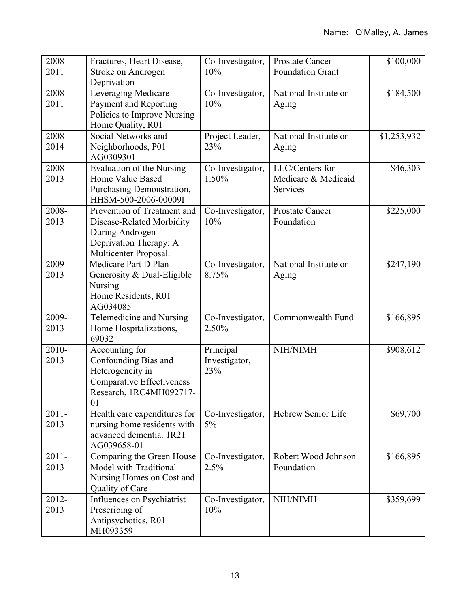| 2008-    | Fractures, Heart Disease,        | Co-Investigator, | Prostate Cancer         | \$100,000   |
|----------|----------------------------------|------------------|-------------------------|-------------|
| 2011     | Stroke on Androgen               | 10%              | <b>Foundation Grant</b> |             |
|          | Deprivation                      |                  |                         |             |
| 2008-    | Leveraging Medicare              | Co-Investigator, | National Institute on   | \$184,500   |
| 2011     | Payment and Reporting            | 10%              | Aging                   |             |
|          | Policies to Improve Nursing      |                  |                         |             |
|          | Home Quality, R01                |                  |                         |             |
| 2008-    | Social Networks and              | Project Leader,  | National Institute on   | \$1,253,932 |
| 2014     | Neighborhoods, P01               | 23%              | Aging                   |             |
|          | AG0309301                        |                  |                         |             |
| 2008-    | Evaluation of the Nursing        | Co-Investigator, | LLC/Centers for         | \$46,303    |
| 2013     | Home Value Based                 | 1.50%            | Medicare & Medicaid     |             |
|          | Purchasing Demonstration,        |                  | Services                |             |
|          | HHSM-500-2006-00009I             |                  |                         |             |
| 2008-    | Prevention of Treatment and      | Co-Investigator, | Prostate Cancer         | \$225,000   |
| 2013     | Disease-Related Morbidity        | 10%              | Foundation              |             |
|          | During Androgen                  |                  |                         |             |
|          | Deprivation Therapy: A           |                  |                         |             |
|          | Multicenter Proposal.            |                  |                         |             |
| 2009-    | Medicare Part D Plan             | Co-Investigator, | National Institute on   | \$247,190   |
| 2013     | Generosity & Dual-Eligible       | 8.75%            | Aging                   |             |
|          | Nursing                          |                  |                         |             |
|          | Home Residents, R01              |                  |                         |             |
|          | AG034085                         |                  |                         |             |
| 2009-    | Telemedicine and Nursing         | Co-Investigator, | Commonwealth Fund       | \$166,895   |
| 2013     | Home Hospitalizations,           | 2.50%            |                         |             |
|          | 69032                            |                  |                         |             |
| 2010-    | Accounting for                   | Principal        | NIH/NIMH                | \$908,612   |
| 2013     | Confounding Bias and             | Investigator,    |                         |             |
|          | Heterogeneity in                 | 23%              |                         |             |
|          | <b>Comparative Effectiveness</b> |                  |                         |             |
|          | Research, 1RC4MH092717-          |                  |                         |             |
|          | 01                               |                  |                         |             |
| $2011 -$ | Health care expenditures for     | Co-Investigator, | Hebrew Senior Life      | \$69,700    |
| 2013     | nursing home residents with      | 5%               |                         |             |
|          | advanced dementia. 1R21          |                  |                         |             |
|          | AG039658-01                      |                  |                         |             |
| $2011 -$ | Comparing the Green House        | Co-Investigator, | Robert Wood Johnson     | \$166,895   |
| 2013     | Model with Traditional           | 2.5%             | Foundation              |             |
|          | Nursing Homes on Cost and        |                  |                         |             |
|          | Quality of Care                  |                  |                         |             |
| 2012-    | Influences on Psychiatrist       | Co-Investigator, | NIH/NIMH                | \$359,699   |
| 2013     | Prescribing of                   | 10%              |                         |             |
|          | Antipsychotics, R01              |                  |                         |             |
|          | MH093359                         |                  |                         |             |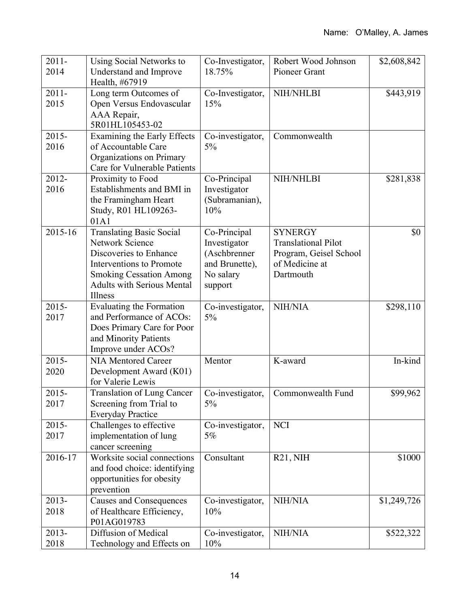| $2011 -$         | Using Social Networks to                        | Co-Investigator,          | Robert Wood Johnson        | \$2,608,842 |
|------------------|-------------------------------------------------|---------------------------|----------------------------|-------------|
| 2014             | Understand and Improve                          | 18.75%                    | Pioneer Grant              |             |
|                  | Health, #67919                                  |                           |                            |             |
| $2011 -$         | Long term Outcomes of                           | Co-Investigator,          | NIH/NHLBI                  | \$443,919   |
| 2015             | Open Versus Endovascular                        | 15%                       |                            |             |
|                  | AAA Repair,                                     |                           |                            |             |
|                  | 5R01HL105453-02                                 |                           |                            |             |
| $2015 -$         | Examining the Early Effects                     | Co-investigator,          | Commonwealth               |             |
| 2016             | of Accountable Care                             | 5%                        |                            |             |
|                  | Organizations on Primary                        |                           |                            |             |
|                  | Care for Vulnerable Patients                    |                           |                            |             |
| 2012-            | Proximity to Food                               | Co-Principal              | NIH/NHLBI                  | \$281,838   |
| 2016             | Establishments and BMI in                       | Investigator              |                            |             |
|                  | the Framingham Heart<br>Study, R01 HL109263-    | (Subramanian),<br>10%     |                            |             |
|                  | 01A1                                            |                           |                            |             |
| 2015-16          | <b>Translating Basic Social</b>                 | Co-Principal              | <b>SYNERGY</b>             | \$0         |
|                  | Network Science                                 | Investigator              | <b>Translational Pilot</b> |             |
|                  | Discoveries to Enhance                          | (Aschbrenner              | Program, Geisel School     |             |
|                  | Interventions to Promote                        | and Brunette),            | of Medicine at             |             |
|                  | <b>Smoking Cessation Among</b>                  | No salary                 | Dartmouth                  |             |
|                  | <b>Adults with Serious Mental</b>               | support                   |                            |             |
|                  | <b>Illness</b>                                  |                           |                            |             |
| $2015 -$         | Evaluating the Formation                        | Co-investigator,          | NIH/NIA                    | \$298,110   |
| 2017             | and Performance of ACOs:                        | $5\%$                     |                            |             |
|                  | Does Primary Care for Poor                      |                           |                            |             |
|                  | and Minority Patients                           |                           |                            |             |
|                  | Improve under ACOs?                             |                           |                            |             |
| $2015 -$         | <b>NIA Mentored Career</b>                      | Mentor                    | K-award                    | In-kind     |
| 2020             | Development Award (K01)                         |                           |                            |             |
|                  | for Valerie Lewis                               |                           |                            |             |
| $2015 -$         | <b>Translation of Lung Cancer</b>               | Co-investigator,          | Commonwealth Fund          | \$99,962    |
| 2017             | Screening from Trial to                         | 5%                        |                            |             |
|                  | <b>Everyday Practice</b>                        |                           |                            |             |
| $2015 -$<br>2017 | Challenges to effective                         | Co-investigator,<br>$5\%$ | <b>NCI</b>                 |             |
|                  | implementation of lung                          |                           |                            |             |
| 2016-17          | cancer screening<br>Worksite social connections | Consultant                | R21, NHH                   | \$1000      |
|                  | and food choice: identifying                    |                           |                            |             |
|                  | opportunities for obesity                       |                           |                            |             |
|                  | prevention                                      |                           |                            |             |
| $2013 -$         | <b>Causes and Consequences</b>                  | Co-investigator,          | NIH/NIA                    | \$1,249,726 |
| 2018             | of Healthcare Efficiency,                       | 10%                       |                            |             |
|                  | P01AG019783                                     |                           |                            |             |
| $2013 -$         | Diffusion of Medical                            | Co-investigator,          | NIH/NIA                    | \$522,322   |
| 2018             | Technology and Effects on                       | 10%                       |                            |             |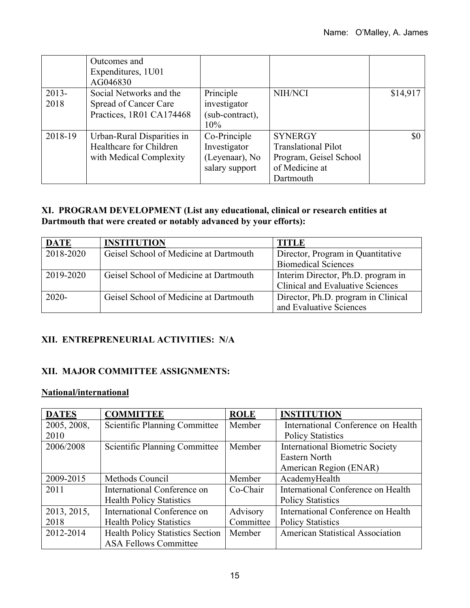|                 | Outcomes and<br>Expenditures, 1U01<br>AG046830                                   |                                                                  |                                                                                                       |          |
|-----------------|----------------------------------------------------------------------------------|------------------------------------------------------------------|-------------------------------------------------------------------------------------------------------|----------|
| $2013-$<br>2018 | Social Networks and the<br>Spread of Cancer Care<br>Practices, 1R01 CA174468     | Principle<br>investigator<br>(sub-contract),<br>10%              | NIH/NCI                                                                                               | \$14,917 |
| 2018-19         | Urban-Rural Disparities in<br>Healthcare for Children<br>with Medical Complexity | Co-Principle<br>Investigator<br>(Leyenaar), No<br>salary support | <b>SYNERGY</b><br><b>Translational Pilot</b><br>Program, Geisel School<br>of Medicine at<br>Dartmouth | \$0      |

#### **XI. PROGRAM DEVELOPMENT (List any educational, clinical or research entities at Dartmouth that were created or notably advanced by your efforts):**

| <b>DATE</b> | <b>INSTITUTION</b>                     | <b>TITLE</b>                                                                  |
|-------------|----------------------------------------|-------------------------------------------------------------------------------|
| 2018-2020   | Geisel School of Medicine at Dartmouth | Director, Program in Quantitative<br><b>Biomedical Sciences</b>               |
| 2019-2020   | Geisel School of Medicine at Dartmouth | Interim Director, Ph.D. program in<br><b>Clinical and Evaluative Sciences</b> |
| $2020 -$    | Geisel School of Medicine at Dartmouth | Director, Ph.D. program in Clinical<br>and Evaluative Sciences                |

### **XII. ENTREPRENEURIAL ACTIVITIES: N/A**

# **XII. MAJOR COMMITTEE ASSIGNMENTS:**

#### **National/international**

| <b>DATES</b> | <b>COMMITTEE</b>                        | <b>ROLE</b> | <b>INSTITUTION</b>                      |
|--------------|-----------------------------------------|-------------|-----------------------------------------|
| 2005, 2008,  | Scientific Planning Committee           | Member      | International Conference on Health      |
| 2010         |                                         |             | <b>Policy Statistics</b>                |
| 2006/2008    | Scientific Planning Committee           | Member      | <b>International Biometric Society</b>  |
|              |                                         |             | Eastern North                           |
|              |                                         |             | American Region (ENAR)                  |
| 2009-2015    | Methods Council                         | Member      | AcademyHealth                           |
| 2011         | International Conference on             | Co-Chair    | International Conference on Health      |
|              | <b>Health Policy Statistics</b>         |             | <b>Policy Statistics</b>                |
| 2013, 2015,  | International Conference on             | Advisory    | International Conference on Health      |
| 2018         | <b>Health Policy Statistics</b>         | Committee   | <b>Policy Statistics</b>                |
| 2012-2014    | <b>Health Policy Statistics Section</b> | Member      | <b>American Statistical Association</b> |
|              | <b>ASA Fellows Committee</b>            |             |                                         |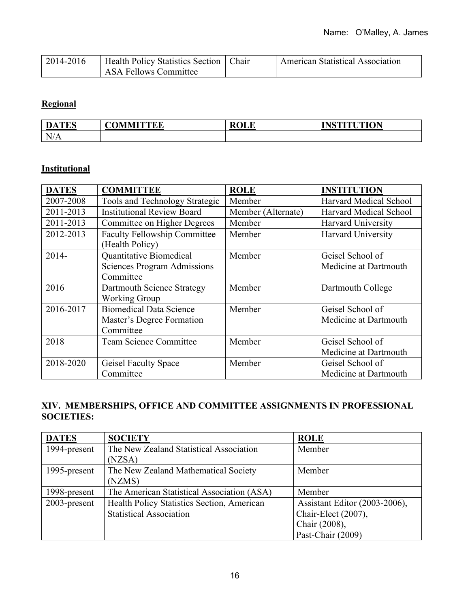| 2014-2016 | Health Policy Statistics Section   Chair | <b>American Statistical Association</b> |
|-----------|------------------------------------------|-----------------------------------------|
|           | ASA Fellows Committee                    |                                         |

# **Regional**

| <b>TIRC</b><br>DA<br>/ I L'O | 'OMMITTEE | DOI E<br>பட | INSTITUTION |
|------------------------------|-----------|-------------|-------------|
| T<br>N/A                     |           |             |             |

### **Institutional**

| <b>DATES</b> | <b>COMMITTEE</b>                                       | <b>ROLE</b>        | <b>INSTITUTION</b>        |
|--------------|--------------------------------------------------------|--------------------|---------------------------|
| 2007-2008    | Tools and Technology Strategic                         | Member             | Harvard Medical School    |
| 2011-2013    | <b>Institutional Review Board</b>                      | Member (Alternate) | Harvard Medical School    |
| 2011-2013    | Committee on Higher Degrees                            | Member             | <b>Harvard University</b> |
| 2012-2013    | <b>Faculty Fellowship Committee</b><br>(Health Policy) | Member             | <b>Harvard University</b> |
| $2014 -$     | Quantitative Biomedical                                | Member             | Geisel School of          |
|              | <b>Sciences Program Admissions</b>                     |                    | Medicine at Dartmouth     |
|              | Committee                                              |                    |                           |
| 2016         | Dartmouth Science Strategy                             | Member             | Dartmouth College         |
|              | <b>Working Group</b>                                   |                    |                           |
| 2016-2017    | <b>Biomedical Data Science</b>                         | Member             | Geisel School of          |
|              | Master's Degree Formation                              |                    | Medicine at Dartmouth     |
|              | Committee                                              |                    |                           |
| 2018         | <b>Team Science Committee</b>                          | Member             | Geisel School of          |
|              |                                                        |                    | Medicine at Dartmouth     |
| 2018-2020    | <b>Geisel Faculty Space</b>                            | Member             | Geisel School of          |
|              | Committee                                              |                    | Medicine at Dartmouth     |

### **XIV. MEMBERSHIPS, OFFICE AND COMMITTEE ASSIGNMENTS IN PROFESSIONAL SOCIETIES:**

| <b>DATES</b> | <b>SOCIETY</b>                             | <b>ROLE</b>                   |
|--------------|--------------------------------------------|-------------------------------|
| 1994-present | The New Zealand Statistical Association    | Member                        |
|              | (NZSA)                                     |                               |
| 1995-present | The New Zealand Mathematical Society       | Member                        |
|              | (NZMS)                                     |                               |
| 1998-present | The American Statistical Association (ASA) | Member                        |
| 2003-present | Health Policy Statistics Section, American | Assistant Editor (2003-2006), |
|              | <b>Statistical Association</b>             | Chair-Elect (2007),           |
|              |                                            | Chair (2008),                 |
|              |                                            | Past-Chair (2009)             |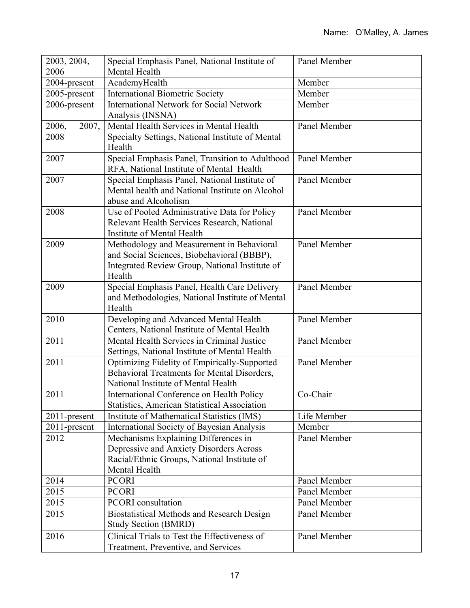| 2003, 2004,<br>2006 | Special Emphasis Panel, National Institute of<br>Mental Health                                                                                      | Panel Member |
|---------------------|-----------------------------------------------------------------------------------------------------------------------------------------------------|--------------|
| 2004-present        | AcademyHealth                                                                                                                                       | Member       |
| 2005-present        | <b>International Biometric Society</b>                                                                                                              | Member       |
| 2006-present        | <b>International Network for Social Network</b>                                                                                                     | Member       |
|                     | Analysis (INSNA)                                                                                                                                    |              |
| 2007,<br>2006,      | Mental Health Services in Mental Health                                                                                                             | Panel Member |
| 2008                | Specialty Settings, National Institute of Mental<br>Health                                                                                          |              |
| 2007                | Special Emphasis Panel, Transition to Adulthood<br>RFA, National Institute of Mental Health                                                         | Panel Member |
| 2007                | Special Emphasis Panel, National Institute of<br>Mental health and National Institute on Alcohol<br>abuse and Alcoholism                            | Panel Member |
| 2008                | Use of Pooled Administrative Data for Policy<br>Relevant Health Services Research, National<br>Institute of Mental Health                           | Panel Member |
| 2009                | Methodology and Measurement in Behavioral<br>and Social Sciences, Biobehavioral (BBBP),<br>Integrated Review Group, National Institute of<br>Health | Panel Member |
| 2009                | Special Emphasis Panel, Health Care Delivery<br>and Methodologies, National Institute of Mental<br>Health                                           | Panel Member |
| 2010                | Developing and Advanced Mental Health<br>Centers, National Institute of Mental Health                                                               | Panel Member |
| 2011                | Mental Health Services in Criminal Justice<br>Settings, National Institute of Mental Health                                                         | Panel Member |
| 2011                | Optimizing Fidelity of Empirically-Supported<br>Behavioral Treatments for Mental Disorders,<br>National Institute of Mental Health                  | Panel Member |
| 2011                | International Conference on Health Policy<br><b>Statistics, American Statistical Association</b>                                                    | Co-Chair     |
| $2011$ -present     | Institute of Mathematical Statistics (IMS)                                                                                                          | Life Member  |
| 2011-present        | International Society of Bayesian Analysis                                                                                                          | Member       |
| 2012                | Mechanisms Explaining Differences in                                                                                                                | Panel Member |
|                     | Depressive and Anxiety Disorders Across                                                                                                             |              |
|                     | Racial/Ethnic Groups, National Institute of                                                                                                         |              |
|                     | Mental Health                                                                                                                                       |              |
| 2014                | <b>PCORI</b>                                                                                                                                        | Panel Member |
| 2015                | <b>PCORI</b>                                                                                                                                        | Panel Member |
| 2015                | PCORI consultation                                                                                                                                  | Panel Member |
| 2015                | <b>Biostatistical Methods and Research Design</b><br>Study Section (BMRD)                                                                           | Panel Member |
| 2016                | Clinical Trials to Test the Effectiveness of<br>Treatment, Preventive, and Services                                                                 | Panel Member |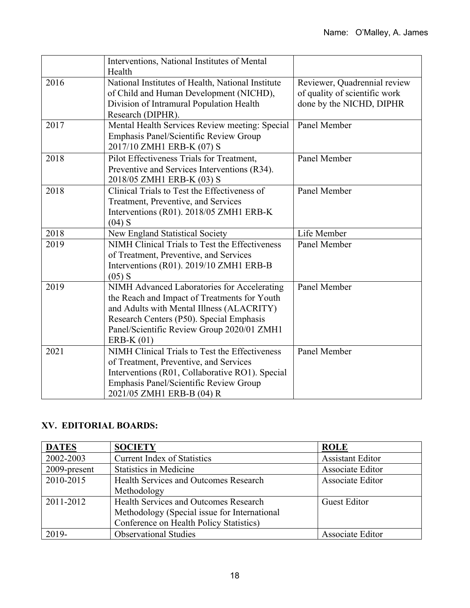|      | Interventions, National Institutes of Mental<br>Health                                                                                                                                                                                             |                                                                                           |
|------|----------------------------------------------------------------------------------------------------------------------------------------------------------------------------------------------------------------------------------------------------|-------------------------------------------------------------------------------------------|
| 2016 | National Institutes of Health, National Institute<br>of Child and Human Development (NICHD),<br>Division of Intramural Population Health<br>Research (DIPHR).                                                                                      | Reviewer, Quadrennial review<br>of quality of scientific work<br>done by the NICHD, DIPHR |
| 2017 | Mental Health Services Review meeting: Special<br>Emphasis Panel/Scientific Review Group<br>2017/10 ZMH1 ERB-K (07) S                                                                                                                              | Panel Member                                                                              |
| 2018 | Pilot Effectiveness Trials for Treatment,<br>Preventive and Services Interventions (R34).<br>2018/05 ZMH1 ERB-K (03) S                                                                                                                             | Panel Member                                                                              |
| 2018 | Clinical Trials to Test the Effectiveness of<br>Treatment, Preventive, and Services<br>Interventions (R01). 2018/05 ZMH1 ERB-K<br>$(04)$ S                                                                                                         | Panel Member                                                                              |
| 2018 | New England Statistical Society                                                                                                                                                                                                                    | Life Member                                                                               |
| 2019 | NIMH Clinical Trials to Test the Effectiveness<br>of Treatment, Preventive, and Services<br>Interventions (R01). 2019/10 ZMH1 ERB-B<br>$(05)$ S                                                                                                    | Panel Member                                                                              |
| 2019 | NIMH Advanced Laboratories for Accelerating<br>the Reach and Impact of Treatments for Youth<br>and Adults with Mental Illness (ALACRITY)<br>Research Centers (P50). Special Emphasis<br>Panel/Scientific Review Group 2020/01 ZMH1<br>ERB-K $(01)$ | Panel Member                                                                              |
| 2021 | NIMH Clinical Trials to Test the Effectiveness<br>of Treatment, Preventive, and Services<br>Interventions (R01, Collaborative RO1). Special<br>Emphasis Panel/Scientific Review Group<br>2021/05 ZMH1 ERB-B (04) R                                 | Panel Member                                                                              |

# **XV. EDITORIAL BOARDS:**

| <b>DATES</b> | <b>SOCIETY</b>                               | <b>ROLE</b>             |
|--------------|----------------------------------------------|-------------------------|
| 2002-2003    | <b>Current Index of Statistics</b>           | <b>Assistant Editor</b> |
| 2009-present | <b>Statistics in Medicine</b>                | Associate Editor        |
| 2010-2015    | Health Services and Outcomes Research        | Associate Editor        |
|              | Methodology                                  |                         |
| 2011-2012    | Health Services and Outcomes Research        | <b>Guest Editor</b>     |
|              | Methodology (Special issue for International |                         |
|              | Conference on Health Policy Statistics)      |                         |
| 2019-        | <b>Observational Studies</b>                 | Associate Editor        |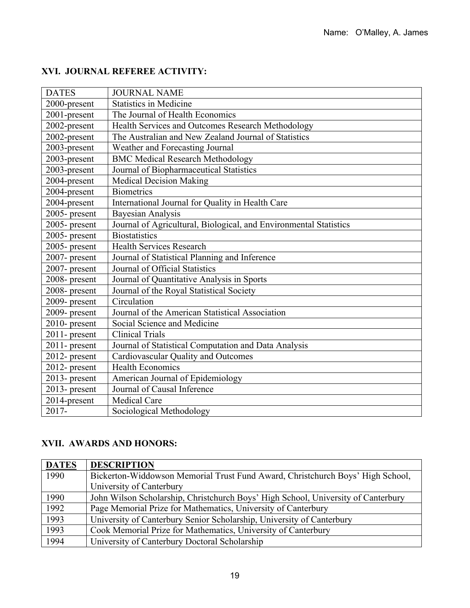# **XVI. JOURNAL REFEREE ACTIVITY:**

| <b>DATES</b>     | <b>JOURNAL NAME</b>                                               |
|------------------|-------------------------------------------------------------------|
| 2000-present     | <b>Statistics in Medicine</b>                                     |
| 2001-present     | The Journal of Health Economics                                   |
| 2002-present     | Health Services and Outcomes Research Methodology                 |
| 2002-present     | The Australian and New Zealand Journal of Statistics              |
| 2003-present     | Weather and Forecasting Journal                                   |
| 2003-present     | <b>BMC Medical Research Methodology</b>                           |
| 2003-present     | Journal of Biopharmaceutical Statistics                           |
| 2004-present     | <b>Medical Decision Making</b>                                    |
| 2004-present     | <b>Biometrics</b>                                                 |
| 2004-present     | International Journal for Quality in Health Care                  |
| $2005$ - present | Bayesian Analysis                                                 |
| 2005-present     | Journal of Agricultural, Biological, and Environmental Statistics |
| 2005-present     | <b>Biostatistics</b>                                              |
| 2005-present     | <b>Health Services Research</b>                                   |
| 2007- present    | Journal of Statistical Planning and Inference                     |
| 2007- present    | Journal of Official Statistics                                    |
| 2008- present    | Journal of Quantitative Analysis in Sports                        |
| 2008-present     | Journal of the Royal Statistical Society                          |
| 2009- present    | Circulation                                                       |
| 2009- present    | Journal of the American Statistical Association                   |
| $2010$ - present | Social Science and Medicine                                       |
| $2011$ - present | <b>Clinical Trials</b>                                            |
| $2011$ - present | Journal of Statistical Computation and Data Analysis              |
| $2012$ - present | Cardiovascular Quality and Outcomes                               |
| 2012- present    | <b>Health Economics</b>                                           |
| $2013$ - present | American Journal of Epidemiology                                  |
| $2013$ - present | Journal of Causal Inference                                       |
| 2014-present     | <b>Medical Care</b>                                               |
| 2017-            | Sociological Methodology                                          |

# **XVII. AWARDS AND HONORS:**

| <b>DATES</b> | <b>DESCRIPTION</b>                                                                |
|--------------|-----------------------------------------------------------------------------------|
| 1990         | Bickerton-Widdowson Memorial Trust Fund Award, Christchurch Boys' High School,    |
|              | University of Canterbury                                                          |
| 1990         | John Wilson Scholarship, Christchurch Boys' High School, University of Canterbury |
| 1992         | Page Memorial Prize for Mathematics, University of Canterbury                     |
| 1993         | University of Canterbury Senior Scholarship, University of Canterbury             |
| 1993         | Cook Memorial Prize for Mathematics, University of Canterbury                     |
| 1994         | University of Canterbury Doctoral Scholarship                                     |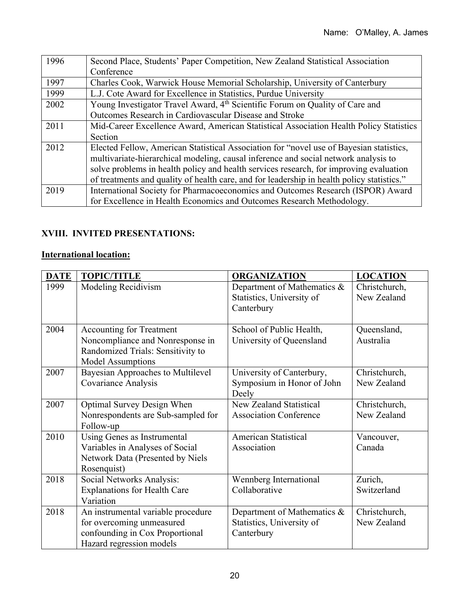| 1996 | Second Place, Students' Paper Competition, New Zealand Statistical Association             |
|------|--------------------------------------------------------------------------------------------|
|      | Conference                                                                                 |
| 1997 | Charles Cook, Warwick House Memorial Scholarship, University of Canterbury                 |
| 1999 | L.J. Cote Award for Excellence in Statistics, Purdue University                            |
| 2002 | Young Investigator Travel Award, 4 <sup>th</sup> Scientific Forum on Quality of Care and   |
|      | Outcomes Research in Cardiovascular Disease and Stroke                                     |
| 2011 | Mid-Career Excellence Award, American Statistical Association Health Policy Statistics     |
|      | Section                                                                                    |
| 2012 | Elected Fellow, American Statistical Association for "novel use of Bayesian statistics,    |
|      | multivariate-hierarchical modeling, causal inference and social network analysis to        |
|      | solve problems in health policy and health services research, for improving evaluation     |
|      | of treatments and quality of health care, and for leadership in health policy statistics." |
| 2019 | International Society for Pharmacoeconomics and Outcomes Research (ISPOR) Award            |
|      | for Excellence in Health Economics and Outcomes Research Methodology.                      |

# **XVIII. INVITED PRESENTATIONS:**

# **International location:**

| <b>DATE</b> | <b>TOPIC/TITLE</b>                                                                                                                   | <b>ORGANIZATION</b>                                                    | <b>LOCATION</b>              |
|-------------|--------------------------------------------------------------------------------------------------------------------------------------|------------------------------------------------------------------------|------------------------------|
| 1999        | Modeling Recidivism                                                                                                                  | Department of Mathematics &<br>Statistics, University of<br>Canterbury | Christchurch,<br>New Zealand |
| 2004        | <b>Accounting for Treatment</b><br>Noncompliance and Nonresponse in<br>Randomized Trials: Sensitivity to<br><b>Model Assumptions</b> | School of Public Health,<br>University of Queensland                   | Queensland,<br>Australia     |
| 2007        | Bayesian Approaches to Multilevel<br>Covariance Analysis                                                                             | University of Canterbury,<br>Symposium in Honor of John<br>Deely       | Christchurch,<br>New Zealand |
| 2007        | Optimal Survey Design When<br>Nonrespondents are Sub-sampled for<br>Follow-up                                                        | <b>New Zealand Statistical</b><br><b>Association Conference</b>        | Christchurch,<br>New Zealand |
| 2010        | Using Genes as Instrumental<br>Variables in Analyses of Social<br>Network Data (Presented by Niels<br>Rosenquist)                    | <b>American Statistical</b><br>Association                             | Vancouver,<br>Canada         |
| 2018        | Social Networks Analysis:<br><b>Explanations for Health Care</b><br>Variation                                                        | Wennberg International<br>Collaborative                                | Zurich,<br>Switzerland       |
| 2018        | An instrumental variable procedure<br>for overcoming unmeasured<br>confounding in Cox Proportional<br>Hazard regression models       | Department of Mathematics &<br>Statistics, University of<br>Canterbury | Christchurch,<br>New Zealand |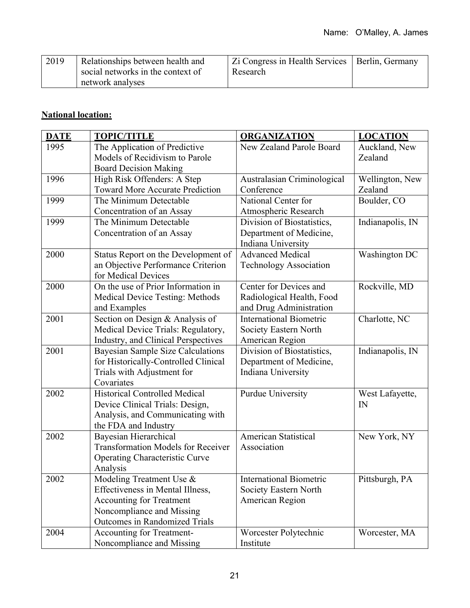| 2019 | Relationships between health and  | Zi Congress in Health Services   Berlin, Germany |  |
|------|-----------------------------------|--------------------------------------------------|--|
|      | social networks in the context of | Research                                         |  |
|      | network analyses                  |                                                  |  |

### **National location:**

| <b>DATE</b> | <b>TOPIC/TITLE</b>                                                                                                                                                   | <b>ORGANIZATION</b>                                                            | <b>LOCATION</b>            |
|-------------|----------------------------------------------------------------------------------------------------------------------------------------------------------------------|--------------------------------------------------------------------------------|----------------------------|
| 1995        | The Application of Predictive<br>Models of Recidivism to Parole<br><b>Board Decision Making</b>                                                                      | New Zealand Parole Board                                                       | Auckland, New<br>Zealand   |
| 1996        | High Risk Offenders: A Step<br><b>Toward More Accurate Prediction</b>                                                                                                | Australasian Criminological<br>Conference                                      | Wellington, New<br>Zealand |
| 1999        | The Minimum Detectable<br>Concentration of an Assay                                                                                                                  | National Center for<br>Atmospheric Research                                    | Boulder, CO                |
| 1999        | The Minimum Detectable<br>Concentration of an Assay                                                                                                                  | Division of Biostatistics,<br>Department of Medicine,<br>Indiana University    | Indianapolis, IN           |
| 2000        | Status Report on the Development of<br>an Objective Performance Criterion<br>for Medical Devices                                                                     | <b>Advanced Medical</b><br><b>Technology Association</b>                       | Washington DC              |
| 2000        | On the use of Prior Information in<br><b>Medical Device Testing: Methods</b><br>and Examples                                                                         | Center for Devices and<br>Radiological Health, Food<br>and Drug Administration | Rockville, MD              |
| 2001        | Section on Design & Analysis of<br>Medical Device Trials: Regulatory,<br>Industry, and Clinical Perspectives                                                         | <b>International Biometric</b><br>Society Eastern North<br>American Region     | Charlotte, NC              |
| 2001        | <b>Bayesian Sample Size Calculations</b><br>for Historically-Controlled Clinical<br>Trials with Adjustment for<br>Covariates                                         | Division of Biostatistics,<br>Department of Medicine,<br>Indiana University    | Indianapolis, IN           |
| 2002        | <b>Historical Controlled Medical</b><br>Device Clinical Trials: Design,<br>Analysis, and Communicating with<br>the FDA and Industry                                  | <b>Purdue University</b>                                                       | West Lafayette,<br>IN      |
| 2002        | Bayesian Hierarchical<br><b>Transformation Models for Receiver</b><br><b>Operating Characteristic Curve</b><br>Analysis                                              | <b>American Statistical</b><br>Association                                     | New York, NY               |
| 2002        | Modeling Treatment Use &<br>Effectiveness in Mental Illness,<br><b>Accounting for Treatment</b><br>Noncompliance and Missing<br><b>Outcomes in Randomized Trials</b> | <b>International Biometric</b><br>Society Eastern North<br>American Region     | Pittsburgh, PA             |
| 2004        | Accounting for Treatment-<br>Noncompliance and Missing                                                                                                               | Worcester Polytechnic<br>Institute                                             | Worcester, MA              |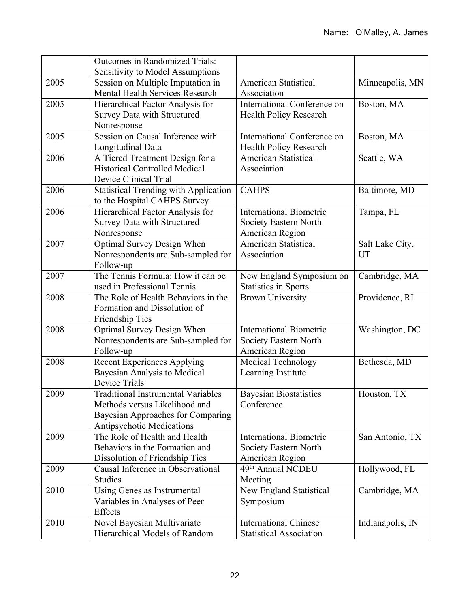|      | <b>Outcomes in Randomized Trials:</b>        |                                |                  |
|------|----------------------------------------------|--------------------------------|------------------|
|      | Sensitivity to Model Assumptions             |                                |                  |
| 2005 | Session on Multiple Imputation in            | <b>American Statistical</b>    | Minneapolis, MN  |
|      | Mental Health Services Research              | Association                    |                  |
| 2005 | Hierarchical Factor Analysis for             | International Conference on    | Boston, MA       |
|      | <b>Survey Data with Structured</b>           | <b>Health Policy Research</b>  |                  |
|      | Nonresponse                                  |                                |                  |
| 2005 | Session on Causal Inference with             | International Conference on    | Boston, MA       |
|      | Longitudinal Data                            | <b>Health Policy Research</b>  |                  |
| 2006 | A Tiered Treatment Design for a              | <b>American Statistical</b>    | Seattle, WA      |
|      | <b>Historical Controlled Medical</b>         | Association                    |                  |
|      | Device Clinical Trial                        |                                |                  |
| 2006 | <b>Statistical Trending with Application</b> | <b>CAHPS</b>                   | Baltimore, MD    |
|      | to the Hospital CAHPS Survey                 |                                |                  |
| 2006 | Hierarchical Factor Analysis for             | <b>International Biometric</b> | Tampa, FL        |
|      | Survey Data with Structured                  | Society Eastern North          |                  |
|      | Nonresponse                                  | American Region                |                  |
| 2007 | Optimal Survey Design When                   | <b>American Statistical</b>    | Salt Lake City,  |
|      | Nonrespondents are Sub-sampled for           | Association                    | UT               |
|      | Follow-up                                    |                                |                  |
| 2007 | The Tennis Formula: How it can be            | New England Symposium on       | Cambridge, MA    |
|      | used in Professional Tennis                  | <b>Statistics in Sports</b>    |                  |
| 2008 | The Role of Health Behaviors in the          | <b>Brown University</b>        | Providence, RI   |
|      | Formation and Dissolution of                 |                                |                  |
|      | Friendship Ties                              |                                |                  |
| 2008 | Optimal Survey Design When                   | <b>International Biometric</b> | Washington, DC   |
|      | Nonrespondents are Sub-sampled for           | Society Eastern North          |                  |
|      | Follow-up                                    | American Region                |                  |
| 2008 | <b>Recent Experiences Applying</b>           | <b>Medical Technology</b>      | Bethesda, MD     |
|      | Bayesian Analysis to Medical                 | Learning Institute             |                  |
|      | <b>Device Trials</b>                         |                                |                  |
| 2009 | <b>Traditional Instrumental Variables</b>    | <b>Bayesian Biostatistics</b>  | Houston, TX      |
|      | Methods versus Likelihood and                | Conference                     |                  |
|      | Bayesian Approaches for Comparing            |                                |                  |
|      | <b>Antipsychotic Medications</b>             |                                |                  |
| 2009 | The Role of Health and Health                | <b>International Biometric</b> | San Antonio, TX  |
|      | Behaviors in the Formation and               | Society Eastern North          |                  |
|      | Dissolution of Friendship Ties               | American Region                |                  |
| 2009 | Causal Inference in Observational            | 49 <sup>th</sup> Annual NCDEU  | Hollywood, FL    |
|      | <b>Studies</b>                               | Meeting                        |                  |
| 2010 | Using Genes as Instrumental                  | New England Statistical        | Cambridge, MA    |
|      | Variables in Analyses of Peer                | Symposium                      |                  |
|      | Effects                                      |                                |                  |
| 2010 | Novel Bayesian Multivariate                  | <b>International Chinese</b>   | Indianapolis, IN |
|      | Hierarchical Models of Random                | <b>Statistical Association</b> |                  |
|      |                                              |                                |                  |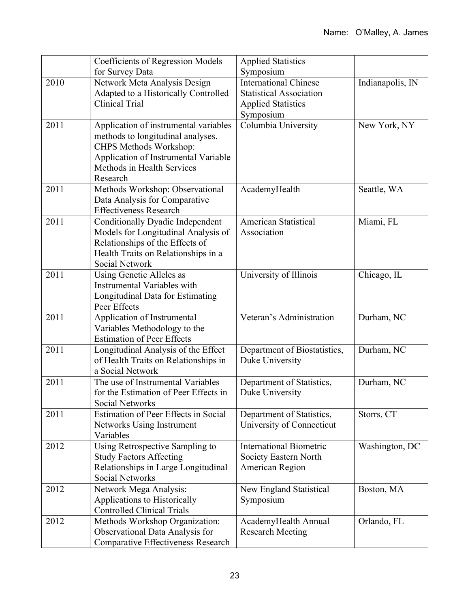|      | <b>Coefficients of Regression Models</b>                               | <b>Applied Statistics</b>                                      |                  |
|------|------------------------------------------------------------------------|----------------------------------------------------------------|------------------|
|      | for Survey Data                                                        | Symposium                                                      |                  |
| 2010 | Network Meta Analysis Design<br>Adapted to a Historically Controlled   | <b>International Chinese</b><br><b>Statistical Association</b> | Indianapolis, IN |
|      | Clinical Trial                                                         | <b>Applied Statistics</b>                                      |                  |
|      |                                                                        | Symposium                                                      |                  |
| 2011 | Application of instrumental variables                                  | Columbia University                                            | New York, NY     |
|      | methods to longitudinal analyses.                                      |                                                                |                  |
|      | CHPS Methods Workshop:                                                 |                                                                |                  |
|      | Application of Instrumental Variable<br>Methods in Health Services     |                                                                |                  |
|      | Research                                                               |                                                                |                  |
| 2011 | Methods Workshop: Observational                                        | AcademyHealth                                                  | Seattle, WA      |
|      | Data Analysis for Comparative                                          |                                                                |                  |
|      | <b>Effectiveness Research</b>                                          |                                                                |                  |
| 2011 | Conditionally Dyadic Independent                                       | American Statistical                                           | Miami, FL        |
|      | Models for Longitudinal Analysis of                                    | Association                                                    |                  |
|      | Relationships of the Effects of<br>Health Traits on Relationships in a |                                                                |                  |
|      | <b>Social Network</b>                                                  |                                                                |                  |
| 2011 | Using Genetic Alleles as                                               | University of Illinois                                         | Chicago, IL      |
|      | Instrumental Variables with                                            |                                                                |                  |
|      | Longitudinal Data for Estimating                                       |                                                                |                  |
|      | Peer Effects                                                           |                                                                |                  |
| 2011 | Application of Instrumental                                            | Veteran's Administration                                       | Durham, NC       |
|      | Variables Methodology to the<br><b>Estimation of Peer Effects</b>      |                                                                |                  |
| 2011 | Longitudinal Analysis of the Effect                                    | Department of Biostatistics,                                   | Durham, NC       |
|      | of Health Traits on Relationships in                                   | Duke University                                                |                  |
|      | a Social Network                                                       |                                                                |                  |
| 2011 | The use of Instrumental Variables                                      | Department of Statistics,                                      | Durham, NC       |
|      | for the Estimation of Peer Effects in                                  | Duke University                                                |                  |
| 2011 | <b>Social Networks</b><br><b>Estimation of Peer Effects in Social</b>  |                                                                | Storrs, CT       |
|      | <b>Networks Using Instrument</b>                                       | Department of Statistics,<br>University of Connecticut         |                  |
|      | Variables                                                              |                                                                |                  |
| 2012 | Using Retrospective Sampling to                                        | <b>International Biometric</b>                                 | Washington, DC   |
|      | <b>Study Factors Affecting</b>                                         | Society Eastern North                                          |                  |
|      | Relationships in Large Longitudinal                                    | American Region                                                |                  |
| 2012 | <b>Social Networks</b>                                                 |                                                                |                  |
|      | Network Mega Analysis:<br>Applications to Historically                 | New England Statistical<br>Symposium                           | Boston, MA       |
|      | <b>Controlled Clinical Trials</b>                                      |                                                                |                  |
| 2012 | Methods Workshop Organization:                                         | AcademyHealth Annual                                           | Orlando, FL      |
|      | Observational Data Analysis for                                        | <b>Research Meeting</b>                                        |                  |
|      | <b>Comparative Effectiveness Research</b>                              |                                                                |                  |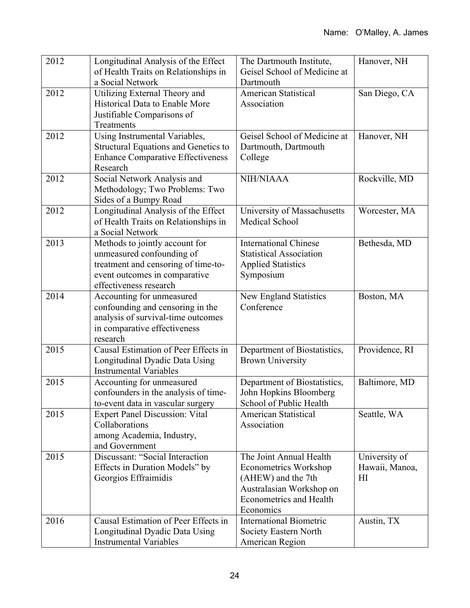| 2012 | Longitudinal Analysis of the Effect<br>of Health Traits on Relationships in<br>a Social Network                                                               | The Dartmouth Institute,<br>Geisel School of Medicine at<br>Dartmouth                                                                                    | Hanover, NH                                       |
|------|---------------------------------------------------------------------------------------------------------------------------------------------------------------|----------------------------------------------------------------------------------------------------------------------------------------------------------|---------------------------------------------------|
| 2012 | Utilizing External Theory and<br>Historical Data to Enable More<br>Justifiable Comparisons of<br>Treatments                                                   | <b>American Statistical</b><br>Association                                                                                                               | San Diego, CA                                     |
| 2012 | Using Instrumental Variables,<br>Structural Equations and Genetics to<br><b>Enhance Comparative Effectiveness</b><br>Research                                 | Geisel School of Medicine at<br>Dartmouth, Dartmouth<br>College                                                                                          | Hanover, NH                                       |
| 2012 | Social Network Analysis and<br>Methodology; Two Problems: Two<br>Sides of a Bumpy Road                                                                        | NIH/NIAAA                                                                                                                                                | Rockville, MD                                     |
| 2012 | Longitudinal Analysis of the Effect<br>of Health Traits on Relationships in<br>a Social Network                                                               | University of Massachusetts<br>Medical School                                                                                                            | Worcester, MA                                     |
| 2013 | Methods to jointly account for<br>unmeasured confounding of<br>treatment and censoring of time-to-<br>event outcomes in comparative<br>effectiveness research | <b>International Chinese</b><br><b>Statistical Association</b><br><b>Applied Statistics</b><br>Symposium                                                 | Bethesda, MD                                      |
| 2014 | Accounting for unmeasured<br>confounding and censoring in the<br>analysis of survival-time outcomes<br>in comparative effectiveness<br>research               | New England Statistics<br>Conference                                                                                                                     | Boston, MA                                        |
| 2015 | Causal Estimation of Peer Effects in<br>Longitudinal Dyadic Data Using<br><b>Instrumental Variables</b>                                                       | Department of Biostatistics,<br><b>Brown University</b>                                                                                                  | Providence, RI                                    |
| 2015 | Accounting for unmeasured<br>confounders in the analysis of time-<br>to-event data in vascular surgery                                                        | Department of Biostatistics,<br>John Hopkins Bloomberg<br>School of Public Health                                                                        | Baltimore, MD                                     |
| 2015 | <b>Expert Panel Discussion: Vital</b><br>Collaborations<br>among Academia, Industry,<br>and Government                                                        | American Statistical<br>Association                                                                                                                      | Seattle, WA                                       |
| 2015 | Discussant: "Social Interaction<br>Effects in Duration Models" by<br>Georgios Effraimidis                                                                     | The Joint Annual Health<br><b>Econometrics Workshop</b><br>(AHEW) and the 7th<br>Australasian Workshop on<br><b>Econometrics and Health</b><br>Economics | University of<br>Hawaii, Manoa,<br>H <sub>I</sub> |
| 2016 | Causal Estimation of Peer Effects in<br>Longitudinal Dyadic Data Using<br><b>Instrumental Variables</b>                                                       | <b>International Biometric</b><br>Society Eastern North<br>American Region                                                                               | Austin, TX                                        |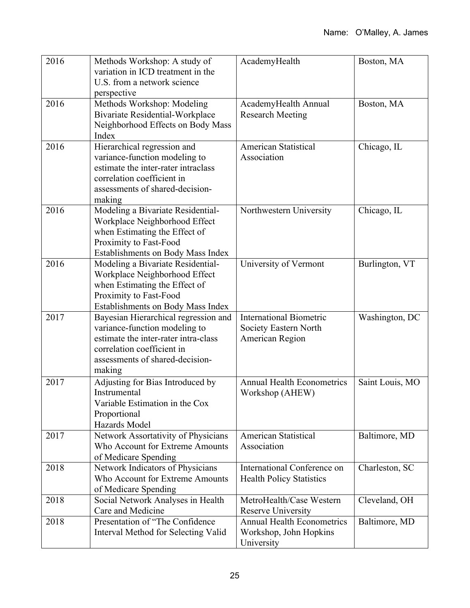| 2016 | Methods Workshop: A study of<br>variation in ICD treatment in the<br>U.S. from a network science<br>perspective                                                                          | AcademyHealth                                                              | Boston, MA      |
|------|------------------------------------------------------------------------------------------------------------------------------------------------------------------------------------------|----------------------------------------------------------------------------|-----------------|
| 2016 | Methods Workshop: Modeling<br>Bivariate Residential-Workplace<br>Neighborhood Effects on Body Mass<br>Index                                                                              | AcademyHealth Annual<br><b>Research Meeting</b>                            | Boston, MA      |
| 2016 | Hierarchical regression and<br>variance-function modeling to<br>estimate the inter-rater intraclass<br>correlation coefficient in<br>assessments of shared-decision-<br>making           | <b>American Statistical</b><br>Association                                 | Chicago, IL     |
| 2016 | Modeling a Bivariate Residential-<br>Workplace Neighborhood Effect<br>when Estimating the Effect of<br>Proximity to Fast-Food<br>Establishments on Body Mass Index                       | Northwestern University                                                    | Chicago, IL     |
| 2016 | Modeling a Bivariate Residential-<br>Workplace Neighborhood Effect<br>when Estimating the Effect of<br>Proximity to Fast-Food<br>Establishments on Body Mass Index                       | University of Vermont                                                      | Burlington, VT  |
| 2017 | Bayesian Hierarchical regression and<br>variance-function modeling to<br>estimate the inter-rater intra-class<br>correlation coefficient in<br>assessments of shared-decision-<br>making | <b>International Biometric</b><br>Society Eastern North<br>American Region | Washington, DC  |
| 2017 | Adjusting for Bias Introduced by<br>Instrumental<br>Variable Estimation in the Cox<br>Proportional<br>Hazards Model                                                                      | <b>Annual Health Econometrics</b><br>Workshop (AHEW)                       | Saint Louis, MO |
| 2017 | Network Assortativity of Physicians<br>Who Account for Extreme Amounts<br>of Medicare Spending                                                                                           | <b>American Statistical</b><br>Association                                 | Baltimore, MD   |
| 2018 | Network Indicators of Physicians<br>Who Account for Extreme Amounts<br>of Medicare Spending                                                                                              | International Conference on<br><b>Health Policy Statistics</b>             | Charleston, SC  |
| 2018 | Social Network Analyses in Health<br>Care and Medicine                                                                                                                                   | MetroHealth/Case Western<br><b>Reserve University</b>                      | Cleveland, OH   |
| 2018 | Presentation of "The Confidence<br>Interval Method for Selecting Valid                                                                                                                   | <b>Annual Health Econometrics</b><br>Workshop, John Hopkins<br>University  | Baltimore, MD   |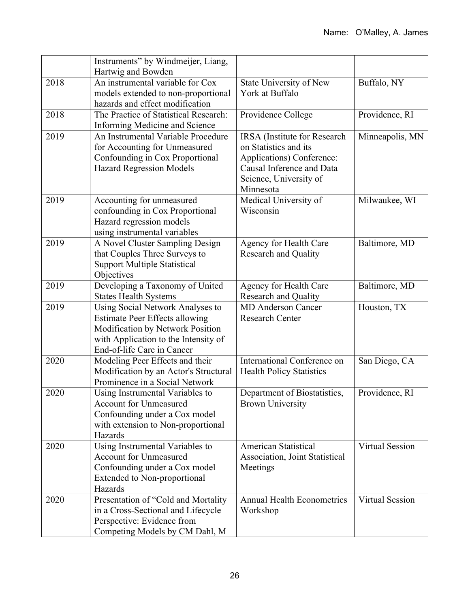|      | Instruments" by Windmeijer, Liang,<br>Hartwig and Bowden                                                                                                                            |                                                                                                                                                        |                        |
|------|-------------------------------------------------------------------------------------------------------------------------------------------------------------------------------------|--------------------------------------------------------------------------------------------------------------------------------------------------------|------------------------|
| 2018 | An instrumental variable for Cox<br>models extended to non-proportional<br>hazards and effect modification                                                                          | State University of New<br>York at Buffalo                                                                                                             | Buffalo, NY            |
| 2018 | The Practice of Statistical Research:<br>Informing Medicine and Science                                                                                                             | Providence College                                                                                                                                     | Providence, RI         |
| 2019 | An Instrumental Variable Procedure<br>for Accounting for Unmeasured<br>Confounding in Cox Proportional<br><b>Hazard Regression Models</b>                                           | IRSA (Institute for Research<br>on Statistics and its<br>Applications) Conference:<br>Causal Inference and Data<br>Science, University of<br>Minnesota | Minneapolis, MN        |
| 2019 | Accounting for unmeasured<br>confounding in Cox Proportional<br>Hazard regression models<br>using instrumental variables                                                            | Medical University of<br>Wisconsin                                                                                                                     | Milwaukee, WI          |
| 2019 | A Novel Cluster Sampling Design<br>that Couples Three Surveys to<br><b>Support Multiple Statistical</b><br>Objectives                                                               | Agency for Health Care<br><b>Research and Quality</b>                                                                                                  | Baltimore, MD          |
| 2019 | Developing a Taxonomy of United<br><b>States Health Systems</b>                                                                                                                     | Agency for Health Care<br><b>Research and Quality</b>                                                                                                  | Baltimore, MD          |
| 2019 | Using Social Network Analyses to<br><b>Estimate Peer Effects allowing</b><br>Modification by Network Position<br>with Application to the Intensity of<br>End-of-life Care in Cancer | <b>MD Anderson Cancer</b><br><b>Research Center</b>                                                                                                    | Houston, TX            |
| 2020 | Modeling Peer Effects and their<br>Modification by an Actor's Structural<br>Prominence in a Social Network                                                                          | International Conference on<br><b>Health Policy Statistics</b>                                                                                         | San Diego, CA          |
| 2020 | Using Instrumental Variables to<br><b>Account for Unmeasured</b><br>Confounding under a Cox model<br>with extension to Non-proportional<br>Hazards                                  | Department of Biostatistics,<br><b>Brown University</b>                                                                                                | Providence, RI         |
| 2020 | Using Instrumental Variables to<br><b>Account for Unmeasured</b><br>Confounding under a Cox model<br><b>Extended to Non-proportional</b><br>Hazards                                 | <b>American Statistical</b><br>Association, Joint Statistical<br>Meetings                                                                              | <b>Virtual Session</b> |
| 2020 | Presentation of "Cold and Mortality<br>in a Cross-Sectional and Lifecycle<br>Perspective: Evidence from<br>Competing Models by CM Dahl, M                                           | <b>Annual Health Econometrics</b><br>Workshop                                                                                                          | <b>Virtual Session</b> |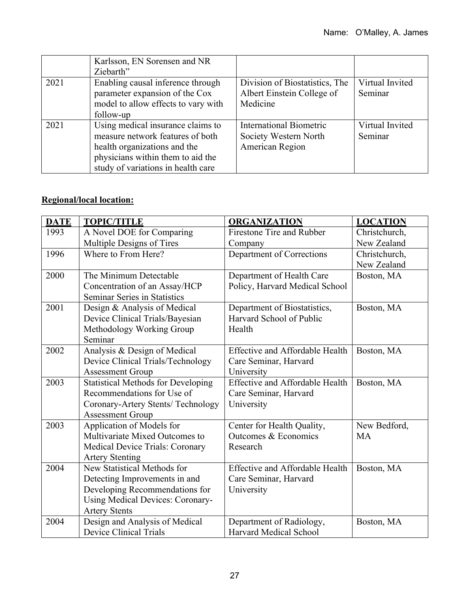|      | Karlsson, EN Sorensen and NR<br>Ziebarth"                                                                                                                                        |                                                                          |                            |
|------|----------------------------------------------------------------------------------------------------------------------------------------------------------------------------------|--------------------------------------------------------------------------|----------------------------|
| 2021 | Enabling causal inference through<br>parameter expansion of the Cox<br>model to allow effects to vary with<br>follow-up                                                          | Division of Biostatistics, The<br>Albert Einstein College of<br>Medicine | Virtual Invited<br>Seminar |
| 2021 | Using medical insurance claims to<br>measure network features of both<br>health organizations and the<br>physicians within them to aid the<br>study of variations in health care | International Biometric<br>Society Western North<br>American Region      | Virtual Invited<br>Seminar |

# **Regional/local location:**

| <b>DATE</b> | <b>TOPIC/TITLE</b>                        | <b>ORGANIZATION</b>                    | <b>LOCATION</b> |
|-------------|-------------------------------------------|----------------------------------------|-----------------|
| 1993        | A Novel DOE for Comparing                 | Firestone Tire and Rubber              | Christchurch,   |
|             | Multiple Designs of Tires                 | Company                                | New Zealand     |
| 1996        | Where to From Here?                       | Department of Corrections              | Christchurch,   |
|             |                                           |                                        | New Zealand     |
| 2000        | The Minimum Detectable                    | Department of Health Care              | Boston, MA      |
|             | Concentration of an Assay/HCP             | Policy, Harvard Medical School         |                 |
|             | <b>Seminar Series in Statistics</b>       |                                        |                 |
| 2001        | Design & Analysis of Medical              | Department of Biostatistics,           | Boston, MA      |
|             | Device Clinical Trials/Bayesian           | Harvard School of Public               |                 |
|             | Methodology Working Group                 | Health                                 |                 |
|             | Seminar                                   |                                        |                 |
| 2002        | Analysis & Design of Medical              | <b>Effective and Affordable Health</b> | Boston, MA      |
|             | Device Clinical Trials/Technology         | Care Seminar, Harvard                  |                 |
|             | <b>Assessment Group</b>                   | University                             |                 |
| 2003        | <b>Statistical Methods for Developing</b> | <b>Effective and Affordable Health</b> | Boston, MA      |
|             | Recommendations for Use of                | Care Seminar, Harvard                  |                 |
|             | Coronary-Artery Stents/ Technology        | University                             |                 |
|             | Assessment Group                          |                                        |                 |
| 2003        | Application of Models for                 | Center for Health Quality,             | New Bedford,    |
|             | Multivariate Mixed Outcomes to            | Outcomes & Economics                   | <b>MA</b>       |
|             | Medical Device Trials: Coronary           | Research                               |                 |
|             | <b>Artery Stenting</b>                    |                                        |                 |
| 2004        | New Statistical Methods for               | <b>Effective and Affordable Health</b> | Boston, MA      |
|             | Detecting Improvements in and             | Care Seminar, Harvard                  |                 |
|             | Developing Recommendations for            | University                             |                 |
|             | <b>Using Medical Devices: Coronary-</b>   |                                        |                 |
|             | <b>Artery Stents</b>                      |                                        |                 |
| 2004        | Design and Analysis of Medical            | Department of Radiology,               | Boston, MA      |
|             | <b>Device Clinical Trials</b>             | Harvard Medical School                 |                 |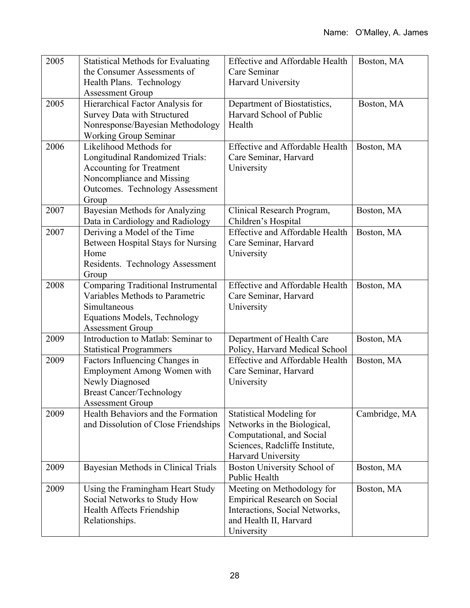| 2005 | <b>Statistical Methods for Evaluating</b><br>the Consumer Assessments of<br>Health Plans. Technology<br><b>Assessment Group</b>                                       | Effective and Affordable Health<br>Care Seminar<br>Harvard University                                                                               | Boston, MA    |
|------|-----------------------------------------------------------------------------------------------------------------------------------------------------------------------|-----------------------------------------------------------------------------------------------------------------------------------------------------|---------------|
| 2005 | Hierarchical Factor Analysis for<br><b>Survey Data with Structured</b><br>Nonresponse/Bayesian Methodology<br><b>Working Group Seminar</b>                            | Department of Biostatistics,<br>Harvard School of Public<br>Health                                                                                  | Boston, MA    |
| 2006 | Likelihood Methods for<br>Longitudinal Randomized Trials:<br><b>Accounting for Treatment</b><br>Noncompliance and Missing<br>Outcomes. Technology Assessment<br>Group | <b>Effective and Affordable Health</b><br>Care Seminar, Harvard<br>University                                                                       | Boston, MA    |
| 2007 | Bayesian Methods for Analyzing<br>Data in Cardiology and Radiology                                                                                                    | Clinical Research Program,<br>Children's Hospital                                                                                                   | Boston, MA    |
| 2007 | Deriving a Model of the Time<br>Between Hospital Stays for Nursing<br>Home<br>Residents. Technology Assessment<br>Group                                               | <b>Effective and Affordable Health</b><br>Care Seminar, Harvard<br>University                                                                       | Boston, MA    |
| 2008 | <b>Comparing Traditional Instrumental</b><br>Variables Methods to Parametric<br>Simultaneous<br>Equations Models, Technology<br><b>Assessment Group</b>               | <b>Effective and Affordable Health</b><br>Care Seminar, Harvard<br>University                                                                       | Boston, MA    |
| 2009 | Introduction to Matlab: Seminar to<br><b>Statistical Programmers</b>                                                                                                  | Department of Health Care<br>Policy, Harvard Medical School                                                                                         | Boston, MA    |
| 2009 | Factors Influencing Changes in<br>Employment Among Women with<br>Newly Diagnosed<br><b>Breast Cancer/Technology</b><br><b>Assessment Group</b>                        | <b>Effective and Affordable Health</b><br>Care Seminar, Harvard<br>University                                                                       | Boston, MA    |
| 2009 | Health Behaviors and the Formation<br>and Dissolution of Close Friendships                                                                                            | <b>Statistical Modeling for</b><br>Networks in the Biological,<br>Computational, and Social<br>Sciences, Radcliffe Institute,<br>Harvard University | Cambridge, MA |
| 2009 | Bayesian Methods in Clinical Trials                                                                                                                                   | Boston University School of<br>Public Health                                                                                                        | Boston, MA    |
| 2009 | Using the Framingham Heart Study<br>Social Networks to Study How<br>Health Affects Friendship<br>Relationships.                                                       | Meeting on Methodology for<br><b>Empirical Research on Social</b><br>Interactions, Social Networks,<br>and Health II, Harvard<br>University         | Boston, MA    |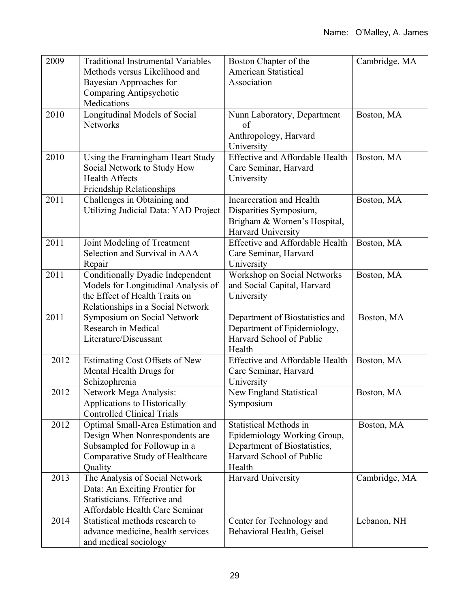| 2009 | <b>Traditional Instrumental Variables</b><br>Methods versus Likelihood and<br>Bayesian Approaches for<br>Comparing Antipsychotic                  | Boston Chapter of the<br><b>American Statistical</b><br>Association                                                                | Cambridge, MA |
|------|---------------------------------------------------------------------------------------------------------------------------------------------------|------------------------------------------------------------------------------------------------------------------------------------|---------------|
| 2010 | Medications<br>Longitudinal Models of Social<br><b>Networks</b>                                                                                   | Nunn Laboratory, Department<br>of<br>Anthropology, Harvard<br>University                                                           | Boston, MA    |
| 2010 | Using the Framingham Heart Study<br>Social Network to Study How<br><b>Health Affects</b><br>Friendship Relationships                              | <b>Effective and Affordable Health</b><br>Care Seminar, Harvard<br>University                                                      | Boston, MA    |
| 2011 | Challenges in Obtaining and<br>Utilizing Judicial Data: YAD Project                                                                               | Incarceration and Health<br>Disparities Symposium,<br>Brigham & Women's Hospital,<br>Harvard University                            | Boston, MA    |
| 2011 | Joint Modeling of Treatment<br>Selection and Survival in AAA<br>Repair                                                                            | <b>Effective and Affordable Health</b><br>Care Seminar, Harvard<br>University                                                      | Boston, MA    |
| 2011 | Conditionally Dyadic Independent<br>Models for Longitudinal Analysis of<br>the Effect of Health Traits on<br>Relationships in a Social Network    | Workshop on Social Networks<br>and Social Capital, Harvard<br>University                                                           | Boston, MA    |
| 2011 | Symposium on Social Network<br>Research in Medical<br>Literature/Discussant                                                                       | Department of Biostatistics and<br>Department of Epidemiology,<br>Harvard School of Public<br>Health                               | Boston, MA    |
| 2012 | Estimating Cost Offsets of New<br>Mental Health Drugs for<br>Schizophrenia                                                                        | <b>Effective and Affordable Health</b><br>Care Seminar, Harvard<br>University                                                      | Boston, MA    |
| 2012 | Network Mega Analysis:<br>Applications to Historically<br><b>Controlled Clinical Trials</b>                                                       | New England Statistical<br>Symposium                                                                                               | Boston, MA    |
| 2012 | Optimal Small-Area Estimation and<br>Design When Nonrespondents are<br>Subsampled for Followup in a<br>Comparative Study of Healthcare<br>Quality | <b>Statistical Methods in</b><br>Epidemiology Working Group,<br>Department of Biostatistics,<br>Harvard School of Public<br>Health | Boston, MA    |
| 2013 | The Analysis of Social Network<br>Data: An Exciting Frontier for<br>Statisticians. Effective and<br>Affordable Health Care Seminar                | Harvard University                                                                                                                 | Cambridge, MA |
| 2014 | Statistical methods research to<br>advance medicine, health services<br>and medical sociology                                                     | Center for Technology and<br>Behavioral Health, Geisel                                                                             | Lebanon, NH   |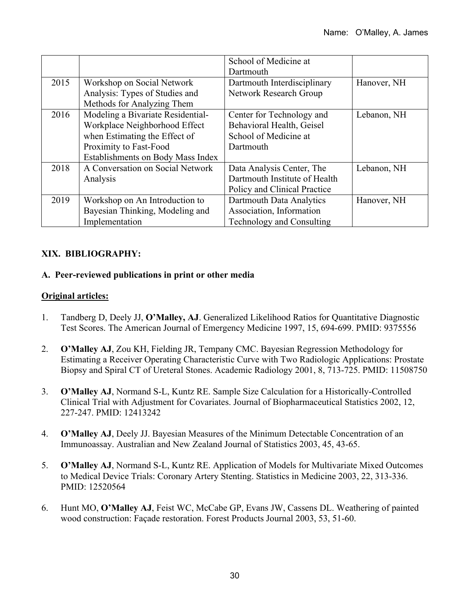|      |                                   | School of Medicine at            |             |
|------|-----------------------------------|----------------------------------|-------------|
|      |                                   | Dartmouth                        |             |
| 2015 | Workshop on Social Network        | Dartmouth Interdisciplinary      | Hanover, NH |
|      | Analysis: Types of Studies and    | Network Research Group           |             |
|      | Methods for Analyzing Them        |                                  |             |
| 2016 | Modeling a Bivariate Residential- | Center for Technology and        | Lebanon, NH |
|      | Workplace Neighborhood Effect     | Behavioral Health, Geisel        |             |
|      | when Estimating the Effect of     | School of Medicine at            |             |
|      | Proximity to Fast-Food            | Dartmouth                        |             |
|      | Establishments on Body Mass Index |                                  |             |
| 2018 | A Conversation on Social Network  | Data Analysis Center, The        | Lebanon, NH |
|      | Analysis                          | Dartmouth Institute of Health    |             |
|      |                                   | Policy and Clinical Practice     |             |
| 2019 | Workshop on An Introduction to    | Dartmouth Data Analytics         | Hanover, NH |
|      | Bayesian Thinking, Modeling and   | Association, Information         |             |
|      | Implementation                    | <b>Technology and Consulting</b> |             |

### **XIX. BIBLIOGRAPHY:**

#### **A. Peer-reviewed publications in print or other media**

#### **Original articles:**

- 1. Tandberg D, Deely JJ, **O'Malley, AJ**. Generalized Likelihood Ratios for Quantitative Diagnostic Test Scores. The American Journal of Emergency Medicine 1997, 15, 694-699. PMID: 9375556
- 2. **O'Malley AJ**, Zou KH, Fielding JR, Tempany CMC. Bayesian Regression Methodology for Estimating a Receiver Operating Characteristic Curve with Two Radiologic Applications: Prostate Biopsy and Spiral CT of Ureteral Stones. Academic Radiology 2001, 8, 713-725. PMID: 11508750
- 3. **O'Malley AJ**, Normand S-L, Kuntz RE. Sample Size Calculation for a Historically-Controlled Clinical Trial with Adjustment for Covariates. Journal of Biopharmaceutical Statistics 2002, 12, 227-247. PMID: 12413242
- 4. **O'Malley AJ**, Deely JJ. Bayesian Measures of the Minimum Detectable Concentration of an Immunoassay. Australian and New Zealand Journal of Statistics 2003, 45, 43-65.
- 5. **O'Malley AJ**, Normand S-L, Kuntz RE. Application of Models for Multivariate Mixed Outcomes to Medical Device Trials: Coronary Artery Stenting. Statistics in Medicine 2003, 22, 313-336. PMID: 12520564
- 6. Hunt MO, **O'Malley AJ**, Feist WC, McCabe GP, Evans JW, Cassens DL. Weathering of painted wood construction: Façade restoration. Forest Products Journal 2003, 53, 51-60.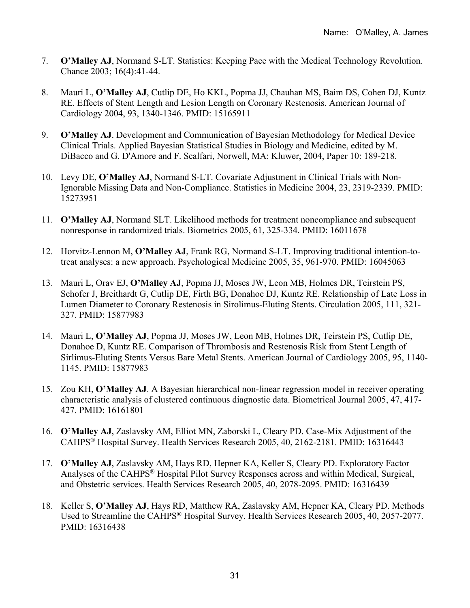- 7. **O'Malley AJ**, Normand S-LT. Statistics: Keeping Pace with the Medical Technology Revolution. Chance 2003; 16(4):41-44.
- 8. Mauri L, **O'Malley AJ**, Cutlip DE, Ho KKL, Popma JJ, Chauhan MS, Baim DS, Cohen DJ, Kuntz RE. Effects of Stent Length and Lesion Length on Coronary Restenosis. American Journal of Cardiology 2004, 93, 1340-1346. PMID: 15165911
- 9. **O'Malley AJ**. Development and Communication of Bayesian Methodology for Medical Device Clinical Trials. Applied Bayesian Statistical Studies in Biology and Medicine, edited by M. DiBacco and G. D'Amore and F. Scalfari, Norwell, MA: Kluwer, 2004, Paper 10: 189-218.
- 10. Levy DE, **O'Malley AJ**, Normand S-LT. Covariate Adjustment in Clinical Trials with Non-Ignorable Missing Data and Non-Compliance. Statistics in Medicine 2004, 23, 2319-2339. PMID: 15273951
- 11. **O'Malley AJ**, Normand SLT. Likelihood methods for treatment noncompliance and subsequent nonresponse in randomized trials. Biometrics 2005, 61, 325-334. PMID: 16011678
- 12. Horvitz-Lennon M, **O'Malley AJ**, Frank RG, Normand S-LT. Improving traditional intention-totreat analyses: a new approach. Psychological Medicine 2005, 35, 961-970. PMID: 16045063
- 13. Mauri L, Orav EJ, **O'Malley AJ**, Popma JJ, Moses JW, Leon MB, Holmes DR, Teirstein PS, Schofer J, Breithardt G, Cutlip DE, Firth BG, Donahoe DJ, Kuntz RE. Relationship of Late Loss in Lumen Diameter to Coronary Restenosis in Sirolimus-Eluting Stents. Circulation 2005, 111, 321- 327. PMID: 15877983
- 14. Mauri L, **O'Malley AJ**, Popma JJ, Moses JW, Leon MB, Holmes DR, Teirstein PS, Cutlip DE, Donahoe D, Kuntz RE. Comparison of Thrombosis and Restenosis Risk from Stent Length of Sirlimus-Eluting Stents Versus Bare Metal Stents. American Journal of Cardiology 2005, 95, 1140- 1145. PMID: 15877983
- 15. Zou KH, **O'Malley AJ**. A Bayesian hierarchical non-linear regression model in receiver operating characteristic analysis of clustered continuous diagnostic data. Biometrical Journal 2005, 47, 417- 427. PMID: 16161801
- 16. **O'Malley AJ**, Zaslavsky AM, Elliot MN, Zaborski L, Cleary PD. Case-Mix Adjustment of the CAHPS® Hospital Survey. Health Services Research 2005, 40, 2162-2181. PMID: 16316443
- 17. **O'Malley AJ**, Zaslavsky AM, Hays RD, Hepner KA, Keller S, Cleary PD. Exploratory Factor Analyses of the CAHPS® Hospital Pilot Survey Responses across and within Medical, Surgical, and Obstetric services. Health Services Research 2005, 40, 2078-2095. PMID: 16316439
- 18. Keller S, **O'Malley AJ**, Hays RD, Matthew RA, Zaslavsky AM, Hepner KA, Cleary PD. Methods Used to Streamline the CAHPS® Hospital Survey. Health Services Research 2005, 40, 2057-2077. PMID: 16316438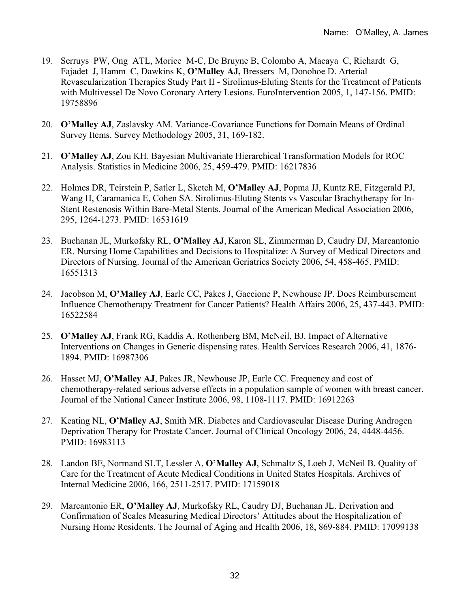- 19. Serruys PW, Ong ATL, Morice M-C, De Bruyne B, Colombo A, Macaya C, Richardt G, Fajadet J, Hamm C, Dawkins K, **O'Malley AJ,** Bressers M, Donohoe D. Arterial Revascularization Therapies Study Part II - Sirolimus-Eluting Stents for the Treatment of Patients with Multivessel De Novo Coronary Artery Lesions. EuroIntervention 2005, 1, 147-156. PMID: 19758896
- 20. **O'Malley AJ**, Zaslavsky AM. Variance-Covariance Functions for Domain Means of Ordinal Survey Items. Survey Methodology 2005, 31, 169-182.
- 21. **O'Malley AJ**, Zou KH. Bayesian Multivariate Hierarchical Transformation Models for ROC Analysis. Statistics in Medicine 2006, 25, 459-479. PMID: 16217836
- 22. Holmes DR, Teirstein P, Satler L, Sketch M, **O'Malley AJ**, Popma JJ, Kuntz RE, Fitzgerald PJ, Wang H, Caramanica E, Cohen SA. Sirolimus-Eluting Stents vs Vascular Brachytherapy for In-Stent Restenosis Within Bare-Metal Stents. Journal of the American Medical Association 2006, 295, 1264-1273. PMID: 16531619
- 23. Buchanan JL, Murkofsky RL, **O'Malley AJ**, Karon SL, Zimmerman D, Caudry DJ, Marcantonio ER. Nursing Home Capabilities and Decisions to Hospitalize: A Survey of Medical Directors and Directors of Nursing. Journal of the American Geriatrics Society 2006, 54, 458-465. PMID: 16551313
- 24. Jacobson M, **O'Malley AJ**, Earle CC, Pakes J, Gaccione P, Newhouse JP. Does Reimbursement Influence Chemotherapy Treatment for Cancer Patients? Health Affairs 2006, 25, 437-443. PMID: 16522584
- 25. **O'Malley AJ**, Frank RG, Kaddis A, Rothenberg BM, McNeil, BJ. Impact of Alternative Interventions on Changes in Generic dispensing rates. Health Services Research 2006, 41, 1876- 1894. PMID: 16987306
- 26. Hasset MJ, **O'Malley AJ**, Pakes JR, Newhouse JP, Earle CC. Frequency and cost of chemotherapy-related serious adverse effects in a population sample of women with breast cancer. Journal of the National Cancer Institute 2006, 98, 1108-1117. PMID: 16912263
- 27. Keating NL, **O'Malley AJ**, Smith MR. Diabetes and Cardiovascular Disease During Androgen Deprivation Therapy for Prostate Cancer. Journal of Clinical Oncology 2006, 24, 4448-4456. PMID: 16983113
- 28. Landon BE, Normand SLT, Lessler A, **O'Malley AJ**, Schmaltz S, Loeb J, McNeil B. Quality of Care for the Treatment of Acute Medical Conditions in United States Hospitals. Archives of Internal Medicine 2006, 166, 2511-2517. PMID: 17159018
- 29. Marcantonio ER, **O'Malley AJ**, Murkofsky RL, Caudry DJ, Buchanan JL. Derivation and Confirmation of Scales Measuring Medical Directors' Attitudes about the Hospitalization of Nursing Home Residents. The Journal of Aging and Health 2006, 18, 869-884. PMID: 17099138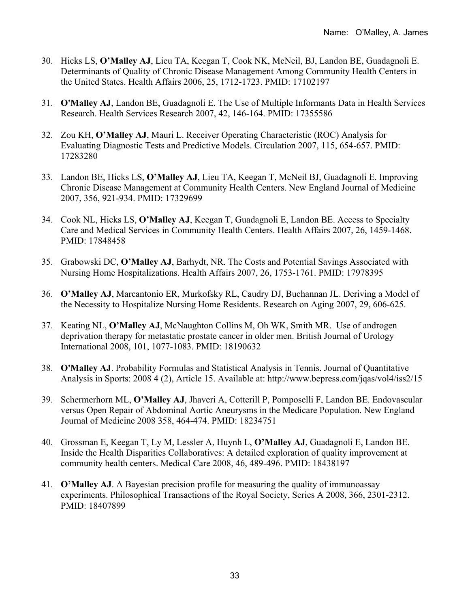- 30. Hicks LS, **O'Malley AJ**, Lieu TA, Keegan T, Cook NK, McNeil, BJ, Landon BE, Guadagnoli E. Determinants of Quality of Chronic Disease Management Among Community Health Centers in the United States. Health Affairs 2006, 25, 1712-1723. PMID: 17102197
- 31. **O'Malley AJ**, Landon BE, Guadagnoli E. The Use of Multiple Informants Data in Health Services Research. Health Services Research 2007, 42, 146-164. PMID: 17355586
- 32. Zou KH, **O'Malley AJ**, Mauri L. Receiver Operating Characteristic (ROC) Analysis for Evaluating Diagnostic Tests and Predictive Models. Circulation 2007, 115, 654-657. PMID: 17283280
- 33. Landon BE, Hicks LS, **O'Malley AJ**, Lieu TA, Keegan T, McNeil BJ, Guadagnoli E. Improving Chronic Disease Management at Community Health Centers. New England Journal of Medicine 2007, 356, 921-934. PMID: 17329699
- 34. Cook NL, Hicks LS, **O'Malley AJ**, Keegan T, Guadagnoli E, Landon BE. Access to Specialty Care and Medical Services in Community Health Centers. Health Affairs 2007, 26, 1459-1468. PMID: 17848458
- 35. Grabowski DC, **O'Malley AJ**, Barhydt, NR. The Costs and Potential Savings Associated with Nursing Home Hospitalizations. Health Affairs 2007, 26, 1753-1761. PMID: 17978395
- 36. **O'Malley AJ**, Marcantonio ER, Murkofsky RL, Caudry DJ, Buchannan JL. Deriving a Model of the Necessity to Hospitalize Nursing Home Residents. Research on Aging 2007, 29, 606-625.
- 37. Keating NL, **O'Malley AJ**, McNaughton Collins M, Oh WK, Smith MR. Use of androgen deprivation therapy for metastatic prostate cancer in older men. British Journal of Urology International 2008, 101, 1077-1083. PMID: 18190632
- 38. **O'Malley AJ**. Probability Formulas and Statistical Analysis in Tennis. Journal of Quantitative Analysis in Sports: 2008 4 (2), Article 15. Available at: http://www.bepress.com/jqas/vol4/iss2/15
- 39. Schermerhorn ML, **O'Malley AJ**, Jhaveri A, Cotterill P, Pomposelli F, Landon BE. Endovascular versus Open Repair of Abdominal Aortic Aneurysms in the Medicare Population. New England Journal of Medicine 2008 358, 464-474. PMID: 18234751
- 40. Grossman E, Keegan T, Ly M, Lessler A, Huynh L, **O'Malley AJ**, Guadagnoli E, Landon BE. Inside the Health Disparities Collaboratives: A detailed exploration of quality improvement at community health centers. Medical Care 2008, 46, 489-496. PMID: 18438197
- 41. **O'Malley AJ**. A Bayesian precision profile for measuring the quality of immunoassay experiments. Philosophical Transactions of the Royal Society, Series A 2008, 366, 2301-2312. PMID: 18407899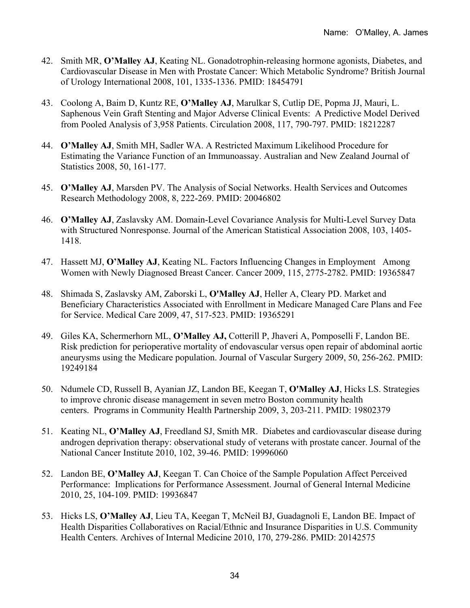- 42. Smith MR, **O'Malley AJ**, Keating NL. Gonadotrophin-releasing hormone agonists, Diabetes, and Cardiovascular Disease in Men with Prostate Cancer: Which Metabolic Syndrome? British Journal of Urology International 2008, 101, 1335-1336. PMID: 18454791
- 43. Coolong A, Baim D, Kuntz RE, **O'Malley AJ**, Marulkar S, Cutlip DE, Popma JJ, Mauri, L. Saphenous Vein Graft Stenting and Major Adverse Clinical Events: A Predictive Model Derived from Pooled Analysis of 3,958 Patients. Circulation 2008, 117, 790-797. PMID: 18212287
- 44. **O'Malley AJ**, Smith MH, Sadler WA. A Restricted Maximum Likelihood Procedure for Estimating the Variance Function of an Immunoassay. Australian and New Zealand Journal of Statistics 2008, 50, 161-177.
- 45. **O'Malley AJ**, Marsden PV. The Analysis of Social Networks. Health Services and Outcomes Research Methodology 2008, 8, 222-269. PMID: 20046802
- 46. **O'Malley AJ**, Zaslavsky AM. Domain-Level Covariance Analysis for Multi-Level Survey Data with Structured Nonresponse. Journal of the American Statistical Association 2008, 103, 1405- 1418.
- 47. Hassett MJ, **O'Malley AJ**, Keating NL. Factors Influencing Changes in Employment Among Women with Newly Diagnosed Breast Cancer. Cancer 2009, 115, 2775-2782. PMID: 19365847
- 48. Shimada S, Zaslavsky AM, Zaborski L, **O'Malley AJ**, Heller A, Cleary PD. Market and Beneficiary Characteristics Associated with Enrollment in Medicare Managed Care Plans and Fee for Service. Medical Care 2009, 47, 517-523. PMID: 19365291
- 49. Giles KA, Schermerhorn ML, **O'Malley AJ,** Cotterill P, Jhaveri A, Pomposelli F, Landon BE. Risk prediction for perioperative mortality of endovascular versus open repair of abdominal aortic aneurysms using the Medicare population. Journal of Vascular Surgery 2009, 50, 256-262. PMID: 19249184
- 50. Ndumele CD, Russell B, Ayanian JZ, Landon BE, Keegan T, **O'Malley AJ**, Hicks LS. Strategies to improve chronic disease management in seven metro Boston community health centers. Programs in Community Health Partnership 2009, 3, 203-211. PMID: 19802379
- 51. Keating NL, **O'Malley AJ**, Freedland SJ, Smith MR. Diabetes and cardiovascular disease during androgen deprivation therapy: observational study of veterans with prostate cancer. Journal of the National Cancer Institute 2010, 102, 39-46. PMID: 19996060
- 52. Landon BE, **O'Malley AJ**, Keegan T. Can Choice of the Sample Population Affect Perceived Performance: Implications for Performance Assessment. Journal of General Internal Medicine 2010, 25, 104-109. PMID: 19936847
- 53. Hicks LS, **O'Malley AJ**, Lieu TA, Keegan T, McNeil BJ, Guadagnoli E, Landon BE. Impact of Health Disparities Collaboratives on Racial/Ethnic and Insurance Disparities in U.S. Community Health Centers. Archives of Internal Medicine 2010, 170, 279-286. PMID: 20142575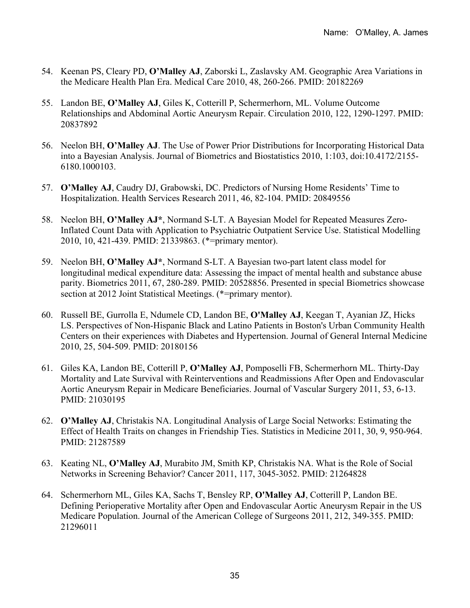- 54. Keenan PS, Cleary PD, **O'Malley AJ**, Zaborski L, Zaslavsky AM. Geographic Area Variations in the Medicare Health Plan Era. Medical Care 2010, 48, 260-266. PMID: 20182269
- 55. Landon BE, **O'Malley AJ**, Giles K, Cotterill P, Schermerhorn, ML. Volume Outcome Relationships and Abdominal Aortic Aneurysm Repair. Circulation 2010, 122, 1290-1297. PMID: 20837892
- 56. Neelon BH, **O'Malley AJ**. The Use of Power Prior Distributions for Incorporating Historical Data into a Bayesian Analysis. Journal of Biometrics and Biostatistics 2010, 1:103, doi:10.4172/2155- 6180.1000103.
- 57. **O'Malley AJ**, Caudry DJ, Grabowski, DC. Predictors of Nursing Home Residents' Time to Hospitalization. Health Services Research 2011, 46, 82-104. PMID: 20849556
- 58. Neelon BH, **O'Malley AJ\***, Normand S-LT. A Bayesian Model for Repeated Measures Zero-Inflated Count Data with Application to Psychiatric Outpatient Service Use. Statistical Modelling 2010, 10, 421-439. PMID: 21339863. (\*=primary mentor).
- 59. Neelon BH, **O'Malley AJ\***, Normand S-LT. A Bayesian two-part latent class model for longitudinal medical expenditure data: Assessing the impact of mental health and substance abuse parity. Biometrics 2011, 67, 280-289. PMID: 20528856. Presented in special Biometrics showcase section at 2012 Joint Statistical Meetings. (\*=primary mentor).
- 60. Russell BE, Gurrolla E, Ndumele CD, Landon BE, **O'Malley AJ**, Keegan T, Ayanian JZ, Hicks LS. Perspectives of Non-Hispanic Black and Latino Patients in Boston's Urban Community Health Centers on their experiences with Diabetes and Hypertension. Journal of General Internal Medicine 2010, 25, 504-509. PMID: 20180156
- 61. Giles KA, Landon BE, Cotterill P, **O'Malley AJ**, Pomposelli FB, Schermerhorn ML. Thirty-Day Mortality and Late Survival with Reinterventions and Readmissions After Open and Endovascular Aortic Aneurysm Repair in Medicare Beneficiaries. Journal of Vascular Surgery 2011, 53, 6-13. PMID: 21030195
- 62. **O'Malley AJ**, Christakis NA. Longitudinal Analysis of Large Social Networks: Estimating the Effect of Health Traits on changes in Friendship Ties. Statistics in Medicine 2011, 30, 9, 950-964. PMID: 21287589
- 63. Keating NL, **O'Malley AJ**, Murabito JM, Smith KP, Christakis NA. What is the Role of Social Networks in Screening Behavior? Cancer 2011, 117, 3045-3052. PMID: 21264828
- 64. Schermerhorn ML, Giles KA, Sachs T, Bensley RP, **O'Malley AJ**, Cotterill P, Landon BE. Defining Perioperative Mortality after Open and Endovascular Aortic Aneurysm Repair in the US Medicare Population. Journal of the American College of Surgeons 2011, 212, 349-355. PMID: 21296011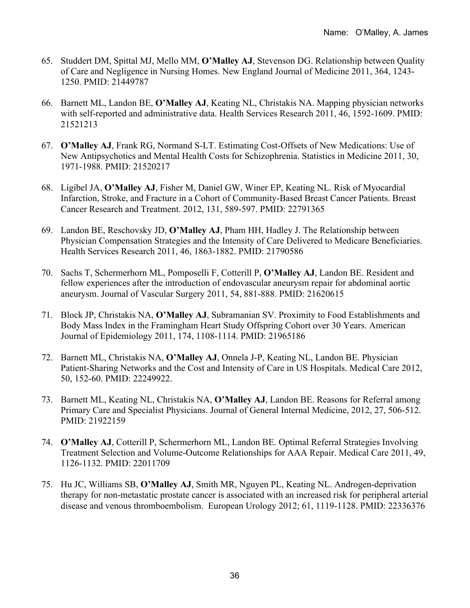- 65. Studdert DM, Spittal MJ, Mello MM, **O'Malley AJ**, Stevenson DG. Relationship between Quality of Care and Negligence in Nursing Homes. New England Journal of Medicine 2011, 364, 1243- 1250. PMID: 21449787
- 66. Barnett ML, Landon BE, **O'Malley AJ**, Keating NL, Christakis NA. Mapping physician networks with self-reported and administrative data. Health Services Research 2011, 46, 1592-1609. PMID: 21521213
- 67. **O'Malley AJ**, Frank RG, Normand S-LT. Estimating Cost-Offsets of New Medications: Use of New Antipsychotics and Mental Health Costs for Schizophrenia. Statistics in Medicine 2011, 30, 1971-1988. PMID: 21520217
- 68. Ligibel JA, **O'Malley AJ**, Fisher M, Daniel GW, Winer EP, Keating NL. Risk of Myocardial Infarction, Stroke, and Fracture in a Cohort of Community-Based Breast Cancer Patients. Breast Cancer Research and Treatment. 2012, 131, 589-597. PMID: 22791365
- 69. Landon BE, Reschovsky JD, **O'Malley AJ**, Pham HH, Hadley J. The Relationship between Physician Compensation Strategies and the Intensity of Care Delivered to Medicare Beneficiaries. Health Services Research 2011, 46, 1863-1882. PMID: 21790586
- 70. Sachs T, Schermerhorn ML, Pomposelli F, Cotterill P, **O'Malley AJ**, Landon BE. Resident and fellow experiences after the introduction of endovascular aneurysm repair for abdominal aortic aneurysm. Journal of Vascular Surgery 2011, 54, 881-888. PMID: 21620615
- 71. Block JP, Christakis NA, **O'Malley AJ**, Subramanian SV. Proximity to Food Establishments and Body Mass Index in the Framingham Heart Study Offspring Cohort over 30 Years. American Journal of Epidemiology 2011, 174, 1108-1114. PMID: 21965186
- 72. Barnett ML, Christakis NA, **O'Malley AJ**, Onnela J-P, Keating NL, Landon BE. Physician Patient-Sharing Networks and the Cost and Intensity of Care in US Hospitals. Medical Care 2012, 50, 152-60. PMID: 22249922.
- 73. Barnett ML, Keating NL, Christakis NA, **O'Malley AJ**, Landon BE. Reasons for Referral among Primary Care and Specialist Physicians. Journal of General Internal Medicine, 2012, 27, 506-512. PMID: 21922159
- 74. **O'Malley AJ**, Cotterill P, Schermerhorn ML, Landon BE. Optimal Referral Strategies Involving Treatment Selection and Volume-Outcome Relationships for AAA Repair. Medical Care 2011, 49, 1126-1132. PMID: 22011709
- 75. Hu JC, Williams SB, **O'Malley AJ**, Smith MR, Nguyen PL, Keating NL. Androgen-deprivation therapy for non-metastatic prostate cancer is associated with an increased risk for peripheral arterial disease and venous thromboembolism. European Urology 2012; 61, 1119-1128. PMID: 22336376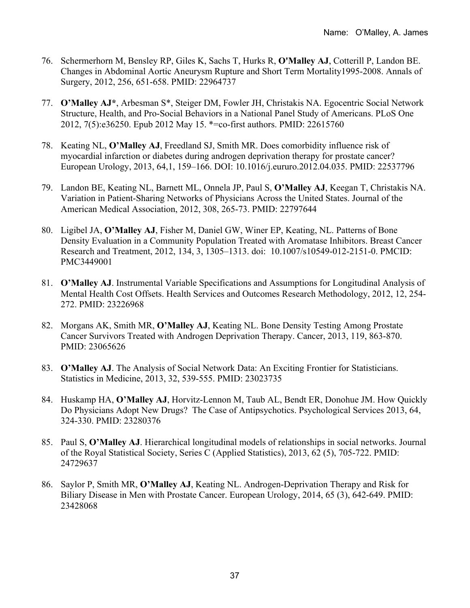- 76. Schermerhorn M, Bensley RP, Giles K, Sachs T, Hurks R, **O'Malley AJ**, Cotterill P, Landon BE. Changes in Abdominal Aortic Aneurysm Rupture and Short Term Mortality1995-2008. Annals of Surgery, 2012, 256, 651-658. PMID: 22964737
- 77. **O'Malley AJ\***, Arbesman S\*, Steiger DM, Fowler JH, Christakis NA. Egocentric Social Network Structure, Health, and Pro-Social Behaviors in a National Panel Study of Americans. PLoS One 2012, 7(5):e36250. Epub 2012 May 15. \*=co-first authors. PMID: 22615760
- 78. Keating NL, **O'Malley AJ**, Freedland SJ, Smith MR. Does comorbidity influence risk of myocardial infarction or diabetes during androgen deprivation therapy for prostate cancer? European Urology, 2013, 64,1, 159–166. DOI: 10.1016/j.eururo.2012.04.035. PMID: 22537796
- 79. Landon BE, Keating NL, Barnett ML, Onnela JP, Paul S, **O'Malley AJ**, Keegan T, Christakis NA. Variation in Patient-Sharing Networks of Physicians Across the United States. Journal of the American Medical Association, 2012, 308, 265-73. PMID: 22797644
- 80. Ligibel JA, **O'Malley AJ**, Fisher M, Daniel GW, Winer EP, Keating, NL. Patterns of Bone Density Evaluation in a Community Population Treated with Aromatase Inhibitors. Breast Cancer Research and Treatment, 2012, 134, 3, 1305–1313. doi: 10.1007/s10549-012-2151-0. PMCID: PMC3449001
- 81. **O'Malley AJ**. Instrumental Variable Specifications and Assumptions for Longitudinal Analysis of Mental Health Cost Offsets. Health Services and Outcomes Research Methodology, 2012, 12, 254- 272. PMID: 23226968
- 82. Morgans AK, Smith MR, **O'Malley AJ**, Keating NL. Bone Density Testing Among Prostate Cancer Survivors Treated with Androgen Deprivation Therapy. Cancer, 2013, 119, 863-870. PMID: 23065626
- 83. **O'Malley AJ**. The Analysis of Social Network Data: An Exciting Frontier for Statisticians. Statistics in Medicine, 2013, 32, 539-555. PMID: 23023735
- 84. Huskamp HA, **O'Malley AJ**, Horvitz-Lennon M, Taub AL, Bendt ER, Donohue JM. How Quickly Do Physicians Adopt New Drugs? The Case of Antipsychotics. Psychological Services 2013, 64, 324-330. PMID: 23280376
- 85. Paul S, **O'Malley AJ**. Hierarchical longitudinal models of relationships in social networks. Journal of the Royal Statistical Society, Series C (Applied Statistics), 2013, 62 (5), 705-722. PMID: 24729637
- 86. Saylor P, Smith MR, **O'Malley AJ**, Keating NL. Androgen-Deprivation Therapy and Risk for Biliary Disease in Men with Prostate Cancer. European Urology, 2014, 65 (3), 642-649. PMID: 23428068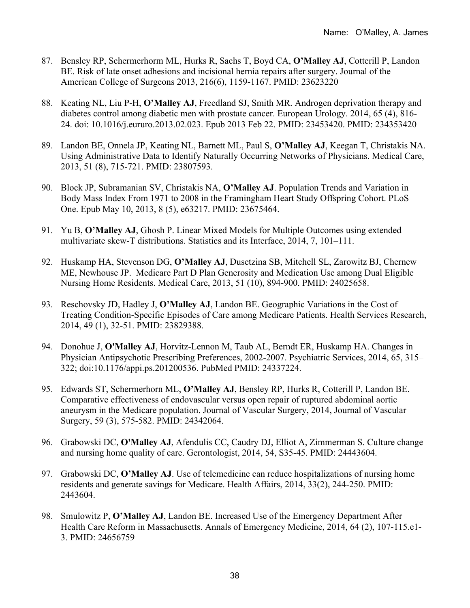- 87. Bensley RP, Schermerhorm ML, Hurks R, Sachs T, Boyd CA, **O'Malley AJ**, Cotterill P, Landon BE. Risk of late onset adhesions and incisional hernia repairs after surgery. Journal of the American College of Surgeons 2013, 216(6), 1159-1167. PMID: 23623220
- 88. Keating NL, Liu P-H, **O'Malley AJ**, Freedland SJ, Smith MR. Androgen deprivation therapy and diabetes control among diabetic men with prostate cancer. European Urology. 2014, 65 (4), 816- 24. doi: 10.1016/j.eururo.2013.02.023. Epub 2013 Feb 22. PMID: 23453420. PMID: 234353420
- 89. Landon BE, Onnela JP, Keating NL, Barnett ML, Paul S, **O'Malley AJ**, Keegan T, Christakis NA. Using Administrative Data to Identify Naturally Occurring Networks of Physicians. Medical Care, 2013, 51 (8), 715-721. PMID: 23807593.
- 90. Block JP, Subramanian SV, Christakis NA, **O'Malley AJ**. Population Trends and Variation in Body Mass Index From 1971 to 2008 in the Framingham Heart Study Offspring Cohort. PLoS One. Epub May 10, 2013, 8 (5), e63217. PMID: 23675464.
- 91. Yu B, **O'Malley AJ**, Ghosh P. Linear Mixed Models for Multiple Outcomes using extended multivariate skew-T distributions. Statistics and its Interface, 2014, 7, 101–111.
- 92. Huskamp HA, Stevenson DG, **O'Malley AJ**, Dusetzina SB, Mitchell SL, Zarowitz BJ, Chernew ME, Newhouse JP. Medicare Part D Plan Generosity and Medication Use among Dual Eligible Nursing Home Residents. Medical Care, 2013, 51 (10), 894-900. PMID: 24025658.
- 93. Reschovsky JD, Hadley J, **O'Malley AJ**, Landon BE. Geographic Variations in the Cost of Treating Condition-Specific Episodes of Care among Medicare Patients. Health Services Research, 2014, 49 (1), 32-51. PMID: 23829388.
- 94. Donohue J, **O'Malley AJ**, Horvitz-Lennon M, Taub AL, Berndt ER, Huskamp HA. Changes in Physician Antipsychotic Prescribing Preferences, 2002-2007. Psychiatric Services, 2014, 65, 315– 322; doi:10.1176/appi.ps.201200536. PubMed PMID: 24337224.
- 95. Edwards ST, Schermerhorn ML, **O'Malley AJ**, Bensley RP, Hurks R, Cotterill P, Landon BE. Comparative effectiveness of endovascular versus open repair of ruptured abdominal aortic aneurysm in the Medicare population. Journal of Vascular Surgery, 2014, Journal of Vascular Surgery, 59 (3), 575-582. PMID: 24342064.
- 96. Grabowski DC, **O'Malley AJ**, Afendulis CC, Caudry DJ, Elliot A, Zimmerman S. Culture change and nursing home quality of care. Gerontologist, 2014, 54, S35-45. PMID: 24443604.
- 97. Grabowski DC, **O'Malley AJ**. Use of telemedicine can reduce hospitalizations of nursing home residents and generate savings for Medicare. Health Affairs, 2014, 33(2), 244-250. PMID: 2443604.
- 98. Smulowitz P, **O'Malley AJ**, Landon BE. Increased Use of the Emergency Department After Health Care Reform in Massachusetts. Annals of Emergency Medicine, 2014, 64 (2), 107-115.e1- 3. PMID: 24656759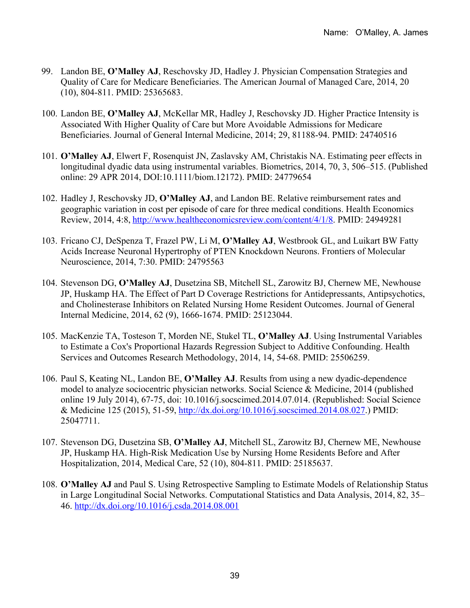- 99. Landon BE, **O'Malley AJ**, Reschovsky JD, Hadley J. Physician Compensation Strategies and Quality of Care for Medicare Beneficiaries. The American Journal of Managed Care, 2014, 20 (10), 804-811. PMID: 25365683.
- 100. Landon BE, **O'Malley AJ**, McKellar MR, Hadley J, Reschovsky JD. Higher Practice Intensity is Associated With Higher Quality of Care but More Avoidable Admissions for Medicare Beneficiaries. Journal of General Internal Medicine, 2014; 29, 81188-94. PMID: 24740516
- 101. **O'Malley AJ**, Elwert F, Rosenquist JN, Zaslavsky AM, Christakis NA. Estimating peer effects in longitudinal dyadic data using instrumental variables. Biometrics, 2014, 70, 3, 506–515. (Published online: 29 APR 2014, DOI:10.1111/biom.12172). PMID: 24779654
- 102. Hadley J, Reschovsky JD, **O'Malley AJ**, and Landon BE. Relative reimbursement rates and geographic variation in cost per episode of care for three medical conditions. Health Economics Review, 2014, 4:8, http://www.healtheconomicsreview.com/content/4/1/8. PMID: 24949281
- 103. Fricano CJ, DeSpenza T, Frazel PW, Li M, **O'Malley AJ**, Westbrook GL, and Luikart BW Fatty Acids Increase Neuronal Hypertrophy of PTEN Knockdown Neurons. Frontiers of Molecular Neuroscience, 2014, 7:30. PMID: 24795563
- 104. Stevenson DG, **O'Malley AJ**, Dusetzina SB, Mitchell SL, Zarowitz BJ, Chernew ME, Newhouse JP, Huskamp HA. The Effect of Part D Coverage Restrictions for Antidepressants, Antipsychotics, and Cholinesterase Inhibitors on Related Nursing Home Resident Outcomes. Journal of General Internal Medicine, 2014, 62 (9), 1666-1674. PMID: 25123044.
- 105. MacKenzie TA, Tosteson T, Morden NE, Stukel TL, **O'Malley AJ**. Using Instrumental Variables to Estimate a Cox's Proportional Hazards Regression Subject to Additive Confounding. Health Services and Outcomes Research Methodology, 2014, 14, 54-68. PMID: 25506259.
- 106. Paul S, Keating NL, Landon BE, **O'Malley AJ**. Results from using a new dyadic-dependence model to analyze sociocentric physician networks. Social Science & Medicine, 2014 (published online 19 July 2014), 67-75, doi: 10.1016/j.socscimed.2014.07.014. (Republished: Social Science & Medicine 125 (2015), 51-59, http://dx.doi.org/10.1016/j.socscimed.2014.08.027.) PMID: 25047711.
- 107. Stevenson DG, Dusetzina SB, **O'Malley AJ**, Mitchell SL, Zarowitz BJ, Chernew ME, Newhouse JP, Huskamp HA. High-Risk Medication Use by Nursing Home Residents Before and After Hospitalization, 2014, Medical Care, 52 (10), 804-811. PMID: 25185637.
- 108. **O'Malley AJ** and Paul S. Using Retrospective Sampling to Estimate Models of Relationship Status in Large Longitudinal Social Networks. Computational Statistics and Data Analysis, 2014, 82, 35– 46. http://dx.doi.org/10.1016/j.csda.2014.08.001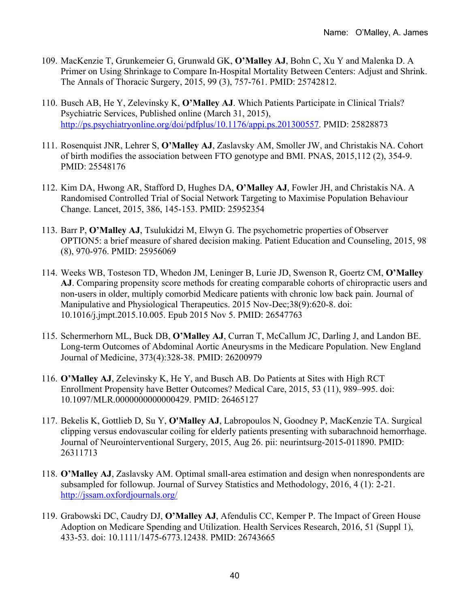- 109. MacKenzie T, Grunkemeier G, Grunwald GK, **O'Malley AJ**, Bohn C, Xu Y and Malenka D. A Primer on Using Shrinkage to Compare In-Hospital Mortality Between Centers: Adjust and Shrink. The Annals of Thoracic Surgery, 2015, 99 (3), 757-761. PMID: 25742812.
- 110. Busch AB, He Y, Zelevinsky K, **O'Malley AJ**. Which Patients Participate in Clinical Trials? Psychiatric Services, Published online (March 31, 2015), http://ps.psychiatryonline.org/doi/pdfplus/10.1176/appi.ps.201300557. PMID: 25828873
- 111. Rosenquist JNR, Lehrer S, **O'Malley AJ**, Zaslavsky AM, Smoller JW, and Christakis NA. Cohort of birth modifies the association between FTO genotype and BMI. PNAS, 2015,112 (2), 354-9. PMID: 25548176
- 112. Kim DA, Hwong AR, Stafford D, Hughes DA, **O'Malley AJ**, Fowler JH, and Christakis NA. A Randomised Controlled Trial of Social Network Targeting to Maximise Population Behaviour Change. Lancet, 2015, 386, 145-153. PMID: 25952354
- 113. Barr P, **O'Malley AJ**, Tsulukidzi M, Elwyn G. The psychometric properties of Observer OPTION5: a brief measure of shared decision making. Patient Education and Counseling, 2015, 98 (8), 970-976. PMID: 25956069
- 114. Weeks WB, Tosteson TD, Whedon JM, Leninger B, Lurie JD, Swenson R, Goertz CM, **O'Malley AJ**. Comparing propensity score methods for creating comparable cohorts of chiropractic users and non-users in older, multiply comorbid Medicare patients with chronic low back pain. Journal of Manipulative and Physiological Therapeutics. 2015 Nov-Dec;38(9):620-8. doi: 10.1016/j.jmpt.2015.10.005. Epub 2015 Nov 5. PMID: 26547763
- 115. Schermerhorn ML, Buck DB, **O'Malley AJ**, Curran T, McCallum JC, Darling J, and Landon BE. Long-term Outcomes of Abdominal Aortic Aneurysms in the Medicare Population. New England Journal of Medicine, 373(4):328-38. PMID: 26200979
- 116. **O'Malley AJ**, Zelevinsky K, He Y, and Busch AB. Do Patients at Sites with High RCT Enrollment Propensity have Better Outcomes? Medical Care, 2015, 53 (11), 989–995. doi: 10.1097/MLR.0000000000000429. PMID: 26465127
- 117. Bekelis K, Gottlieb D, Su Y, **O'Malley AJ**, Labropoulos N, Goodney P, MacKenzie TA. Surgical clipping versus endovascular coiling for elderly patients presenting with subarachnoid hemorrhage. Journal of Neurointerventional Surgery, 2015, Aug 26. pii: neurintsurg-2015-011890. PMID: 26311713
- 118. **O'Malley AJ**, Zaslavsky AM. Optimal small-area estimation and design when nonrespondents are subsampled for followup. Journal of Survey Statistics and Methodology, 2016, 4 (1): 2-21. http://jssam.oxfordjournals.org/
- 119. Grabowski DC, Caudry DJ, **O'Malley AJ**, Afendulis CC, Kemper P. The Impact of Green House Adoption on Medicare Spending and Utilization. Health Services Research, 2016, 51 (Suppl 1), 433-53. doi: 10.1111/1475-6773.12438. PMID: 26743665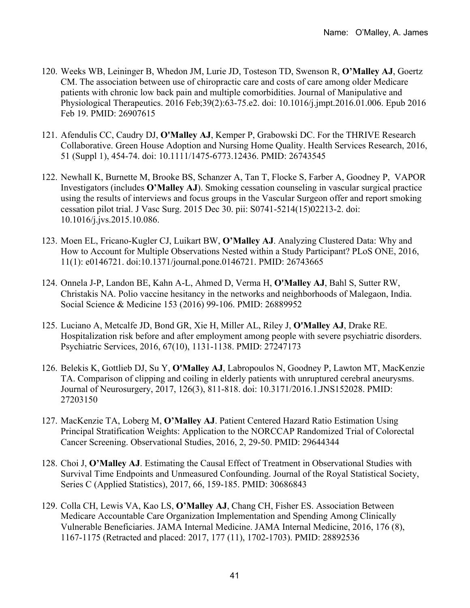- 120. Weeks WB, Leininger B, Whedon JM, Lurie JD, Tosteson TD, Swenson R, **O'Malley AJ**, Goertz CM. The association between use of chiropractic care and costs of care among older Medicare patients with chronic low back pain and multiple comorbidities. Journal of Manipulative and Physiological Therapeutics. 2016 Feb;39(2):63-75.e2. doi: 10.1016/j.jmpt.2016.01.006. Epub 2016 Feb 19. PMID: 26907615
- 121. Afendulis CC, Caudry DJ, **O'Malley AJ**, Kemper P, Grabowski DC. For the THRIVE Research Collaborative. Green House Adoption and Nursing Home Quality. Health Services Research, 2016, 51 (Suppl 1), 454-74. doi: 10.1111/1475-6773.12436. PMID: 26743545
- 122. Newhall K, Burnette M, Brooke BS, Schanzer A, Tan T, Flocke S, Farber A, Goodney P, VAPOR Investigators (includes **O'Malley AJ**). Smoking cessation counseling in vascular surgical practice using the results of interviews and focus groups in the Vascular Surgeon offer and report smoking cessation pilot trial. J Vasc Surg. 2015 Dec 30. pii: S0741-5214(15)02213-2. doi: 10.1016/j.jvs.2015.10.086.
- 123. Moen EL, Fricano-Kugler CJ, Luikart BW, **O'Malley AJ**. Analyzing Clustered Data: Why and How to Account for Multiple Observations Nested within a Study Participant? PLoS ONE, 2016, 11(1): e0146721. doi:10.1371/journal.pone.0146721. PMID: 26743665
- 124. Onnela J-P, Landon BE, Kahn A-L, Ahmed D, Verma H, **O'Malley AJ**, Bahl S, Sutter RW, Christakis NA. Polio vaccine hesitancy in the networks and neighborhoods of Malegaon, India. Social Science & Medicine 153 (2016) 99-106. PMID: 26889952
- 125. Luciano A, Metcalfe JD, Bond GR, Xie H, Miller AL, Riley J, **O'Malley AJ**, Drake RE. Hospitalization risk before and after employment among people with severe psychiatric disorders. Psychiatric Services, 2016, 67(10), 1131-1138. PMID: 27247173
- 126. Belekis K, Gottlieb DJ, Su Y, **O'Malley AJ**, Labropoulos N, Goodney P, Lawton MT, MacKenzie TA. Comparison of clipping and coiling in elderly patients with unruptured cerebral aneurysms. Journal of Neurosurgery, 2017, 126(3), 811-818. doi: 10.3171/2016.1.JNS152028. PMID: 27203150
- 127. MacKenzie TA, Loberg M, **O'Malley AJ**. Patient Centered Hazard Ratio Estimation Using Principal Stratification Weights: Application to the NORCCAP Randomized Trial of Colorectal Cancer Screening. Observational Studies, 2016, 2, 29-50. PMID: 29644344
- 128. Choi J, **O'Malley AJ**. Estimating the Causal Effect of Treatment in Observational Studies with Survival Time Endpoints and Unmeasured Confounding. Journal of the Royal Statistical Society, Series C (Applied Statistics), 2017, 66, 159-185. PMID: 30686843
- 129. Colla CH, Lewis VA, Kao LS, **O'Malley AJ**, Chang CH, Fisher ES. Association Between Medicare Accountable Care Organization Implementation and Spending Among Clinically Vulnerable Beneficiaries. JAMA Internal Medicine. JAMA Internal Medicine, 2016, 176 (8), 1167-1175 (Retracted and placed: 2017, 177 (11), 1702-1703). PMID: 28892536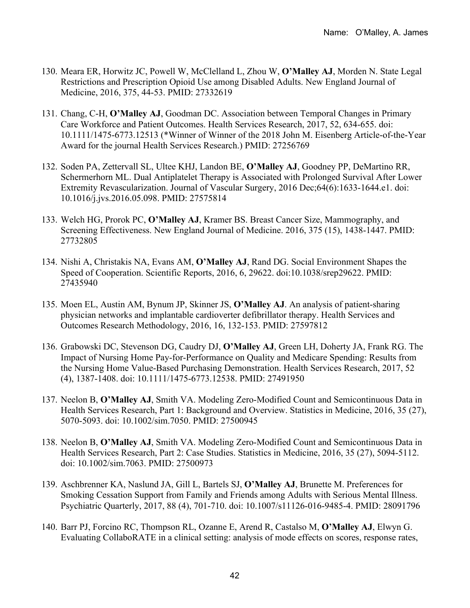- 130. Meara ER, Horwitz JC, Powell W, McClelland L, Zhou W, **O'Malley AJ**, Morden N. State Legal Restrictions and Prescription Opioid Use among Disabled Adults. New England Journal of Medicine, 2016, 375, 44-53. PMID: 27332619
- 131. Chang, C-H, **O'Malley AJ**, Goodman DC. Association between Temporal Changes in Primary Care Workforce and Patient Outcomes. Health Services Research, 2017, 52, 634-655. doi: 10.1111/1475-6773.12513 (\*Winner of Winner of the 2018 John M. Eisenberg Article-of-the-Year Award for the journal Health Services Research.) PMID: 27256769
- 132. Soden PA, Zettervall SL, Ultee KHJ, Landon BE, **O'Malley AJ**, Goodney PP, DeMartino RR, Schermerhorn ML. Dual Antiplatelet Therapy is Associated with Prolonged Survival After Lower Extremity Revascularization. Journal of Vascular Surgery, 2016 Dec;64(6):1633-1644.e1. doi: 10.1016/j.jvs.2016.05.098. PMID: 27575814
- 133. Welch HG, Prorok PC, **O'Malley AJ**, Kramer BS. Breast Cancer Size, Mammography, and Screening Effectiveness. New England Journal of Medicine. 2016, 375 (15), 1438-1447. PMID: 27732805
- 134. Nishi A, Christakis NA, Evans AM, **O'Malley AJ**, Rand DG. Social Environment Shapes the Speed of Cooperation. Scientific Reports, 2016, 6, 29622. doi:10.1038/srep29622. PMID: 27435940
- 135. Moen EL, Austin AM, Bynum JP, Skinner JS, **O'Malley AJ**. An analysis of patient-sharing physician networks and implantable cardioverter defibrillator therapy. Health Services and Outcomes Research Methodology, 2016, 16, 132-153. PMID: 27597812
- 136. Grabowski DC, Stevenson DG, Caudry DJ, **O'Malley AJ**, Green LH, Doherty JA, Frank RG. The Impact of Nursing Home Pay-for-Performance on Quality and Medicare Spending: Results from the Nursing Home Value-Based Purchasing Demonstration. Health Services Research, 2017, 52 (4), 1387-1408. doi: 10.1111/1475-6773.12538. PMID: 27491950
- 137. Neelon B, **O'Malley AJ**, Smith VA. Modeling Zero-Modified Count and Semicontinuous Data in Health Services Research, Part 1: Background and Overview. Statistics in Medicine, 2016, 35 (27), 5070-5093. doi: 10.1002/sim.7050. PMID: 27500945
- 138. Neelon B, **O'Malley AJ**, Smith VA. Modeling Zero-Modified Count and Semicontinuous Data in Health Services Research, Part 2: Case Studies. Statistics in Medicine, 2016, 35 (27), 5094-5112. doi: 10.1002/sim.7063. PMID: 27500973
- 139. Aschbrenner KA, Naslund JA, Gill L, Bartels SJ, **O'Malley AJ**, Brunette M. Preferences for Smoking Cessation Support from Family and Friends among Adults with Serious Mental Illness. Psychiatric Quarterly, 2017, 88 (4), 701-710. doi: 10.1007/s11126-016-9485-4. PMID: 28091796
- 140. Barr PJ, Forcino RC, Thompson RL, Ozanne E, Arend R, Castalso M, **O'Malley AJ**, Elwyn G. Evaluating CollaboRATE in a clinical setting: analysis of mode effects on scores, response rates,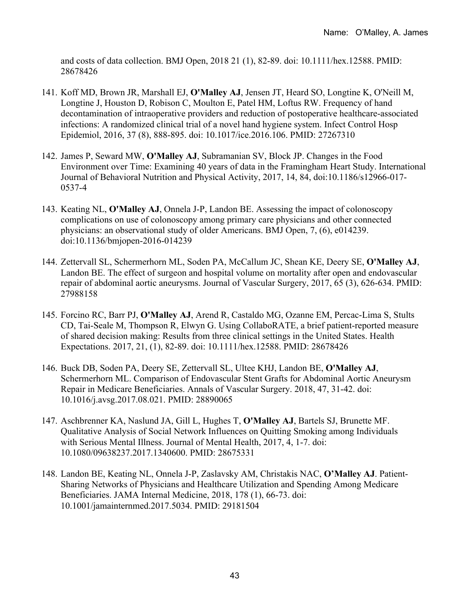and costs of data collection. BMJ Open, 2018 21 (1), 82-89. doi: 10.1111/hex.12588. PMID: 28678426

- 141. Koff MD, Brown JR, Marshall EJ, **O'Malley AJ**, Jensen JT, Heard SO, Longtine K, O'Neill M, Longtine J, Houston D, Robison C, Moulton E, Patel HM, Loftus RW. Frequency of hand decontamination of intraoperative providers and reduction of postoperative healthcare-associated infections: A randomized clinical trial of a novel hand hygiene system. Infect Control Hosp Epidemiol, 2016, 37 (8), 888-895. doi: 10.1017/ice.2016.106. PMID: 27267310
- 142. James P, Seward MW, **O'Malley AJ**, Subramanian SV, Block JP. Changes in the Food Environment over Time: Examining 40 years of data in the Framingham Heart Study. International Journal of Behavioral Nutrition and Physical Activity, 2017, 14, 84, doi:10.1186/s12966-017- 0537-4
- 143. Keating NL, **O'Malley AJ**, Onnela J-P, Landon BE. Assessing the impact of colonoscopy complications on use of colonoscopy among primary care physicians and other connected physicians: an observational study of older Americans. BMJ Open, 7, (6), e014239. doi:10.1136/bmjopen-2016-014239
- 144. Zettervall SL, Schermerhorn ML, Soden PA, McCallum JC, Shean KE, Deery SE, **O'Malley AJ**, Landon BE. The effect of surgeon and hospital volume on mortality after open and endovascular repair of abdominal aortic aneurysms. Journal of Vascular Surgery, 2017, 65 (3), 626-634. PMID: 27988158
- 145. Forcino RC, Barr PJ, **O'Malley AJ**, Arend R, Castaldo MG, Ozanne EM, Percac-Lima S, Stults CD, Tai-Seale M, Thompson R, Elwyn G. Using CollaboRATE, a brief patient-reported measure of shared decision making: Results from three clinical settings in the United States. Health Expectations. 2017, 21, (1), 82-89. doi: 10.1111/hex.12588. PMID: 28678426
- 146. Buck DB, Soden PA, Deery SE, Zettervall SL, Ultee KHJ, Landon BE, **O'Malley AJ**, Schermerhorn ML. Comparison of Endovascular Stent Grafts for Abdominal Aortic Aneurysm Repair in Medicare Beneficiaries. Annals of Vascular Surgery. 2018, 47, 31-42. doi: 10.1016/j.avsg.2017.08.021. PMID: 28890065
- 147. Aschbrenner KA, Naslund JA, Gill L, Hughes T, **O'Malley AJ**, Bartels SJ, Brunette MF. Qualitative Analysis of Social Network Influences on Quitting Smoking among Individuals with Serious Mental Illness. Journal of Mental Health, 2017, 4, 1-7. doi: 10.1080/09638237.2017.1340600. PMID: 28675331
- 148. Landon BE, Keating NL, Onnela J-P, Zaslavsky AM, Christakis NAC, **O'Malley AJ**. Patient-Sharing Networks of Physicians and Healthcare Utilization and Spending Among Medicare Beneficiaries. JAMA Internal Medicine, 2018, 178 (1), 66-73. doi: 10.1001/jamainternmed.2017.5034. PMID: 29181504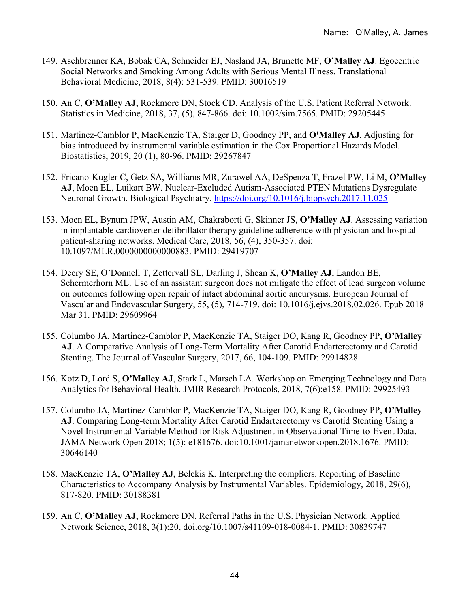- 149. Aschbrenner KA, Bobak CA, Schneider EJ, Nasland JA, Brunette MF, **O'Malley AJ**. Egocentric Social Networks and Smoking Among Adults with Serious Mental Illness. Translational Behavioral Medicine, 2018, 8(4): 531-539. PMID: 30016519
- 150. An C, **O'Malley AJ**, Rockmore DN, Stock CD. Analysis of the U.S. Patient Referral Network. Statistics in Medicine, 2018, 37, (5), 847-866. doi: 10.1002/sim.7565. PMID: 29205445
- 151. Martinez-Camblor P, MacKenzie TA, Staiger D, Goodney PP, and **O'Malley AJ**. Adjusting for bias introduced by instrumental variable estimation in the Cox Proportional Hazards Model. Biostatistics, 2019, 20 (1), 80-96. PMID: 29267847
- 152. Fricano-Kugler C, Getz SA, Williams MR, Zurawel AA, DeSpenza T, Frazel PW, Li M, **O'Malley AJ**, Moen EL, Luikart BW. Nuclear-Excluded Autism-Associated PTEN Mutations Dysregulate Neuronal Growth. Biological Psychiatry. https://doi.org/10.1016/j.biopsych.2017.11.025
- 153. Moen EL, Bynum JPW, Austin AM, Chakraborti G, Skinner JS, **O'Malley AJ**. Assessing variation in implantable cardioverter defibrillator therapy guideline adherence with physician and hospital patient-sharing networks. Medical Care, 2018, 56, (4), 350-357. doi: 10.1097/MLR.0000000000000883. PMID: 29419707
- 154. Deery SE, O'Donnell T, Zettervall SL, Darling J, Shean K, **O'Malley AJ**, Landon BE, Schermerhorn ML. Use of an assistant surgeon does not mitigate the effect of lead surgeon volume on outcomes following open repair of intact abdominal aortic aneurysms. European Journal of Vascular and Endovascular Surgery, 55, (5), 714-719. doi: 10.1016/j.ejvs.2018.02.026. Epub 2018 Mar 31. PMID: 29609964
- 155. Columbo JA, Martinez-Camblor P, MacKenzie TA, Staiger DO, Kang R, Goodney PP, **O'Malley AJ**. A Comparative Analysis of Long-Term Mortality After Carotid Endarterectomy and Carotid Stenting. The Journal of Vascular Surgery, 2017, 66, 104-109. PMID: 29914828
- 156. Kotz D, Lord S, **O'Malley AJ**, Stark L, Marsch LA. Workshop on Emerging Technology and Data Analytics for Behavioral Health. JMIR Research Protocols, 2018, 7(6):e158. PMID: 29925493
- 157. Columbo JA, Martinez-Camblor P, MacKenzie TA, Staiger DO, Kang R, Goodney PP, **O'Malley AJ**. Comparing Long-term Mortality After Carotid Endarterectomy vs Carotid Stenting Using a Novel Instrumental Variable Method for Risk Adjustment in Observational Time-to-Event Data. JAMA Network Open 2018; 1(5): e181676. doi:10.1001/jamanetworkopen.2018.1676. PMID: 30646140
- 158. MacKenzie TA, **O'Malley AJ**, Belekis K. Interpreting the compliers. Reporting of Baseline Characteristics to Accompany Analysis by Instrumental Variables. Epidemiology, 2018, 29(6), 817-820. PMID: 30188381
- 159. An C, **O'Malley AJ**, Rockmore DN. Referral Paths in the U.S. Physician Network. Applied Network Science, 2018, 3(1):20, doi.org/10.1007/s41109-018-0084-1. PMID: 30839747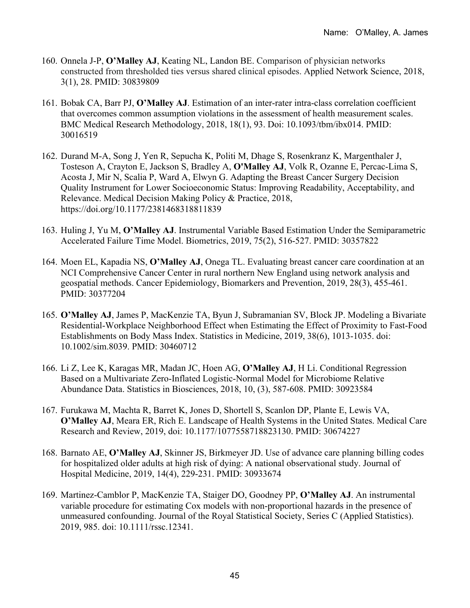- 160. Onnela J-P, **O'Malley AJ**, Keating NL, Landon BE. Comparison of physician networks constructed from thresholded ties versus shared clinical episodes. Applied Network Science, 2018, 3(1), 28. PMID: 30839809
- 161. Bobak CA, Barr PJ, **O'Malley AJ**. Estimation of an inter-rater intra-class correlation coefficient that overcomes common assumption violations in the assessment of health measurement scales. BMC Medical Research Methodology, 2018, 18(1), 93. Doi: 10.1093/tbm/ibx014. PMID: 30016519
- 162. Durand M-A, Song J, Yen R, Sepucha K, Politi M, Dhage S, Rosenkranz K, Margenthaler J, Tosteson A, Crayton E, Jackson S, Bradley A, **O'Malley AJ**, Volk R, Ozanne E, Percac-Lima S, Acosta J, Mir N, Scalia P, Ward A, Elwyn G. Adapting the Breast Cancer Surgery Decision Quality Instrument for Lower Socioeconomic Status: Improving Readability, Acceptability, and Relevance. Medical Decision Making Policy & Practice, 2018, https://doi.org/10.1177/2381468318811839
- 163. Huling J, Yu M, **O'Malley AJ**. Instrumental Variable Based Estimation Under the Semiparametric Accelerated Failure Time Model. Biometrics, 2019, 75(2), 516-527. PMID: 30357822
- 164. Moen EL, Kapadia NS, **O'Malley AJ**, Onega TL. Evaluating breast cancer care coordination at an NCI Comprehensive Cancer Center in rural northern New England using network analysis and geospatial methods. Cancer Epidemiology, Biomarkers and Prevention, 2019, 28(3), 455-461. PMID: 30377204
- 165. **O'Malley AJ**, James P, MacKenzie TA, Byun J, Subramanian SV, Block JP. Modeling a Bivariate Residential-Workplace Neighborhood Effect when Estimating the Effect of Proximity to Fast-Food Establishments on Body Mass Index. Statistics in Medicine, 2019, 38(6), 1013-1035. doi: 10.1002/sim.8039. PMID: 30460712
- 166. Li Z, Lee K, Karagas MR, Madan JC, Hoen AG, **O'Malley AJ**, H Li. Conditional Regression Based on a Multivariate Zero-Inflated Logistic-Normal Model for Microbiome Relative Abundance Data. Statistics in Biosciences, 2018, 10, (3), 587-608. PMID: 30923584
- 167. Furukawa M, Machta R, Barret K, Jones D, Shortell S, Scanlon DP, Plante E, Lewis VA, **O'Malley AJ**, Meara ER, Rich E. Landscape of Health Systems in the United States. Medical Care Research and Review, 2019, doi: 10.1177/1077558718823130. PMID: 30674227
- 168. Barnato AE, **O'Malley AJ**, Skinner JS, Birkmeyer JD. Use of advance care planning billing codes for hospitalized older adults at high risk of dying: A national observational study. Journal of Hospital Medicine, 2019, 14(4), 229-231. PMID: 30933674
- 169. Martinez-Camblor P, MacKenzie TA, Staiger DO, Goodney PP, **O'Malley AJ**. An instrumental variable procedure for estimating Cox models with non-proportional hazards in the presence of unmeasured confounding. Journal of the Royal Statistical Society, Series C (Applied Statistics). 2019, 985. doi: 10.1111/rssc.12341.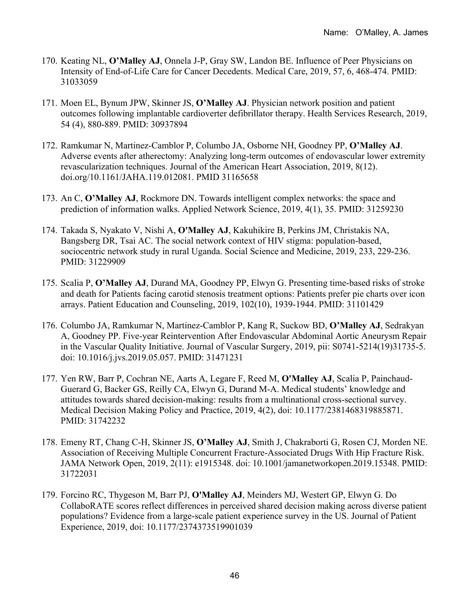- 170. Keating NL, **O'Malley AJ**, Onnela J-P, Gray SW, Landon BE. Influence of Peer Physicians on Intensity of End-of-Life Care for Cancer Decedents. Medical Care, 2019, 57, 6, 468-474. PMID: 31033059
- 171. Moen EL, Bynum JPW, Skinner JS, **O'Malley AJ**. Physician network position and patient outcomes following implantable cardioverter defibrillator therapy. Health Services Research, 2019, 54 (4), 880-889. PMID: 30937894
- 172. Ramkumar N, Martinez-Camblor P, Columbo JA, Osborne NH, Goodney PP, **O'Malley AJ**. Adverse events after atherectomy: Analyzing long-term outcomes of endovascular lower extremity revascularization techniques. Journal of the American Heart Association, 2019, 8(12). doi.org/10.1161/JAHA.119.012081. PMID 31165658
- 173. An C, **O'Malley AJ**, Rockmore DN. Towards intelligent complex networks: the space and prediction of information walks. Applied Network Science, 2019, 4(1), 35. PMID: 31259230
- 174. Takada S, Nyakato V, Nishi A, **O'Malley AJ**, Kakuhikire B, Perkins JM, Christakis NA, Bangsberg DR, Tsai AC. The social network context of HIV stigma: population-based, sociocentric network study in rural Uganda. Social Science and Medicine, 2019, 233, 229-236. PMID: 31229909
- 175. Scalia P, **O'Malley AJ**, Durand MA, Goodney PP, Elwyn G. Presenting time-based risks of stroke and death for Patients facing carotid stenosis treatment options: Patients prefer pie charts over icon arrays. Patient Education and Counseling, 2019, 102(10), 1939-1944. PMID: 31101429
- 176. Columbo JA, Ramkumar N, Martinez-Camblor P, Kang R, Suckow BD, **O'Malley AJ**, Sedrakyan A, Goodney PP. Five-year Reintervention After Endovascular Abdominal Aortic Aneurysm Repair in the Vascular Quality Initiative. Journal of Vascular Surgery, 2019, pii: S0741-5214(19)31735-5. doi: 10.1016/j.jvs.2019.05.057. PMID: 31471231
- 177. Yen RW, Barr P, Cochran NE, Aarts A, Legare F, Reed M, **O'Malley AJ**, Scalia P, Painchaud-Guerard G, Backer GS, Reilly CA, Elwyn G, Durand M-A. Medical students' knowledge and attitudes towards shared decision-making: results from a multinational cross-sectional survey. Medical Decision Making Policy and Practice, 2019, 4(2), doi: 10.1177/2381468319885871. PMID: 31742232
- 178. Emeny RT, Chang C-H, Skinner JS, **O'Malley AJ**, Smith J, Chakraborti G, Rosen CJ, Morden NE. Association of Receiving Multiple Concurrent Fracture-Associated Drugs With Hip Fracture Risk. JAMA Network Open, 2019, 2(11): e1915348. doi: 10.1001/jamanetworkopen.2019.15348. PMID: 31722031
- 179. Forcino RC, Thygeson M, Barr PJ, **O'Malley AJ**, Meinders MJ, Westert GP, Elwyn G. Do CollaboRATE scores reflect differences in perceived shared decision making across diverse patient populations? Evidence from a large-scale patient experience survey in the US. Journal of Patient Experience, 2019, doi: 10.1177/2374373519901039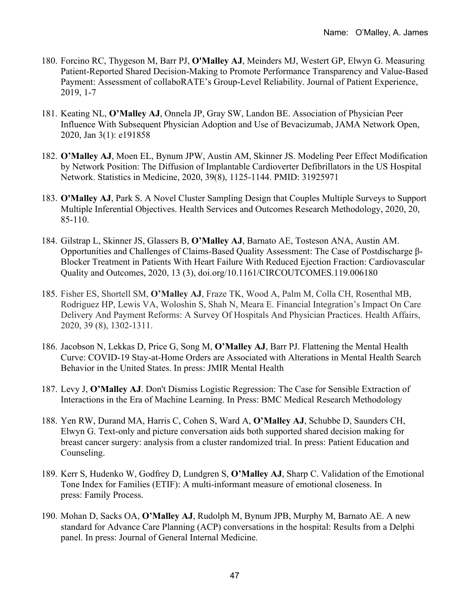- 180. Forcino RC, Thygeson M, Barr PJ, **O'Malley AJ**, Meinders MJ, Westert GP, Elwyn G. Measuring Patient-Reported Shared Decision-Making to Promote Performance Transparency and Value-Based Payment: Assessment of collaboRATE's Group-Level Reliability. Journal of Patient Experience, 2019, 1-7
- 181. Keating NL, **O'Malley AJ**, Onnela JP, Gray SW, Landon BE. Association of Physician Peer Influence With Subsequent Physician Adoption and Use of Bevacizumab, JAMA Network Open, 2020, Jan 3(1): e191858
- 182. **O'Malley AJ**, Moen EL, Bynum JPW, Austin AM, Skinner JS. Modeling Peer Effect Modification by Network Position: The Diffusion of Implantable Cardioverter Defibrillators in the US Hospital Network. Statistics in Medicine, 2020, 39(8), 1125-1144. PMID: 31925971
- 183. **O'Malley AJ**, Park S. A Novel Cluster Sampling Design that Couples Multiple Surveys to Support Multiple Inferential Objectives. Health Services and Outcomes Research Methodology, 2020, 20, 85-110.
- 184. Gilstrap L, Skinner JS, Glassers B, **O'Malley AJ**, Barnato AE, Tosteson ANA, Austin AM. Opportunities and Challenges of Claims-Based Quality Assessment: The Case of Postdischarge β-Blocker Treatment in Patients With Heart Failure With Reduced Ejection Fraction: Cardiovascular Quality and Outcomes, 2020, 13 (3), doi.org/10.1161/CIRCOUTCOMES.119.006180
- 185. Fisher ES, Shortell SM, **O'Malley AJ**, Fraze TK, Wood A, Palm M, Colla CH, Rosenthal MB, Rodriguez HP, Lewis VA, Woloshin S, Shah N, Meara E. Financial Integration's Impact On Care Delivery And Payment Reforms: A Survey Of Hospitals And Physician Practices. Health Affairs, 2020, 39 (8), 1302-1311.
- 186. Jacobson N, Lekkas D, Price G, Song M, **O'Malley AJ**, Barr PJ. Flattening the Mental Health Curve: COVID-19 Stay-at-Home Orders are Associated with Alterations in Mental Health Search Behavior in the United States. In press: JMIR Mental Health
- 187. Levy J, **O'Malley AJ**. Don't Dismiss Logistic Regression: The Case for Sensible Extraction of Interactions in the Era of Machine Learning. In Press: BMC Medical Research Methodology
- 188. Yen RW, Durand MA, Harris C, Cohen S, Ward A, **O'Malley AJ**, Schubbe D, Saunders CH, Elwyn G. Text-only and picture conversation aids both supported shared decision making for breast cancer surgery: analysis from a cluster randomized trial. In press: Patient Education and Counseling.
- 189. Kerr S, Hudenko W, Godfrey D, Lundgren S, **O'Malley AJ**, Sharp C. Validation of the Emotional Tone Index for Families (ETIF): A multi-informant measure of emotional closeness. In press: Family Process.
- 190. Mohan D, Sacks OA, **O'Malley AJ**, Rudolph M, Bynum JPB, Murphy M, Barnato AE. A new standard for Advance Care Planning (ACP) conversations in the hospital: Results from a Delphi panel. In press: Journal of General Internal Medicine.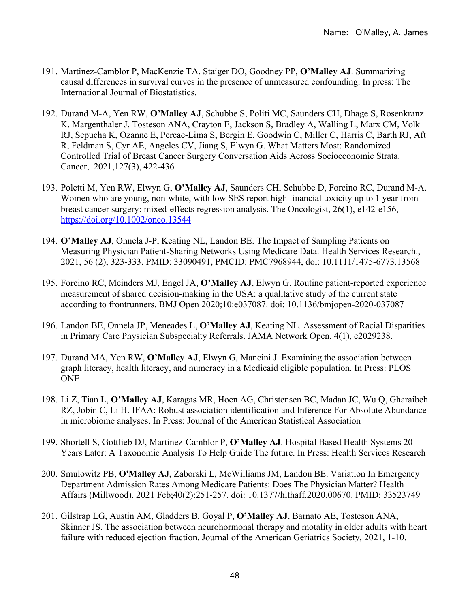- 191. Martinez-Camblor P, MacKenzie TA, Staiger DO, Goodney PP, **O'Malley AJ**. Summarizing causal differences in survival curves in the presence of unmeasured confounding. In press: The International Journal of Biostatistics.
- 192. Durand M-A, Yen RW, **O'Malley AJ**, Schubbe S, Politi MC, Saunders CH, Dhage S, Rosenkranz K, Margenthaler J, Tosteson ANA, Crayton E, Jackson S, Bradley A, Walling L, Marx CM, Volk RJ, Sepucha K, Ozanne E, Percac-Lima S, Bergin E, Goodwin C, Miller C, Harris C, Barth RJ, Aft R, Feldman S, Cyr AE, Angeles CV, Jiang S, Elwyn G. What Matters Most: Randomized Controlled Trial of Breast Cancer Surgery Conversation Aids Across Socioeconomic Strata. Cancer, 2021,127(3), 422-436
- 193. Poletti M, Yen RW, Elwyn G, **O'Malley AJ**, Saunders CH, Schubbe D, Forcino RC, Durand M-A. Women who are young, non-white, with low SES report high financial toxicity up to 1 year from breast cancer surgery: mixed-effects regression analysis. The Oncologist, 26(1), e142-e156, https://doi.org/10.1002/onco.13544
- 194. **O'Malley AJ**, Onnela J-P, Keating NL, Landon BE. The Impact of Sampling Patients on Measuring Physician Patient-Sharing Networks Using Medicare Data. Health Services Research., 2021, 56 (2), 323-333. PMID: 33090491, PMCID: PMC7968944, doi: 10.1111/1475-6773.13568
- 195. Forcino RC, Meinders MJ, Engel JA, **O'Malley AJ**, Elwyn G. Routine patient-reported experience measurement of shared decision-making in the USA: a qualitative study of the current state according to frontrunners. BMJ Open 2020;10:e037087. doi: 10.1136/bmjopen-2020-037087
- 196. Landon BE, Onnela JP, Meneades L, **O'Malley AJ**, Keating NL. Assessment of Racial Disparities in Primary Care Physician Subspecialty Referrals. JAMA Network Open, 4(1), e2029238.
- 197. Durand MA, Yen RW, **O'Malley AJ**, Elwyn G, Mancini J. Examining the association between graph literacy, health literacy, and numeracy in a Medicaid eligible population. In Press: PLOS ONE
- 198. Li Z, Tian L, **O'Malley AJ**, Karagas MR, Hoen AG, Christensen BC, Madan JC, Wu Q, Gharaibeh RZ, Jobin C, Li H. IFAA: Robust association identification and Inference For Absolute Abundance in microbiome analyses. In Press: Journal of the American Statistical Association
- 199. Shortell S, Gottlieb DJ, Martinez-Camblor P, **O'Malley AJ**. Hospital Based Health Systems 20 Years Later: A Taxonomic Analysis To Help Guide The future. In Press: Health Services Research
- 200. Smulowitz PB, **O'Malley AJ**, Zaborski L, McWilliams JM, Landon BE. Variation In Emergency Department Admission Rates Among Medicare Patients: Does The Physician Matter? Health Affairs (Millwood). 2021 Feb;40(2):251-257. doi: 10.1377/hlthaff.2020.00670. PMID: 33523749
- 201. Gilstrap LG, Austin AM, Gladders B, Goyal P, **O'Malley AJ**, Barnato AE, Tosteson ANA, Skinner JS. The association between neurohormonal therapy and motality in older adults with heart failure with reduced ejection fraction. Journal of the American Geriatrics Society, 2021, 1-10.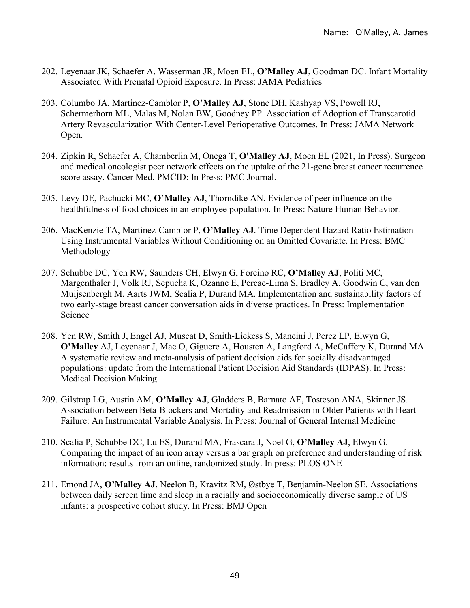- 202. Leyenaar JK, Schaefer A, Wasserman JR, Moen EL, **O'Malley AJ**, Goodman DC. Infant Mortality Associated With Prenatal Opioid Exposure. In Press: JAMA Pediatrics
- 203. Columbo JA, Martinez-Camblor P, **O'Malley AJ**, Stone DH, Kashyap VS, Powell RJ, Schermerhorn ML, Malas M, Nolan BW, Goodney PP. Association of Adoption of Transcarotid Artery Revascularization With Center-Level Perioperative Outcomes. In Press: JAMA Network Open.
- 204. Zipkin R, Schaefer A, Chamberlin M, Onega T, **O'Malley AJ**, Moen EL (2021, In Press). Surgeon and medical oncologist peer network effects on the uptake of the 21-gene breast cancer recurrence score assay. Cancer Med. PMCID: In Press: PMC Journal.
- 205. Levy DE, Pachucki MC, **O'Malley AJ**, Thorndike AN. Evidence of peer influence on the healthfulness of food choices in an employee population. In Press: Nature Human Behavior.
- 206. MacKenzie TA, Martinez-Camblor P, **O'Malley AJ**. Time Dependent Hazard Ratio Estimation Using Instrumental Variables Without Conditioning on an Omitted Covariate. In Press: BMC Methodology
- 207. Schubbe DC, Yen RW, Saunders CH, Elwyn G, Forcino RC, **O'Malley AJ**, Politi MC, Margenthaler J, Volk RJ, Sepucha K, Ozanne E, Percac-Lima S, Bradley A, Goodwin C, van den Muijsenbergh M, Aarts JWM, Scalia P, Durand MA. Implementation and sustainability factors of two early-stage breast cancer conversation aids in diverse practices. In Press: Implementation Science
- 208. Yen RW, Smith J, Engel AJ, Muscat D, Smith-Lickess S, Mancini J, Perez LP, Elwyn G, **O'Malley** AJ, Leyenaar J, Mac O, Giguere A, Housten A, Langford A, McCaffery K, Durand MA. A systematic review and meta-analysis of patient decision aids for socially disadvantaged populations: update from the International Patient Decision Aid Standards (IDPAS). In Press: Medical Decision Making
- 209. Gilstrap LG, Austin AM, **O'Malley AJ**, Gladders B, Barnato AE, Tosteson ANA, Skinner JS. Association between Beta-Blockers and Mortality and Readmission in Older Patients with Heart Failure: An Instrumental Variable Analysis. In Press: Journal of General Internal Medicine
- 210. Scalia P, Schubbe DC, Lu ES, Durand MA, Frascara J, Noel G, **O'Malley AJ**, Elwyn G. Comparing the impact of an icon array versus a bar graph on preference and understanding of risk information: results from an online, randomized study. In press: PLOS ONE
- 211. Emond JA, **O'Malley AJ**, Neelon B, Kravitz RM, Østbye T, Benjamin-Neelon SE. Associations between daily screen time and sleep in a racially and socioeconomically diverse sample of US infants: a prospective cohort study. In Press: BMJ Open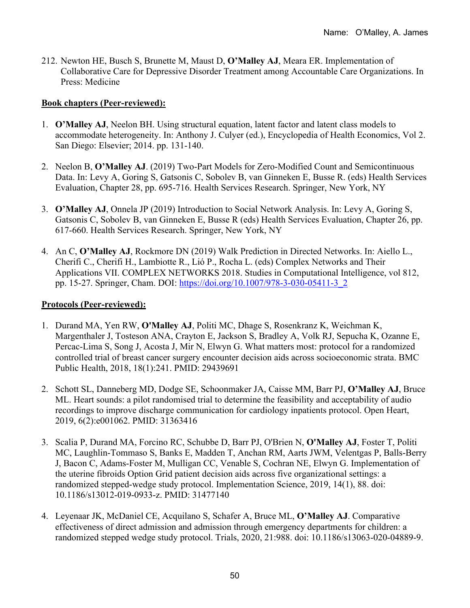212. Newton HE, Busch S, Brunette M, Maust D, **O'Malley AJ**, Meara ER. Implementation of Collaborative Care for Depressive Disorder Treatment among Accountable Care Organizations. In Press: Medicine

#### **Book chapters (Peer-reviewed):**

- 1. **O'Malley AJ**, Neelon BH. Using structural equation, latent factor and latent class models to accommodate heterogeneity. In: Anthony J. Culyer (ed.), Encyclopedia of Health Economics, Vol 2. San Diego: Elsevier; 2014. pp. 131-140.
- 2. Neelon B, **O'Malley AJ**. (2019) Two-Part Models for Zero-Modified Count and Semicontinuous Data. In: Levy A, Goring S, Gatsonis C, Sobolev B, van Ginneken E, Busse R. (eds) Health Services Evaluation, Chapter 28, pp. 695-716. Health Services Research. Springer, New York, NY
- 3. **O'Malley AJ**, Onnela JP (2019) Introduction to Social Network Analysis. In: Levy A, Goring S, Gatsonis C, Sobolev B, van Ginneken E, Busse R (eds) Health Services Evaluation, Chapter 26, pp. 617-660. Health Services Research. Springer, New York, NY
- 4. An C, **O'Malley AJ**, Rockmore DN (2019) Walk Prediction in Directed Networks. In: Aiello L., Cherifi C., Cherifi H., Lambiotte R., Lió P., Rocha L. (eds) Complex Networks and Their Applications VII. COMPLEX NETWORKS 2018. Studies in Computational Intelligence, vol 812, pp. 15-27. Springer, Cham. DOI: https://doi.org/10.1007/978-3-030-05411-3\_2

#### **Protocols (Peer-reviewed):**

- 1. Durand MA, Yen RW, **O'Malley AJ**, Politi MC, Dhage S, Rosenkranz K, Weichman K, Margenthaler J, Tosteson ANA, Crayton E, Jackson S, Bradley A, Volk RJ, Sepucha K, Ozanne E, Percac-Lima S, Song J, Acosta J, Mir N, Elwyn G. What matters most: protocol for a randomized controlled trial of breast cancer surgery encounter decision aids across socioeconomic strata. BMC Public Health, 2018, 18(1):241. PMID: 29439691
- 2. Schott SL, Danneberg MD, Dodge SE, Schoonmaker JA, Caisse MM, Barr PJ, **O'Malley AJ**, Bruce ML. Heart sounds: a pilot randomised trial to determine the feasibility and acceptability of audio recordings to improve discharge communication for cardiology inpatients protocol. Open Heart, 2019, 6(2):e001062. PMID: 31363416
- 3. Scalia P, Durand MA, Forcino RC, Schubbe D, Barr PJ, O'Brien N, **O'Malley AJ**, Foster T, Politi MC, Laughlin-Tommaso S, Banks E, Madden T, Anchan RM, Aarts JWM, Velentgas P, Balls-Berry J, Bacon C, Adams-Foster M, Mulligan CC, Venable S, Cochran NE, Elwyn G. Implementation of the uterine fibroids Option Grid patient decision aids across five organizational settings: a randomized stepped-wedge study protocol. Implementation Science, 2019, 14(1), 88. doi: 10.1186/s13012-019-0933-z. PMID: 31477140
- 4. Leyenaar JK, McDaniel CE, Acquilano S, Schafer A, Bruce ML, **O'Malley AJ**. Comparative effectiveness of direct admission and admission through emergency departments for children: a randomized stepped wedge study protocol. Trials, 2020, 21:988. doi: 10.1186/s13063-020-04889-9.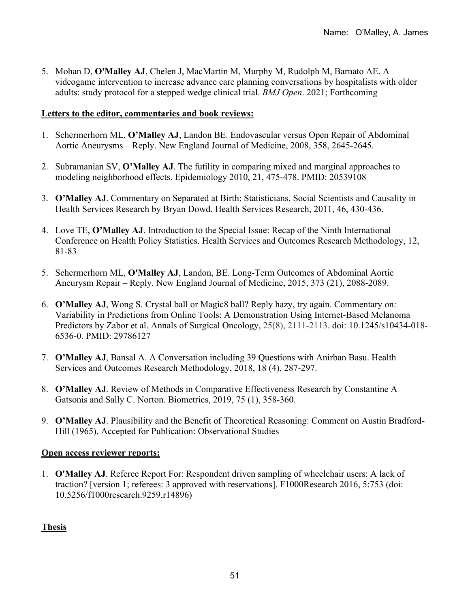5. Mohan D, **O'Malley AJ**, Chelen J, MacMartin M, Murphy M, Rudolph M, Barnato AE. A videogame intervention to increase advance care planning conversations by hospitalists with older adults: study protocol for a stepped wedge clinical trial. *BMJ Open*. 2021; Forthcoming

#### **Letters to the editor, commentaries and book reviews:**

- 1. Schermerhorn ML, **O'Malley AJ**, Landon BE. Endovascular versus Open Repair of Abdominal Aortic Aneurysms – Reply. New England Journal of Medicine, 2008, 358, 2645-2645.
- 2. Subramanian SV, **O'Malley AJ**. The futility in comparing mixed and marginal approaches to modeling neighborhood effects. Epidemiology 2010, 21, 475-478. PMID: 20539108
- 3. **O'Malley AJ**. Commentary on Separated at Birth: Statisticians, Social Scientists and Causality in Health Services Research by Bryan Dowd. Health Services Research, 2011, 46, 430-436.
- 4. Love TE, **O'Malley AJ**. Introduction to the Special Issue: Recap of the Ninth International Conference on Health Policy Statistics. Health Services and Outcomes Research Methodology, 12, 81-83
- 5. Schermerhorn ML, **O'Malley AJ**, Landon, BE. Long-Term Outcomes of Abdominal Aortic Aneurysm Repair – Reply. New England Journal of Medicine, 2015, 373 (21), 2088-2089.
- 6. **O'Malley AJ**, Wong S. Crystal ball or Magic8 ball? Reply hazy, try again. Commentary on: Variability in Predictions from Online Tools: A Demonstration Using Internet-Based Melanoma Predictors by Zabor et al. Annals of Surgical Oncology, 25(8), 2111-2113. doi: 10.1245/s10434-018- 6536-0. PMID: 29786127
- 7. **O'Malley AJ**, Bansal A. A Conversation including 39 Questions with Anirban Basu. Health Services and Outcomes Research Methodology, 2018, 18 (4), 287-297.
- 8. **O'Malley AJ**. Review of Methods in Comparative Effectiveness Research by Constantine A Gatsonis and Sally C. Norton. Biometrics, 2019, 75 (1), 358-360.
- 9. **O'Malley AJ**. Plausibility and the Benefit of Theoretical Reasoning: Comment on Austin Bradford-Hill (1965). Accepted for Publication: Observational Studies

### **Open access reviewer reports:**

1. **O'Malley AJ**. Referee Report For: Respondent driven sampling of wheelchair users: A lack of traction? [version 1; referees: 3 approved with reservations]. F1000Research 2016, 5:753 (doi: 10.5256/f1000research.9259.r14896)

### **Thesis**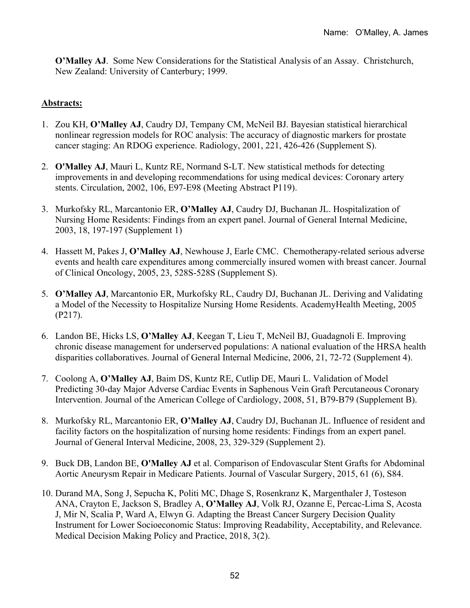**O'Malley AJ**. Some New Considerations for the Statistical Analysis of an Assay. Christchurch, New Zealand: University of Canterbury; 1999.

#### **Abstracts:**

- 1. Zou KH, **O'Malley AJ**, Caudry DJ, Tempany CM, McNeil BJ. Bayesian statistical hierarchical nonlinear regression models for ROC analysis: The accuracy of diagnostic markers for prostate cancer staging: An RDOG experience. Radiology, 2001, 221, 426-426 (Supplement S).
- 2. **O'Malley AJ**, Mauri L, Kuntz RE, Normand S-LT. New statistical methods for detecting improvements in and developing recommendations for using medical devices: Coronary artery stents. Circulation, 2002, 106, E97-E98 (Meeting Abstract P119).
- 3. Murkofsky RL, Marcantonio ER, **O'Malley AJ**, Caudry DJ, Buchanan JL. Hospitalization of Nursing Home Residents: Findings from an expert panel. Journal of General Internal Medicine, 2003, 18, 197-197 (Supplement 1)
- 4. Hassett M, Pakes J, **O'Malley AJ**, Newhouse J, Earle CMC. Chemotherapy-related serious adverse events and health care expenditures among commercially insured women with breast cancer. Journal of Clinical Oncology, 2005, 23, 528S-528S (Supplement S).
- 5. **O'Malley AJ**, Marcantonio ER, Murkofsky RL, Caudry DJ, Buchanan JL. Deriving and Validating a Model of the Necessity to Hospitalize Nursing Home Residents. AcademyHealth Meeting, 2005 (P217).
- 6. Landon BE, Hicks LS, **O'Malley AJ**, Keegan T, Lieu T, McNeil BJ, Guadagnoli E. Improving chronic disease management for underserved populations: A national evaluation of the HRSA health disparities collaboratives. Journal of General Internal Medicine, 2006, 21, 72-72 (Supplement 4).
- 7. Coolong A, **O'Malley AJ**, Baim DS, Kuntz RE, Cutlip DE, Mauri L. Validation of Model Predicting 30-day Major Adverse Cardiac Events in Saphenous Vein Graft Percutaneous Coronary Intervention. Journal of the American College of Cardiology, 2008, 51, B79-B79 (Supplement B).
- 8. Murkofsky RL, Marcantonio ER, **O'Malley AJ**, Caudry DJ, Buchanan JL. Influence of resident and facility factors on the hospitalization of nursing home residents: Findings from an expert panel. Journal of General Interval Medicine, 2008, 23, 329-329 (Supplement 2).
- 9. Buck DB, Landon BE, **O'Malley AJ** et al. Comparison of Endovascular Stent Grafts for Abdominal Aortic Aneurysm Repair in Medicare Patients. Journal of Vascular Surgery, 2015, 61 (6), S84.
- 10. Durand MA, Song J, Sepucha K, Politi MC, Dhage S, Rosenkranz K, Margenthaler J, Tosteson ANA, Crayton E, Jackson S, Bradley A, **O'Malley AJ**, Volk RJ, Ozanne E, Percac-Lima S, Acosta J, Mir N, Scalia P, Ward A, Elwyn G. Adapting the Breast Cancer Surgery Decision Quality Instrument for Lower Socioeconomic Status: Improving Readability, Acceptability, and Relevance. Medical Decision Making Policy and Practice, 2018, 3(2).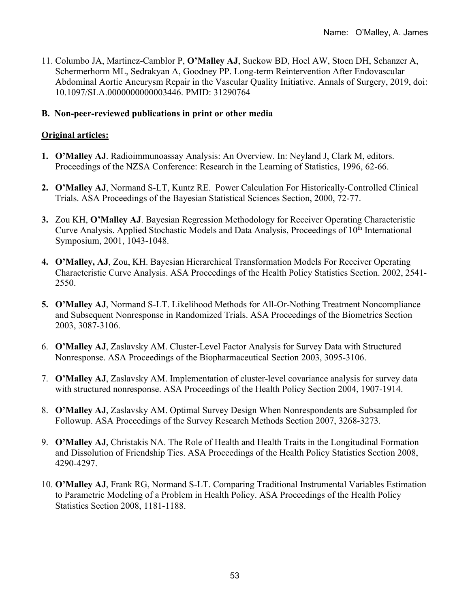11. Columbo JA, Martinez-Camblor P, **O'Malley AJ**, Suckow BD, Hoel AW, Stoen DH, Schanzer A, Schermerhorm ML, Sedrakyan A, Goodney PP. Long-term Reintervention After Endovascular Abdominal Aortic Aneurysm Repair in the Vascular Quality Initiative. Annals of Surgery, 2019, doi: 10.1097/SLA.0000000000003446. PMID: 31290764

#### **B. Non-peer-reviewed publications in print or other media**

### **Original articles:**

- **1. O'Malley AJ**. Radioimmunoassay Analysis: An Overview. In: Neyland J, Clark M, editors. Proceedings of the NZSA Conference: Research in the Learning of Statistics, 1996, 62-66.
- **2. O'Malley AJ**, Normand S-LT, Kuntz RE. Power Calculation For Historically-Controlled Clinical Trials. ASA Proceedings of the Bayesian Statistical Sciences Section, 2000, 72-77.
- **3.** Zou KH, **O'Malley AJ**. Bayesian Regression Methodology for Receiver Operating Characteristic Curve Analysis. Applied Stochastic Models and Data Analysis, Proceedings of 10<sup>th</sup> International Symposium, 2001, 1043-1048.
- **4. O'Malley, AJ**, Zou, KH. Bayesian Hierarchical Transformation Models For Receiver Operating Characteristic Curve Analysis. ASA Proceedings of the Health Policy Statistics Section. 2002, 2541- 2550.
- **5. O'Malley AJ**, Normand S-LT. Likelihood Methods for All-Or-Nothing Treatment Noncompliance and Subsequent Nonresponse in Randomized Trials. ASA Proceedings of the Biometrics Section 2003, 3087-3106.
- 6. **O'Malley AJ**, Zaslavsky AM. Cluster-Level Factor Analysis for Survey Data with Structured Nonresponse. ASA Proceedings of the Biopharmaceutical Section 2003, 3095-3106.
- 7. **O'Malley AJ**, Zaslavsky AM. Implementation of cluster-level covariance analysis for survey data with structured nonresponse. ASA Proceedings of the Health Policy Section 2004, 1907-1914.
- 8. **O'Malley AJ**, Zaslavsky AM. Optimal Survey Design When Nonrespondents are Subsampled for Followup. ASA Proceedings of the Survey Research Methods Section 2007, 3268-3273.
- 9. **O'Malley AJ**, Christakis NA. The Role of Health and Health Traits in the Longitudinal Formation and Dissolution of Friendship Ties. ASA Proceedings of the Health Policy Statistics Section 2008, 4290-4297.
- 10. **O'Malley AJ**, Frank RG, Normand S-LT. Comparing Traditional Instrumental Variables Estimation to Parametric Modeling of a Problem in Health Policy. ASA Proceedings of the Health Policy Statistics Section 2008, 1181-1188.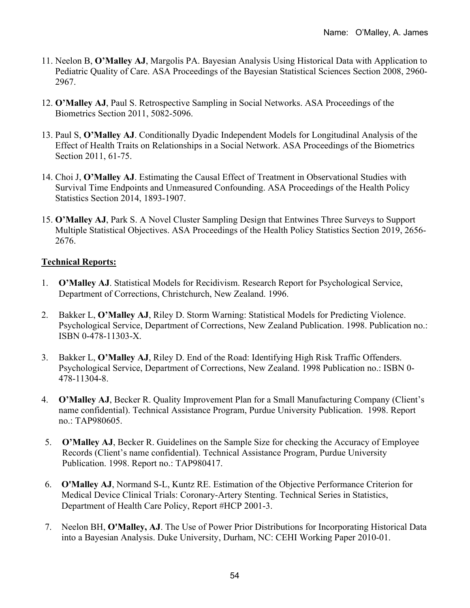- 11. Neelon B, **O'Malley AJ**, Margolis PA. Bayesian Analysis Using Historical Data with Application to Pediatric Quality of Care. ASA Proceedings of the Bayesian Statistical Sciences Section 2008, 2960- 2967.
- 12. **O'Malley AJ**, Paul S. Retrospective Sampling in Social Networks. ASA Proceedings of the Biometrics Section 2011, 5082-5096.
- 13. Paul S, **O'Malley AJ**. Conditionally Dyadic Independent Models for Longitudinal Analysis of the Effect of Health Traits on Relationships in a Social Network. ASA Proceedings of the Biometrics Section 2011, 61-75.
- 14. Choi J, **O'Malley AJ**. Estimating the Causal Effect of Treatment in Observational Studies with Survival Time Endpoints and Unmeasured Confounding. ASA Proceedings of the Health Policy Statistics Section 2014, 1893-1907.
- 15. **O'Malley AJ**, Park S. A Novel Cluster Sampling Design that Entwines Three Surveys to Support Multiple Statistical Objectives. ASA Proceedings of the Health Policy Statistics Section 2019, 2656- 2676.

### **Technical Reports:**

- 1. **O'Malley AJ**. Statistical Models for Recidivism. Research Report for Psychological Service, Department of Corrections, Christchurch, New Zealand. 1996.
- 2. Bakker L, **O'Malley AJ**, Riley D. Storm Warning: Statistical Models for Predicting Violence. Psychological Service, Department of Corrections, New Zealand Publication. 1998. Publication no.: ISBN 0-478-11303-X.
- 3. Bakker L, **O'Malley AJ**, Riley D. End of the Road: Identifying High Risk Traffic Offenders. Psychological Service, Department of Corrections, New Zealand. 1998 Publication no.: ISBN 0- 478-11304-8.
- 4. **O'Malley AJ**, Becker R. Quality Improvement Plan for a Small Manufacturing Company (Client's name confidential). Technical Assistance Program, Purdue University Publication. 1998. Report no.: TAP980605.
- 5. **O'Malley AJ**, Becker R. Guidelines on the Sample Size for checking the Accuracy of Employee Records (Client's name confidential). Technical Assistance Program, Purdue University Publication. 1998. Report no.: TAP980417.
- 6. **O'Malley AJ**, Normand S-L, Kuntz RE. Estimation of the Objective Performance Criterion for Medical Device Clinical Trials: Coronary-Artery Stenting. Technical Series in Statistics, Department of Health Care Policy, Report #HCP 2001-3.
- 7. Neelon BH, **O'Malley, AJ**. The Use of Power Prior Distributions for Incorporating Historical Data into a Bayesian Analysis. Duke University, Durham, NC: CEHI Working Paper 2010-01.